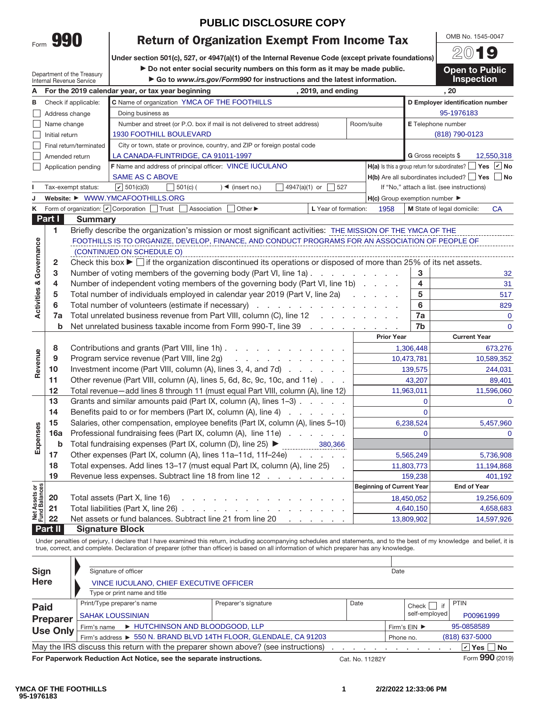|      | Y TIL |
|------|-------|
| Form |       |

## **PUBLIC DISCLOSURE COPY**

**Return of Organization Exempt From Income Tax Under section 501(c), 527, or 4947(a)(1) of the Internal Revenue Code (except private foundations)**

Department of the Treasury

▶ Do not enter social security numbers on this form as it may be made public. a **Go to** *www.irs.gov/Form990* **for instructions and the latest information.**

20**19 Open to Public Inspection**

OMB No. 1545-0047

|                                    |                | Internal Revenue Service                                   | $\blacktriangleright$ Go to www.irs.gov/Form990 for instructions and the latest information.                                                |                      |  |                                                     |                        | <b>Inspection</b>                                                                  |
|------------------------------------|----------------|------------------------------------------------------------|---------------------------------------------------------------------------------------------------------------------------------------------|----------------------|--|-----------------------------------------------------|------------------------|------------------------------------------------------------------------------------|
| Α                                  |                |                                                            | For the 2019 calendar year, or tax year beginning                                                                                           | , 2019, and ending   |  |                                                     |                        | .20                                                                                |
| в                                  |                | Check if applicable:                                       | C Name of organization YMCA OF THE FOOTHILLS                                                                                                |                      |  |                                                     |                        | D Employer identification number                                                   |
|                                    |                | Address change                                             | Doing business as                                                                                                                           | 95-1976183           |  |                                                     |                        |                                                                                    |
|                                    | Name change    |                                                            | Number and street (or P.O. box if mail is not delivered to street address)                                                                  | Room/suite           |  | E Telephone number                                  |                        |                                                                                    |
|                                    | Initial return |                                                            | <b>1930 FOOTHILL BOULEVARD</b>                                                                                                              |                      |  |                                                     |                        | (818) 790-0123                                                                     |
|                                    |                | Final return/terminated                                    | City or town, state or province, country, and ZIP or foreign postal code                                                                    |                      |  |                                                     |                        |                                                                                    |
|                                    |                | Amended return                                             | LA CANADA-FLINTRIDGE, CA 91011-1997                                                                                                         |                      |  |                                                     |                        | G Gross receipts \$<br>12,550,318                                                  |
|                                    |                | Application pending                                        | F Name and address of principal officer: VINCE IUCULANO                                                                                     |                      |  |                                                     |                        | Yes $\vert \mathbf{v} \vert$ No<br>$H(a)$ is this a group return for subordinates? |
|                                    |                |                                                            | <b>SAME AS C ABOVE</b>                                                                                                                      |                      |  |                                                     |                        | $H(b)$ Are all subordinates included?     Yes     No                               |
|                                    |                | Tax-exempt status:                                         | $\vert \nu \vert$ 501(c)(3)<br>501(c) (<br>$)$ < (insert no.)                                                                               | 4947(a)(1) or<br>527 |  |                                                     |                        | If "No," attach a list. (see instructions)                                         |
| J                                  |                |                                                            | Website: ▶ WWW.YMCAFOOTHILLS.ORG                                                                                                            |                      |  | $H(c)$ Group exemption number $\blacktriangleright$ |                        |                                                                                    |
| Κ                                  |                | Form of organization: $\vert \mathbf{v} \vert$ Corporation | Trust<br>Association<br>Other ▶                                                                                                             | L Year of formation: |  | 1958                                                |                        | M State of legal domicile:<br><b>CA</b>                                            |
|                                    | Part I         | <b>Summary</b>                                             |                                                                                                                                             |                      |  |                                                     |                        |                                                                                    |
|                                    | 1              |                                                            | Briefly describe the organization's mission or most significant activities: THE MISSION OF THE YMCA OF THE                                  |                      |  |                                                     |                        |                                                                                    |
|                                    |                |                                                            | FOOTHILLS IS TO ORGANIZE, DEVELOP, FINANCE, AND CONDUCT PROGRAMS FOR AN ASSOCIATION OF PEOPLE OF                                            |                      |  |                                                     |                        |                                                                                    |
|                                    |                |                                                            | (CONTINUED ON SCHEDULE O)                                                                                                                   |                      |  |                                                     |                        |                                                                                    |
| <b>Activities &amp; Governance</b> | $\mathbf{2}$   |                                                            | Check this box $\blacktriangleright$ $\Box$ if the organization discontinued its operations or disposed of more than 25% of its net assets. |                      |  |                                                     |                        |                                                                                    |
|                                    | 3              |                                                            | Number of voting members of the governing body (Part VI, line 1a)                                                                           |                      |  |                                                     | 3                      | 32                                                                                 |
|                                    | 4              |                                                            | Number of independent voting members of the governing body (Part VI, line 1b)                                                               |                      |  |                                                     | 4                      | 31                                                                                 |
|                                    | 5              |                                                            | Total number of individuals employed in calendar year 2019 (Part V, line 2a)                                                                |                      |  |                                                     | 5                      | 517                                                                                |
|                                    | 6              |                                                            | Total number of volunteers (estimate if necessary)                                                                                          |                      |  |                                                     | 6                      | 829                                                                                |
|                                    | 7a             |                                                            | Total unrelated business revenue from Part VIII, column (C), line 12                                                                        |                      |  |                                                     | 7a                     | $\overline{0}$                                                                     |
|                                    | $\mathbf b$    |                                                            | Net unrelated business taxable income from Form 990-T, line 39 \[mathbbs 20 \] n with a set of the state of the 39                          |                      |  |                                                     | 7b                     | $\overline{0}$                                                                     |
|                                    |                |                                                            |                                                                                                                                             |                      |  | <b>Prior Year</b>                                   |                        | <b>Current Year</b>                                                                |
|                                    | 8              |                                                            | Contributions and grants (Part VIII, line 1h)                                                                                               |                      |  |                                                     | 1,306,448              | 673,276                                                                            |
| Revenue                            | 9              |                                                            | Program service revenue (Part VIII, line 2g)<br>and a series of the contract of the                                                         |                      |  |                                                     | 10,473,781             | 10,589,352                                                                         |
|                                    | 10<br>11       |                                                            | Investment income (Part VIII, column (A), lines 3, 4, and 7d)<br>Other revenue (Part VIII, column (A), lines 5, 6d, 8c, 9c, 10c, and 11e)   |                      |  |                                                     | 139,575                | 244,031                                                                            |
|                                    | 12             |                                                            | Total revenue-add lines 8 through 11 (must equal Part VIII, column (A), line 12)                                                            |                      |  |                                                     | 43,207                 | 89,401                                                                             |
|                                    | 13             |                                                            | Grants and similar amounts paid (Part IX, column (A), lines 1-3)                                                                            |                      |  |                                                     | 11,963,011<br>$\Omega$ | 11,596,060<br>$\overline{0}$                                                       |
|                                    | 14             |                                                            | Benefits paid to or for members (Part IX, column (A), line 4)                                                                               |                      |  |                                                     | $\mathbf 0$            |                                                                                    |
|                                    | 15             |                                                            | Salaries, other compensation, employee benefits (Part IX, column (A), lines 5-10)                                                           |                      |  |                                                     | 6,238,524              | 5,457,960                                                                          |
| Expenses                           | 16a            |                                                            | Professional fundraising fees (Part IX, column (A), line 11e)                                                                               |                      |  |                                                     | $\Omega$               | $\Omega$                                                                           |
|                                    | b              |                                                            | Total fundraising expenses (Part IX, column (D), line 25) ▶                                                                                 | 380,366              |  |                                                     |                        |                                                                                    |
|                                    | 17             |                                                            | Other expenses (Part IX, column (A), lines 11a-11d, 11f-24e)                                                                                | and a state of       |  |                                                     | 5,565,249              | 5,736,908                                                                          |
|                                    | 18             |                                                            | Total expenses. Add lines 13-17 (must equal Part IX, column (A), line 25)                                                                   |                      |  |                                                     | 11,803,773             | 11,194,868                                                                         |
|                                    | 19             |                                                            | Revenue less expenses. Subtract line 18 from line 12                                                                                        |                      |  |                                                     | 159,238                | 401,192                                                                            |
|                                    |                |                                                            |                                                                                                                                             |                      |  | <b>Beginning of Current Year</b>                    |                        | <b>End of Year</b>                                                                 |
| Net Assets or<br>Fund Balances     | 20             |                                                            | Total assets (Part X, line 16)<br>.                                                                                                         |                      |  |                                                     | 18,450,052             | 19,256,609                                                                         |
|                                    | 21             |                                                            | Total liabilities (Part X, line 26)                                                                                                         |                      |  |                                                     | 4,640,150              | 4,658,683                                                                          |
|                                    | 22             |                                                            | Net assets or fund balances. Subtract line 21 from line 20                                                                                  |                      |  |                                                     | 13,809,902             | 14,597,926                                                                         |
|                                    | <b>Part II</b> |                                                            | Signature Block                                                                                                                             |                      |  |                                                     |                        |                                                                                    |

**Part II Signature Block**

Under penalties of perjury, I declare that I have examined this return, including accompanying schedules and statements, and to the best of my knowledge and belief, it is true, correct, and complete. Declaration of preparer (other than officer) is based on all information of which preparer has any knowledge.

| <b>Sign</b>     | Signature of officer                                                              |                               |                 | Date |               |                  |
|-----------------|-----------------------------------------------------------------------------------|-------------------------------|-----------------|------|---------------|------------------|
| <b>Here</b>     | VINCE IUCULANO, CHIEF EXECUTIVE OFFICER                                           |                               |                 |      |               |                  |
|                 | Type or print name and title                                                      |                               |                 |      |               |                  |
| <b>Paid</b>     | Print/Type preparer's name                                                        | Preparer's signature          | Date            |      | Check     if  | <b>PTIN</b>      |
| <b>Preparer</b> | <b>SAHAK LOUSSINIAN</b>                                                           |                               |                 |      | self-employed | P00961999        |
| <b>Use Only</b> | HUTCHINSON AND BLOODGOOD, LLP<br>Firm's name                                      | 95-0858589<br>Firm's EIN ▶    |                 |      |               |                  |
|                 | Firm's address ▶ 550 N. BRAND BLVD 14TH FLOOR, GLENDALE, CA 91203                 | $(818)$ 637-5000<br>Phone no. |                 |      |               |                  |
|                 | May the IRS discuss this return with the preparer shown above? (see instructions) |                               |                 |      |               | $ v $ Yes $ $ No |
|                 | For Paperwork Reduction Act Notice, see the separate instructions.                |                               | Cat. No. 11282Y |      |               | Form 990 (2019)  |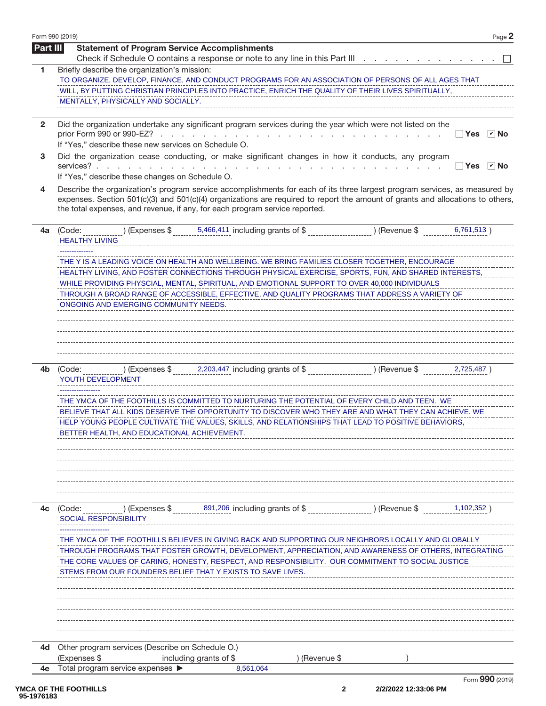| Form 990 (2019) | Page 2                                                                                                                                                                                                                                                                                                                                                                                                                                                                                                                                 |
|-----------------|----------------------------------------------------------------------------------------------------------------------------------------------------------------------------------------------------------------------------------------------------------------------------------------------------------------------------------------------------------------------------------------------------------------------------------------------------------------------------------------------------------------------------------------|
| Part III        | <b>Statement of Program Service Accomplishments</b><br>Check if Schedule O contains a response or note to any line in this Part III                                                                                                                                                                                                                                                                                                                                                                                                    |
| 1               | Briefly describe the organization's mission:<br>TO ORGANIZE, DEVELOP, FINANCE, AND CONDUCT PROGRAMS FOR AN ASSOCIATION OF PERSONS OF ALL AGES THAT<br>WILL, BY PUTTING CHRISTIAN PRINCIPLES INTO PRACTICE, ENRICH THE QUALITY OF THEIR LIVES SPIRITUALLY,<br>MENTALLY, PHYSICALLY AND SOCIALLY.                                                                                                                                                                                                                                        |
| $\mathbf{2}$    | Did the organization undertake any significant program services during the year which were not listed on the<br>prior Form 990 or 990-EZ?<br>$\Box$ Yes $\Box$ No<br>and the company of the company of the company of<br>n.<br>If "Yes," describe these new services on Schedule O.                                                                                                                                                                                                                                                    |
| 3               | Did the organization cease conducting, or make significant changes in how it conducts, any program<br>$\boxed{\mathbf{v}}$ No<br>services?.<br>l Yes<br>If "Yes," describe these changes on Schedule O.                                                                                                                                                                                                                                                                                                                                |
| 4               | Describe the organization's program service accomplishments for each of its three largest program services, as measured by<br>expenses. Section 501(c)(3) and 501(c)(4) organizations are required to report the amount of grants and allocations to others,<br>the total expenses, and revenue, if any, for each program service reported.                                                                                                                                                                                            |
| 4a              | $(1.5)$ (Expenses \$ 5,466,411 including grants of \$ ) (Revenue \$<br>6,761,513)<br>(Code:<br><b>HEALTHY LIVING</b>                                                                                                                                                                                                                                                                                                                                                                                                                   |
|                 | THE Y IS A LEADING VOICE ON HEALTH AND WELLBEING. WE BRING FAMILIES CLOSER TOGETHER, ENCOURAGE<br>HEALTHY LIVING, AND FOSTER CONNECTIONS THROUGH PHYSICAL EXERCISE, SPORTS, FUN, AND SHARED INTERESTS,<br>WHILE PROVIDING PHYSCIAL, MENTAL, SPIRITUAL, AND EMOTIONAL SUPPORT TO OVER 40,000 INDIVIDUALS<br>THROUGH A BROAD RANGE OF ACCESSIBLE, EFFECTIVE, AND QUALITY PROGRAMS THAT ADDRESS A VARIETY OF<br>ONGOING AND EMERGING COMMUNITY NEEDS.                                                                                     |
| 4b              | ) (Expenses $\frac{1}{2}$ , 2,203,447 including grants of $\frac{1}{2}$ , (Revenue $\frac{1}{2}$ ) (Revenue $\frac{1}{2}$ )<br>2,725,487)<br>(Code:<br>YOUTH DEVELOPMENT<br>THE YMCA OF THE FOOTHILLS IS COMMITTED TO NURTURING THE POTENTIAL OF EVERY CHILD AND TEEN. WE<br>BELIEVE THAT ALL KIDS DESERVE THE OPPORTUNITY TO DISCOVER WHO THEY ARE AND WHAT THEY CAN ACHIEVE. WE<br>HELP YOUNG PEOPLE CULTIVATE THE VALUES, SKILLS, AND RELATIONSHIPS THAT LEAD TO POSITIVE BEHAVIORS,<br>BETTER HEALTH, AND EDUCATIONAL ACHIEVEMENT. |
| 4c              | 891,206 including grants of \$<br>) (Expenses \$<br>) (Revenue \$<br>(Code:<br>1,102,352<br><b>SOCIAL RESPONSIBILITY</b><br>THE YMCA OF THE FOOTHILLS BELIEVES IN GIVING BACK AND SUPPORTING OUR NEIGHBORS LOCALLY AND GLOBALLY<br>THROUGH PROGRAMS THAT FOSTER GROWTH, DEVELOPMENT, APPRECIATION, AND AWARENESS OF OTHERS, INTEGRATING<br>THE CORE VALUES OF CARING, HONESTY, RESPECT, AND RESPONSIBILITY. OUR COMMITMENT TO SOCIAL JUSTICE<br>STEMS FROM OUR FOUNDERS BELIEF THAT Y EXISTS TO SAVE LIVES.                            |
| 4d              | Other program services (Describe on Schedule O.)                                                                                                                                                                                                                                                                                                                                                                                                                                                                                       |
| 4е              | (Expenses \$<br>including grants of \$<br>) (Revenue \$<br>Total program service expenses ▶<br>8,561,064                                                                                                                                                                                                                                                                                                                                                                                                                               |
|                 | Form 990 (2019)                                                                                                                                                                                                                                                                                                                                                                                                                                                                                                                        |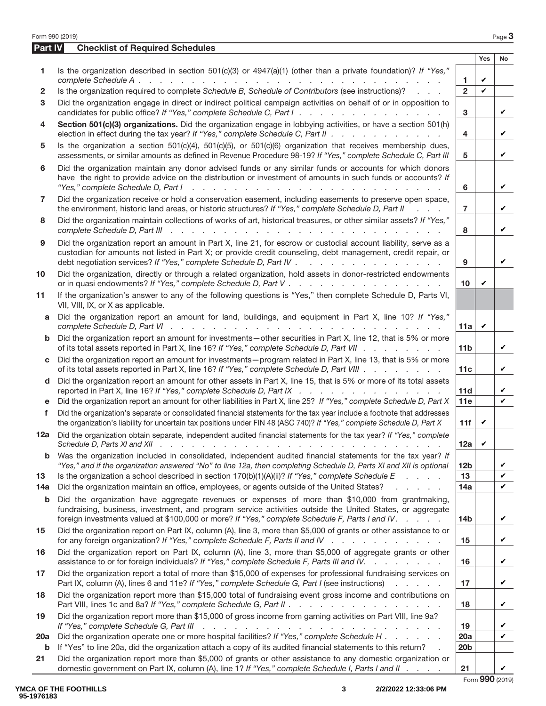| Form 990 (2019) |                                                                                                                                                                                                                                                                                                                  |                 |              | Page 3    |  |  |  |  |
|-----------------|------------------------------------------------------------------------------------------------------------------------------------------------------------------------------------------------------------------------------------------------------------------------------------------------------------------|-----------------|--------------|-----------|--|--|--|--|
| Part IV         | <b>Checklist of Required Schedules</b>                                                                                                                                                                                                                                                                           |                 |              |           |  |  |  |  |
|                 |                                                                                                                                                                                                                                                                                                                  |                 | <b>Yes</b>   | <b>No</b> |  |  |  |  |
| 1               | Is the organization described in section $501(c)(3)$ or $4947(a)(1)$ (other than a private foundation)? If "Yes,"                                                                                                                                                                                                |                 |              |           |  |  |  |  |
|                 |                                                                                                                                                                                                                                                                                                                  | 1               | V<br>V       |           |  |  |  |  |
| 2               | Is the organization required to complete Schedule B, Schedule of Contributors (see instructions)?                                                                                                                                                                                                                | $\overline{2}$  |              |           |  |  |  |  |
| 3               | Did the organization engage in direct or indirect political campaign activities on behalf of or in opposition to<br>candidates for public office? If "Yes," complete Schedule C, Part I.                                                                                                                         |                 |              |           |  |  |  |  |
| 4               | Section 501(c)(3) organizations. Did the organization engage in lobbying activities, or have a section 501(h)<br>election in effect during the tax year? If "Yes," complete Schedule C, Part II                                                                                                                  | 4               |              | V         |  |  |  |  |
| 5               | Is the organization a section $501(c)(4)$ , $501(c)(5)$ , or $501(c)(6)$ organization that receives membership dues,<br>assessments, or similar amounts as defined in Revenue Procedure 98-19? If "Yes," complete Schedule C, Part III                                                                           |                 |              |           |  |  |  |  |
| 6               | Did the organization maintain any donor advised funds or any similar funds or accounts for which donors<br>have the right to provide advice on the distribution or investment of amounts in such funds or accounts? If                                                                                           |                 |              |           |  |  |  |  |
| 7               | Did the organization receive or hold a conservation easement, including easements to preserve open space,<br>the environment, historic land areas, or historic structures? If "Yes," complete Schedule D, Part II                                                                                                |                 |              |           |  |  |  |  |
| 8               | Did the organization maintain collections of works of art, historical treasures, or other similar assets? If "Yes,"                                                                                                                                                                                              | 8               |              | V         |  |  |  |  |
| 9               | Did the organization report an amount in Part X, line 21, for escrow or custodial account liability, serve as a<br>custodian for amounts not listed in Part X; or provide credit counseling, debt management, credit repair, or<br>debt negotiation services? If "Yes," complete Schedule D, Part IV             |                 |              |           |  |  |  |  |
| 10              | Did the organization, directly or through a related organization, hold assets in donor-restricted endowments                                                                                                                                                                                                     | 10              | V            |           |  |  |  |  |
| 11              | If the organization's answer to any of the following questions is "Yes," then complete Schedule D, Parts VI,<br>VII, VIII, IX, or X as applicable.                                                                                                                                                               |                 |              |           |  |  |  |  |
| a               | Did the organization report an amount for land, buildings, and equipment in Part X, line 10? If "Yes,"                                                                                                                                                                                                           | 11a             | $\checkmark$ |           |  |  |  |  |
| b               | Did the organization report an amount for investments-other securities in Part X, line 12, that is 5% or more<br>of its total assets reported in Part X, line 16? If "Yes," complete Schedule D, Part VII                                                                                                        | 11 <sub>b</sub> |              | V         |  |  |  |  |
| C               | Did the organization report an amount for investments - program related in Part X, line 13, that is 5% or more<br>of its total assets reported in Part X, line 16? If "Yes," complete Schedule D, Part VIII                                                                                                      |                 |              |           |  |  |  |  |
| d               | Did the organization report an amount for other assets in Part X, line 15, that is 5% or more of its total assets<br>reported in Part X, line 16? If "Yes," complete Schedule D, Part IX                                                                                                                         | 11d             |              | V         |  |  |  |  |
| е               | Did the organization report an amount for other liabilities in Part X, line 25? If "Yes," complete Schedule D, Part X                                                                                                                                                                                            | 11e             |              | V         |  |  |  |  |
| f               | Did the organization's separate or consolidated financial statements for the tax year include a footnote that addresses<br>the organization's liability for uncertain tax positions under FIN 48 (ASC 740)? If "Yes," complete Schedule D, Part X                                                                |                 |              |           |  |  |  |  |
| 12a             | Did the organization obtain separate, independent audited financial statements for the tax year? If "Yes," complete                                                                                                                                                                                              | 12a             | V            |           |  |  |  |  |
| b               | Was the organization included in consolidated, independent audited financial statements for the tax year? If                                                                                                                                                                                                     |                 |              |           |  |  |  |  |
|                 | "Yes," and if the organization answered "No" to line 12a, then completing Schedule D, Parts XI and XII is optional                                                                                                                                                                                               | 12 <sub>b</sub> |              | V         |  |  |  |  |
| 13              | Is the organization a school described in section $170(b)(1)(A)(ii)?$ If "Yes," complete Schedule E                                                                                                                                                                                                              | 13              |              | V         |  |  |  |  |
| 14a             | Did the organization maintain an office, employees, or agents outside of the United States?                                                                                                                                                                                                                      | 14a             |              | V         |  |  |  |  |
| b               | Did the organization have aggregate revenues or expenses of more than \$10,000 from grantmaking,<br>fundraising, business, investment, and program service activities outside the United States, or aggregate<br>foreign investments valued at \$100,000 or more? If "Yes," complete Schedule F, Parts I and IV. | 14 <sub>b</sub> |              | V         |  |  |  |  |
| 15              | Did the organization report on Part IX, column (A), line 3, more than \$5,000 of grants or other assistance to or<br>for any foreign organization? If "Yes," complete Schedule F, Parts II and IV                                                                                                                | 15              |              | V         |  |  |  |  |
| 16              | Did the organization report on Part IX, column (A), line 3, more than \$5,000 of aggregate grants or other<br>assistance to or for foreign individuals? If "Yes," complete Schedule F, Parts III and IV.                                                                                                         | 16              |              | V         |  |  |  |  |
| 17              | Did the organization report a total of more than \$15,000 of expenses for professional fundraising services on<br>Part IX, column (A), lines 6 and 11e? If "Yes," complete Schedule G, Part I (see instructions)<br>$\mathbf{r}$ and $\mathbf{r}$ and $\mathbf{r}$                                               | 17              |              | V         |  |  |  |  |
| 18              | Did the organization report more than \$15,000 total of fundraising event gross income and contributions on<br>Part VIII, lines 1c and 8a? If "Yes," complete Schedule G, Part II                                                                                                                                | 18              |              | V         |  |  |  |  |
| 19              | Did the organization report more than \$15,000 of gross income from gaming activities on Part VIII, line 9a?<br>If "Yes," complete Schedule G, Part III<br>and the contract of the contract of the contract of the contract of the contract of                                                                   | 19              |              | V         |  |  |  |  |
| <b>20a</b>      | Did the organization operate one or more hospital facilities? If "Yes," complete Schedule H                                                                                                                                                                                                                      | 20a             |              | V         |  |  |  |  |
| b               | If "Yes" to line 20a, did the organization attach a copy of its audited financial statements to this return?                                                                                                                                                                                                     | 20 <sub>b</sub> |              |           |  |  |  |  |
| 21              | Did the organization report more than \$5,000 of grants or other assistance to any domestic organization or<br>domestic government on Part IX, column (A), line 1? If "Yes," complete Schedule I, Parts I and II                                                                                                 | 21              |              | V         |  |  |  |  |
|                 |                                                                                                                                                                                                                                                                                                                  |                 |              |           |  |  |  |  |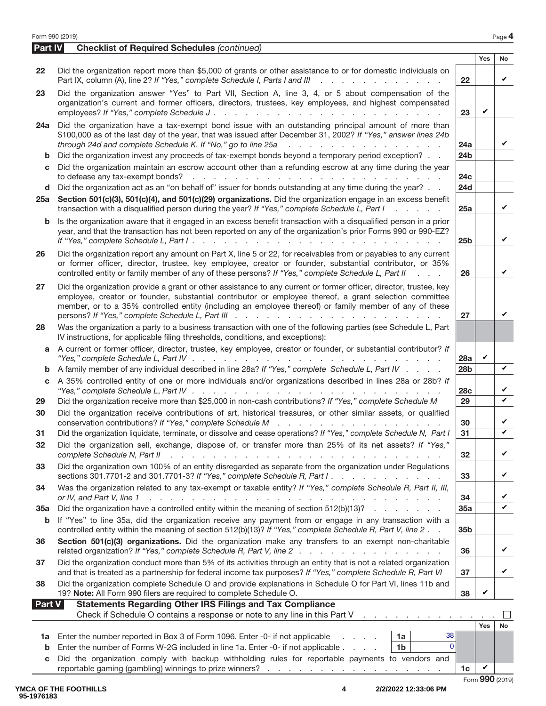| Form 990 (2019) |
|-----------------|
|-----------------|

|         | Form 990 (2019)                                                                                                                                                                                                                                                                                                                                                           |                        |              | Page 4       |  |  |  |
|---------|---------------------------------------------------------------------------------------------------------------------------------------------------------------------------------------------------------------------------------------------------------------------------------------------------------------------------------------------------------------------------|------------------------|--------------|--------------|--|--|--|
| Part IV | <b>Checklist of Required Schedules (continued)</b>                                                                                                                                                                                                                                                                                                                        |                        |              |              |  |  |  |
| 22      | Did the organization report more than \$5,000 of grants or other assistance to or for domestic individuals on<br>Part IX, column (A), line 2? If "Yes," complete Schedule I, Parts I and III                                                                                                                                                                              | 22                     | Yes          | No<br>V      |  |  |  |
| 23      | Did the organization answer "Yes" to Part VII, Section A, line 3, 4, or 5 about compensation of the<br>organization's current and former officers, directors, trustees, key employees, and highest compensated                                                                                                                                                            | 23                     | V            |              |  |  |  |
| 24a     | Did the organization have a tax-exempt bond issue with an outstanding principal amount of more than<br>\$100,000 as of the last day of the year, that was issued after December 31, 2002? If "Yes," answer lines 24b<br>through 24d and complete Schedule K. If "No," go to line 25a<br>and the contract of the contract of the con-                                      | 24a                    |              | ✓            |  |  |  |
| b       | Did the organization invest any proceeds of tax-exempt bonds beyond a temporary period exception?                                                                                                                                                                                                                                                                         | 24 <sub>b</sub>        |              |              |  |  |  |
| C       | Did the organization maintain an escrow account other than a refunding escrow at any time during the year<br>and a complete state of the complete state of the complete state of the complete state of the complete state of<br>to defease any tax-exempt bonds?                                                                                                          | 24 <sub>c</sub>        |              |              |  |  |  |
| d       | Did the organization act as an "on behalf of" issuer for bonds outstanding at any time during the year?                                                                                                                                                                                                                                                                   | 24d                    |              |              |  |  |  |
| 25a     | Section 501(c)(3), 501(c)(4), and 501(c)(29) organizations. Did the organization engage in an excess benefit<br>transaction with a disqualified person during the year? If "Yes," complete Schedule L, Part I<br>and a state of the                                                                                                                                       | 25a                    |              | V            |  |  |  |
| b       | Is the organization aware that it engaged in an excess benefit transaction with a disqualified person in a prior<br>year, and that the transaction has not been reported on any of the organization's prior Forms 990 or 990-EZ?                                                                                                                                          | 25 <sub>b</sub>        |              | V            |  |  |  |
| 26      | Did the organization report any amount on Part X, line 5 or 22, for receivables from or payables to any current<br>or former officer, director, trustee, key employee, creator or founder, substantial contributor, or 35%<br>controlled entity or family member of any of these persons? If "Yes," complete Schedule L, Part II<br><b>Contractor</b>                     | 26                     |              | V            |  |  |  |
| 27      | Did the organization provide a grant or other assistance to any current or former officer, director, trustee, key<br>employee, creator or founder, substantial contributor or employee thereof, a grant selection committee<br>member, or to a 35% controlled entity (including an employee thereof) or family member of any of these                                     | 27                     |              | V            |  |  |  |
| 28      | Was the organization a party to a business transaction with one of the following parties (see Schedule L, Part<br>IV instructions, for applicable filing thresholds, conditions, and exceptions):                                                                                                                                                                         |                        |              |              |  |  |  |
| a       | A current or former officer, director, trustee, key employee, creator or founder, or substantial contributor? If                                                                                                                                                                                                                                                          | 28a                    | V            |              |  |  |  |
| b<br>C  | A family member of any individual described in line 28a? If "Yes," complete Schedule L, Part IV<br>A 35% controlled entity of one or more individuals and/or organizations described in lines 28a or 28b? If<br>"Yes," complete Schedule L, Part IV $\ldots$ , $\ldots$ , $\ldots$ , $\ldots$ , $\ldots$ , $\ldots$                                                       | 28 <sub>b</sub><br>28c |              | V<br>V       |  |  |  |
| 29      | Did the organization receive more than \$25,000 in non-cash contributions? If "Yes," complete Schedule M                                                                                                                                                                                                                                                                  | 29                     |              | V            |  |  |  |
| 30      | Did the organization receive contributions of art, historical treasures, or other similar assets, or qualified<br>conservation contributions? If "Yes," complete Schedule M                                                                                                                                                                                               | 30                     |              | V            |  |  |  |
| 31      | Did the organization liquidate, terminate, or dissolve and cease operations? If "Yes," complete Schedule N, Part I                                                                                                                                                                                                                                                        | $\overline{31}$        |              |              |  |  |  |
| 32      | Did the organization sell, exchange, dispose of, or transfer more than 25% of its net assets? If "Yes,"<br>complete Schedule N, Part II<br>and the property of the property of the property of the property of the property of the property of the property of the property of the property of the property of the property of the property of the property of the proper | 32                     |              | $\checkmark$ |  |  |  |
| 33      | Did the organization own 100% of an entity disregarded as separate from the organization under Regulations<br>sections 301.7701-2 and 301.7701-3? If "Yes," complete Schedule R, Part I.                                                                                                                                                                                  | 33                     |              | V            |  |  |  |
| 34      | Was the organization related to any tax-exempt or taxable entity? If "Yes," complete Schedule R, Part II, III,<br>or IV, and Part V, line 1<br>والمتعاون والمتعاون والمتعاون والمتعاون والمتعاونة والمتعاونة والمتعاونة والمتعاونة والمتعاونة                                                                                                                             | 34                     |              | V            |  |  |  |
| 35a     | Did the organization have a controlled entity within the meaning of section $512(b)(13)?$                                                                                                                                                                                                                                                                                 | 35a                    |              | $\checkmark$ |  |  |  |
| b       | If "Yes" to line 35a, did the organization receive any payment from or engage in any transaction with a<br>controlled entity within the meaning of section 512(b)(13)? If "Yes," complete Schedule R, Part V, line 2.                                                                                                                                                     | 35b                    |              |              |  |  |  |
| 36      | Section 501(c)(3) organizations. Did the organization make any transfers to an exempt non-charitable<br>related organization? If "Yes," complete Schedule R, Part V, line 2                                                                                                                                                                                               | 36                     |              | V            |  |  |  |
| 37      | Did the organization conduct more than 5% of its activities through an entity that is not a related organization<br>and that is treated as a partnership for federal income tax purposes? If "Yes," complete Schedule R, Part VI                                                                                                                                          | 37                     |              | V            |  |  |  |
| 38      | Did the organization complete Schedule O and provide explanations in Schedule O for Part VI, lines 11b and<br>19? Note: All Form 990 filers are required to complete Schedule O.                                                                                                                                                                                          | 38                     | V            |              |  |  |  |
| Part V  | <b>Statements Regarding Other IRS Filings and Tax Compliance</b><br>Check if Schedule O contains a response or note to any line in this Part V<br>and a straightful and a straight and                                                                                                                                                                                    |                        |              |              |  |  |  |
|         |                                                                                                                                                                                                                                                                                                                                                                           |                        | <b>Yes</b>   | <b>No</b>    |  |  |  |
| b       | 38<br>1a Enter the number reported in Box 3 of Form 1096. Enter -0- if not applicable<br>1a<br>a na mara<br>$\overline{0}$<br>Enter the number of Forms W-2G included in line 1a. Enter -0- if not applicable.<br>1 <sub>b</sub><br><b>Contractor</b>                                                                                                                     |                        |              |              |  |  |  |
| C       | Did the organization comply with backup withholding rules for reportable payments to vendors and                                                                                                                                                                                                                                                                          | 1 <sub>c</sub>         | $\checkmark$ |              |  |  |  |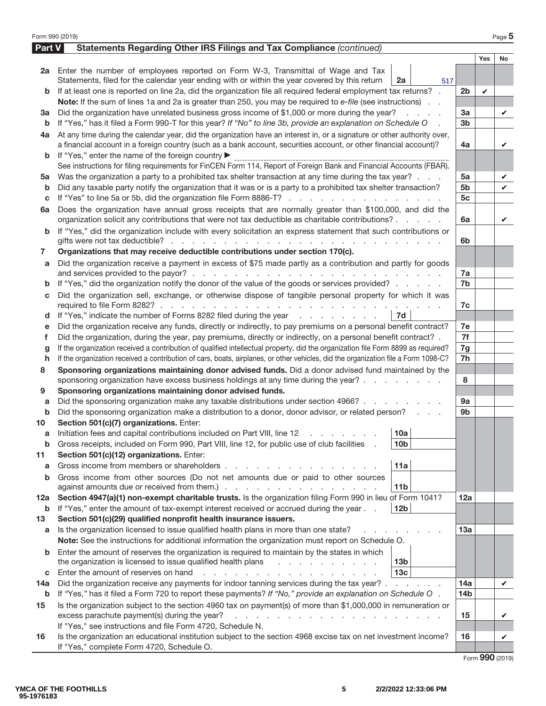| Part V<br>Statements Regarding Other IRS Filings and Tax Compliance (continued)<br>Yes<br><b>No</b><br>2a Enter the number of employees reported on Form W-3, Transmittal of Wage and Tax<br>Statements, filed for the calendar year ending with or within the year covered by this return<br>2a<br>517<br>If at least one is reported on line 2a, did the organization file all required federal employment tax returns? .<br>2 <sub>b</sub><br>V<br>b<br>Note: If the sum of lines 1a and 2a is greater than 250, you may be required to e-file (see instructions).<br>Did the organization have unrelated business gross income of \$1,000 or more during the year?<br>3a<br>За<br>and a state<br>V<br>If "Yes," has it filed a Form 990-T for this year? If "No" to line 3b, provide an explanation on Schedule O<br>3 <sub>b</sub><br>b<br>At any time during the calendar year, did the organization have an interest in, or a signature or other authority over,<br>4a<br>a financial account in a foreign country (such as a bank account, securities account, or other financial account)?<br>4a<br>V<br>If "Yes," enter the name of the foreign country ▶<br>b<br>See instructions for filing requirements for FinCEN Form 114, Report of Foreign Bank and Financial Accounts (FBAR).<br>Was the organization a party to a prohibited tax shelter transaction at any time during the tax year?<br>5a<br>5а<br>V<br>Did any taxable party notify the organization that it was or is a party to a prohibited tax shelter transaction?<br>5b<br>V<br>b<br>If "Yes" to line 5a or 5b, did the organization file Form 8886-T?<br>5с<br>С<br>Does the organization have annual gross receipts that are normally greater than \$100,000, and did the<br>6a<br>organization solicit any contributions that were not tax deductible as charitable contributions?<br>6a<br>V<br>If "Yes," did the organization include with every solicitation an express statement that such contributions or<br>b<br>6b<br>Organizations that may receive deductible contributions under section 170(c).<br>7<br>Did the organization receive a payment in excess of \$75 made partly as a contribution and partly for goods<br>a<br>7a<br>If "Yes," did the organization notify the donor of the value of the goods or services provided?<br>7 <sub>b</sub><br>b<br>Did the organization sell, exchange, or otherwise dispose of tangible personal property for which it was<br>C<br>7c<br>If "Yes," indicate the number of Forms 8282 filed during the year<br>7d<br>d<br>Did the organization receive any funds, directly or indirectly, to pay premiums on a personal benefit contract?<br>7e<br>е<br>7f<br>Did the organization, during the year, pay premiums, directly or indirectly, on a personal benefit contract? .<br>f<br>If the organization received a contribution of qualified intellectual property, did the organization file Form 8899 as required?<br>7g<br>g<br>If the organization received a contribution of cars, boats, airplanes, or other vehicles, did the organization file a Form 1098-C?<br>7h<br>h<br>Sponsoring organizations maintaining donor advised funds. Did a donor advised fund maintained by the<br>8<br>sponsoring organization have excess business holdings at any time during the year?<br>8<br>Sponsoring organizations maintaining donor advised funds.<br>9<br>Did the sponsoring organization make any taxable distributions under section 4966?<br>9a<br>а<br>Did the sponsoring organization make a distribution to a donor, donor advisor, or related person?<br>9b<br>b<br>Section 501(c)(7) organizations. Enter:<br>10<br> 10a <br>Initiation fees and capital contributions included on Part VIII, line 12 \[matter states and capital contributions included on Part VIII, line 12 \[matter states in the state of the state of the state of the state of the s<br>Gross receipts, included on Form 990, Part VIII, line 12, for public use of club facilities<br>10 <sub>b</sub><br>b<br>Section 501(c)(12) organizations. Enter:<br>11<br>Gross income from members or shareholders.<br>11a<br>a<br>Gross income from other sources (Do not net amounts due or paid to other sources<br>b<br>11 <sub>b</sub><br>Section 4947(a)(1) non-exempt charitable trusts. Is the organization filing Form 990 in lieu of Form 1041?<br>12a<br>12a<br>If "Yes," enter the amount of tax-exempt interest received or accrued during the year<br>12 <sub>b</sub><br>b<br>Section 501(c)(29) qualified nonprofit health insurance issuers.<br>13<br>Is the organization licensed to issue qualified health plans in more than one state?<br>13a<br>a<br>Note: See the instructions for additional information the organization must report on Schedule O.<br>Enter the amount of reserves the organization is required to maintain by the states in which<br>the organization is licensed to issue qualified health plans<br>13 <sub>b</sub><br>13 <sub>c</sub><br>Enter the amount of reserves on hand<br>and a strain and a strain and a<br>С<br>Did the organization receive any payments for indoor tanning services during the tax year?<br>14a<br>14a<br>V<br>If "Yes," has it filed a Form 720 to report these payments? If "No," provide an explanation on Schedule O.<br>14 <sub>b</sub><br>b<br>Is the organization subject to the section 4960 tax on payment(s) of more than \$1,000,000 in remuneration or<br>15<br>excess parachute payment(s) during the year?<br>15<br>$\mathbf{r}$ , $\mathbf{r}$ , $\mathbf{r}$ , $\mathbf{r}$ , $\mathbf{r}$ , $\mathbf{r}$ , $\mathbf{r}$ , $\mathbf{r}$<br>V<br>If "Yes," see instructions and file Form 4720, Schedule N. | Form 990 (2019) |                                                                                                                 |    |  | Page 5 |  |  |  |  |
|-------------------------------------------------------------------------------------------------------------------------------------------------------------------------------------------------------------------------------------------------------------------------------------------------------------------------------------------------------------------------------------------------------------------------------------------------------------------------------------------------------------------------------------------------------------------------------------------------------------------------------------------------------------------------------------------------------------------------------------------------------------------------------------------------------------------------------------------------------------------------------------------------------------------------------------------------------------------------------------------------------------------------------------------------------------------------------------------------------------------------------------------------------------------------------------------------------------------------------------------------------------------------------------------------------------------------------------------------------------------------------------------------------------------------------------------------------------------------------------------------------------------------------------------------------------------------------------------------------------------------------------------------------------------------------------------------------------------------------------------------------------------------------------------------------------------------------------------------------------------------------------------------------------------------------------------------------------------------------------------------------------------------------------------------------------------------------------------------------------------------------------------------------------------------------------------------------------------------------------------------------------------------------------------------------------------------------------------------------------------------------------------------------------------------------------------------------------------------------------------------------------------------------------------------------------------------------------------------------------------------------------------------------------------------------------------------------------------------------------------------------------------------------------------------------------------------------------------------------------------------------------------------------------------------------------------------------------------------------------------------------------------------------------------------------------------------------------------------------------------------------------------------------------------------------------------------------------------------------------------------------------------------------------------------------------------------------------------------------------------------------------------------------------------------------------------------------------------------------------------------------------------------------------------------------------------------------------------------------------------------------------------------------------------------------------------------------------------------------------------------------------------------------------------------------------------------------------------------------------------------------------------------------------------------------------------------------------------------------------------------------------------------------------------------------------------------------------------------------------------------------------------------------------------------------------------------------------------------------------------------------------------------------------------------------------------------------------------------------------------------------------------------------------------------------------------------------------------------------------------------------------------------------------------------------------------------------------------------------------------------------------------------------------------------------------------------------------------------------------------------------------------------------------------------------------------------------------------------------------------------------------------------------------------------------------------------------------------------------------------------------------------------------------------------------------------------------------------------------------------------------------------------------------------------------------------------------------------------------------------------------------------------------------------------------------------------------------------------------------------------------------------------------------------------------------------------------------------------------------------------------------------------------------------------------------------------------------------------------------------------------------------------------------------------------------------------------------------|-----------------|-----------------------------------------------------------------------------------------------------------------|----|--|--------|--|--|--|--|
|                                                                                                                                                                                                                                                                                                                                                                                                                                                                                                                                                                                                                                                                                                                                                                                                                                                                                                                                                                                                                                                                                                                                                                                                                                                                                                                                                                                                                                                                                                                                                                                                                                                                                                                                                                                                                                                                                                                                                                                                                                                                                                                                                                                                                                                                                                                                                                                                                                                                                                                                                                                                                                                                                                                                                                                                                                                                                                                                                                                                                                                                                                                                                                                                                                                                                                                                                                                                                                                                                                                                                                                                                                                                                                                                                                                                                                                                                                                                                                                                                                                                                                                                                                                                                                                                                                                                                                                                                                                                                                                                                                                                                                                                                                                                                                                                                                                                                                                                                                                                                                                                                                                                                                                                                                                                                                                                                                                                                                                                                                                                                                                                                                                                                                                   |                 |                                                                                                                 |    |  |        |  |  |  |  |
|                                                                                                                                                                                                                                                                                                                                                                                                                                                                                                                                                                                                                                                                                                                                                                                                                                                                                                                                                                                                                                                                                                                                                                                                                                                                                                                                                                                                                                                                                                                                                                                                                                                                                                                                                                                                                                                                                                                                                                                                                                                                                                                                                                                                                                                                                                                                                                                                                                                                                                                                                                                                                                                                                                                                                                                                                                                                                                                                                                                                                                                                                                                                                                                                                                                                                                                                                                                                                                                                                                                                                                                                                                                                                                                                                                                                                                                                                                                                                                                                                                                                                                                                                                                                                                                                                                                                                                                                                                                                                                                                                                                                                                                                                                                                                                                                                                                                                                                                                                                                                                                                                                                                                                                                                                                                                                                                                                                                                                                                                                                                                                                                                                                                                                                   |                 |                                                                                                                 |    |  |        |  |  |  |  |
|                                                                                                                                                                                                                                                                                                                                                                                                                                                                                                                                                                                                                                                                                                                                                                                                                                                                                                                                                                                                                                                                                                                                                                                                                                                                                                                                                                                                                                                                                                                                                                                                                                                                                                                                                                                                                                                                                                                                                                                                                                                                                                                                                                                                                                                                                                                                                                                                                                                                                                                                                                                                                                                                                                                                                                                                                                                                                                                                                                                                                                                                                                                                                                                                                                                                                                                                                                                                                                                                                                                                                                                                                                                                                                                                                                                                                                                                                                                                                                                                                                                                                                                                                                                                                                                                                                                                                                                                                                                                                                                                                                                                                                                                                                                                                                                                                                                                                                                                                                                                                                                                                                                                                                                                                                                                                                                                                                                                                                                                                                                                                                                                                                                                                                                   |                 |                                                                                                                 |    |  |        |  |  |  |  |
|                                                                                                                                                                                                                                                                                                                                                                                                                                                                                                                                                                                                                                                                                                                                                                                                                                                                                                                                                                                                                                                                                                                                                                                                                                                                                                                                                                                                                                                                                                                                                                                                                                                                                                                                                                                                                                                                                                                                                                                                                                                                                                                                                                                                                                                                                                                                                                                                                                                                                                                                                                                                                                                                                                                                                                                                                                                                                                                                                                                                                                                                                                                                                                                                                                                                                                                                                                                                                                                                                                                                                                                                                                                                                                                                                                                                                                                                                                                                                                                                                                                                                                                                                                                                                                                                                                                                                                                                                                                                                                                                                                                                                                                                                                                                                                                                                                                                                                                                                                                                                                                                                                                                                                                                                                                                                                                                                                                                                                                                                                                                                                                                                                                                                                                   |                 |                                                                                                                 |    |  |        |  |  |  |  |
|                                                                                                                                                                                                                                                                                                                                                                                                                                                                                                                                                                                                                                                                                                                                                                                                                                                                                                                                                                                                                                                                                                                                                                                                                                                                                                                                                                                                                                                                                                                                                                                                                                                                                                                                                                                                                                                                                                                                                                                                                                                                                                                                                                                                                                                                                                                                                                                                                                                                                                                                                                                                                                                                                                                                                                                                                                                                                                                                                                                                                                                                                                                                                                                                                                                                                                                                                                                                                                                                                                                                                                                                                                                                                                                                                                                                                                                                                                                                                                                                                                                                                                                                                                                                                                                                                                                                                                                                                                                                                                                                                                                                                                                                                                                                                                                                                                                                                                                                                                                                                                                                                                                                                                                                                                                                                                                                                                                                                                                                                                                                                                                                                                                                                                                   |                 |                                                                                                                 |    |  |        |  |  |  |  |
|                                                                                                                                                                                                                                                                                                                                                                                                                                                                                                                                                                                                                                                                                                                                                                                                                                                                                                                                                                                                                                                                                                                                                                                                                                                                                                                                                                                                                                                                                                                                                                                                                                                                                                                                                                                                                                                                                                                                                                                                                                                                                                                                                                                                                                                                                                                                                                                                                                                                                                                                                                                                                                                                                                                                                                                                                                                                                                                                                                                                                                                                                                                                                                                                                                                                                                                                                                                                                                                                                                                                                                                                                                                                                                                                                                                                                                                                                                                                                                                                                                                                                                                                                                                                                                                                                                                                                                                                                                                                                                                                                                                                                                                                                                                                                                                                                                                                                                                                                                                                                                                                                                                                                                                                                                                                                                                                                                                                                                                                                                                                                                                                                                                                                                                   |                 |                                                                                                                 |    |  |        |  |  |  |  |
|                                                                                                                                                                                                                                                                                                                                                                                                                                                                                                                                                                                                                                                                                                                                                                                                                                                                                                                                                                                                                                                                                                                                                                                                                                                                                                                                                                                                                                                                                                                                                                                                                                                                                                                                                                                                                                                                                                                                                                                                                                                                                                                                                                                                                                                                                                                                                                                                                                                                                                                                                                                                                                                                                                                                                                                                                                                                                                                                                                                                                                                                                                                                                                                                                                                                                                                                                                                                                                                                                                                                                                                                                                                                                                                                                                                                                                                                                                                                                                                                                                                                                                                                                                                                                                                                                                                                                                                                                                                                                                                                                                                                                                                                                                                                                                                                                                                                                                                                                                                                                                                                                                                                                                                                                                                                                                                                                                                                                                                                                                                                                                                                                                                                                                                   |                 |                                                                                                                 |    |  |        |  |  |  |  |
|                                                                                                                                                                                                                                                                                                                                                                                                                                                                                                                                                                                                                                                                                                                                                                                                                                                                                                                                                                                                                                                                                                                                                                                                                                                                                                                                                                                                                                                                                                                                                                                                                                                                                                                                                                                                                                                                                                                                                                                                                                                                                                                                                                                                                                                                                                                                                                                                                                                                                                                                                                                                                                                                                                                                                                                                                                                                                                                                                                                                                                                                                                                                                                                                                                                                                                                                                                                                                                                                                                                                                                                                                                                                                                                                                                                                                                                                                                                                                                                                                                                                                                                                                                                                                                                                                                                                                                                                                                                                                                                                                                                                                                                                                                                                                                                                                                                                                                                                                                                                                                                                                                                                                                                                                                                                                                                                                                                                                                                                                                                                                                                                                                                                                                                   |                 |                                                                                                                 |    |  |        |  |  |  |  |
|                                                                                                                                                                                                                                                                                                                                                                                                                                                                                                                                                                                                                                                                                                                                                                                                                                                                                                                                                                                                                                                                                                                                                                                                                                                                                                                                                                                                                                                                                                                                                                                                                                                                                                                                                                                                                                                                                                                                                                                                                                                                                                                                                                                                                                                                                                                                                                                                                                                                                                                                                                                                                                                                                                                                                                                                                                                                                                                                                                                                                                                                                                                                                                                                                                                                                                                                                                                                                                                                                                                                                                                                                                                                                                                                                                                                                                                                                                                                                                                                                                                                                                                                                                                                                                                                                                                                                                                                                                                                                                                                                                                                                                                                                                                                                                                                                                                                                                                                                                                                                                                                                                                                                                                                                                                                                                                                                                                                                                                                                                                                                                                                                                                                                                                   |                 |                                                                                                                 |    |  |        |  |  |  |  |
|                                                                                                                                                                                                                                                                                                                                                                                                                                                                                                                                                                                                                                                                                                                                                                                                                                                                                                                                                                                                                                                                                                                                                                                                                                                                                                                                                                                                                                                                                                                                                                                                                                                                                                                                                                                                                                                                                                                                                                                                                                                                                                                                                                                                                                                                                                                                                                                                                                                                                                                                                                                                                                                                                                                                                                                                                                                                                                                                                                                                                                                                                                                                                                                                                                                                                                                                                                                                                                                                                                                                                                                                                                                                                                                                                                                                                                                                                                                                                                                                                                                                                                                                                                                                                                                                                                                                                                                                                                                                                                                                                                                                                                                                                                                                                                                                                                                                                                                                                                                                                                                                                                                                                                                                                                                                                                                                                                                                                                                                                                                                                                                                                                                                                                                   |                 |                                                                                                                 |    |  |        |  |  |  |  |
|                                                                                                                                                                                                                                                                                                                                                                                                                                                                                                                                                                                                                                                                                                                                                                                                                                                                                                                                                                                                                                                                                                                                                                                                                                                                                                                                                                                                                                                                                                                                                                                                                                                                                                                                                                                                                                                                                                                                                                                                                                                                                                                                                                                                                                                                                                                                                                                                                                                                                                                                                                                                                                                                                                                                                                                                                                                                                                                                                                                                                                                                                                                                                                                                                                                                                                                                                                                                                                                                                                                                                                                                                                                                                                                                                                                                                                                                                                                                                                                                                                                                                                                                                                                                                                                                                                                                                                                                                                                                                                                                                                                                                                                                                                                                                                                                                                                                                                                                                                                                                                                                                                                                                                                                                                                                                                                                                                                                                                                                                                                                                                                                                                                                                                                   |                 |                                                                                                                 |    |  |        |  |  |  |  |
|                                                                                                                                                                                                                                                                                                                                                                                                                                                                                                                                                                                                                                                                                                                                                                                                                                                                                                                                                                                                                                                                                                                                                                                                                                                                                                                                                                                                                                                                                                                                                                                                                                                                                                                                                                                                                                                                                                                                                                                                                                                                                                                                                                                                                                                                                                                                                                                                                                                                                                                                                                                                                                                                                                                                                                                                                                                                                                                                                                                                                                                                                                                                                                                                                                                                                                                                                                                                                                                                                                                                                                                                                                                                                                                                                                                                                                                                                                                                                                                                                                                                                                                                                                                                                                                                                                                                                                                                                                                                                                                                                                                                                                                                                                                                                                                                                                                                                                                                                                                                                                                                                                                                                                                                                                                                                                                                                                                                                                                                                                                                                                                                                                                                                                                   |                 |                                                                                                                 |    |  |        |  |  |  |  |
|                                                                                                                                                                                                                                                                                                                                                                                                                                                                                                                                                                                                                                                                                                                                                                                                                                                                                                                                                                                                                                                                                                                                                                                                                                                                                                                                                                                                                                                                                                                                                                                                                                                                                                                                                                                                                                                                                                                                                                                                                                                                                                                                                                                                                                                                                                                                                                                                                                                                                                                                                                                                                                                                                                                                                                                                                                                                                                                                                                                                                                                                                                                                                                                                                                                                                                                                                                                                                                                                                                                                                                                                                                                                                                                                                                                                                                                                                                                                                                                                                                                                                                                                                                                                                                                                                                                                                                                                                                                                                                                                                                                                                                                                                                                                                                                                                                                                                                                                                                                                                                                                                                                                                                                                                                                                                                                                                                                                                                                                                                                                                                                                                                                                                                                   |                 |                                                                                                                 |    |  |        |  |  |  |  |
|                                                                                                                                                                                                                                                                                                                                                                                                                                                                                                                                                                                                                                                                                                                                                                                                                                                                                                                                                                                                                                                                                                                                                                                                                                                                                                                                                                                                                                                                                                                                                                                                                                                                                                                                                                                                                                                                                                                                                                                                                                                                                                                                                                                                                                                                                                                                                                                                                                                                                                                                                                                                                                                                                                                                                                                                                                                                                                                                                                                                                                                                                                                                                                                                                                                                                                                                                                                                                                                                                                                                                                                                                                                                                                                                                                                                                                                                                                                                                                                                                                                                                                                                                                                                                                                                                                                                                                                                                                                                                                                                                                                                                                                                                                                                                                                                                                                                                                                                                                                                                                                                                                                                                                                                                                                                                                                                                                                                                                                                                                                                                                                                                                                                                                                   |                 |                                                                                                                 |    |  |        |  |  |  |  |
|                                                                                                                                                                                                                                                                                                                                                                                                                                                                                                                                                                                                                                                                                                                                                                                                                                                                                                                                                                                                                                                                                                                                                                                                                                                                                                                                                                                                                                                                                                                                                                                                                                                                                                                                                                                                                                                                                                                                                                                                                                                                                                                                                                                                                                                                                                                                                                                                                                                                                                                                                                                                                                                                                                                                                                                                                                                                                                                                                                                                                                                                                                                                                                                                                                                                                                                                                                                                                                                                                                                                                                                                                                                                                                                                                                                                                                                                                                                                                                                                                                                                                                                                                                                                                                                                                                                                                                                                                                                                                                                                                                                                                                                                                                                                                                                                                                                                                                                                                                                                                                                                                                                                                                                                                                                                                                                                                                                                                                                                                                                                                                                                                                                                                                                   |                 |                                                                                                                 |    |  |        |  |  |  |  |
|                                                                                                                                                                                                                                                                                                                                                                                                                                                                                                                                                                                                                                                                                                                                                                                                                                                                                                                                                                                                                                                                                                                                                                                                                                                                                                                                                                                                                                                                                                                                                                                                                                                                                                                                                                                                                                                                                                                                                                                                                                                                                                                                                                                                                                                                                                                                                                                                                                                                                                                                                                                                                                                                                                                                                                                                                                                                                                                                                                                                                                                                                                                                                                                                                                                                                                                                                                                                                                                                                                                                                                                                                                                                                                                                                                                                                                                                                                                                                                                                                                                                                                                                                                                                                                                                                                                                                                                                                                                                                                                                                                                                                                                                                                                                                                                                                                                                                                                                                                                                                                                                                                                                                                                                                                                                                                                                                                                                                                                                                                                                                                                                                                                                                                                   |                 |                                                                                                                 |    |  |        |  |  |  |  |
|                                                                                                                                                                                                                                                                                                                                                                                                                                                                                                                                                                                                                                                                                                                                                                                                                                                                                                                                                                                                                                                                                                                                                                                                                                                                                                                                                                                                                                                                                                                                                                                                                                                                                                                                                                                                                                                                                                                                                                                                                                                                                                                                                                                                                                                                                                                                                                                                                                                                                                                                                                                                                                                                                                                                                                                                                                                                                                                                                                                                                                                                                                                                                                                                                                                                                                                                                                                                                                                                                                                                                                                                                                                                                                                                                                                                                                                                                                                                                                                                                                                                                                                                                                                                                                                                                                                                                                                                                                                                                                                                                                                                                                                                                                                                                                                                                                                                                                                                                                                                                                                                                                                                                                                                                                                                                                                                                                                                                                                                                                                                                                                                                                                                                                                   |                 |                                                                                                                 |    |  |        |  |  |  |  |
|                                                                                                                                                                                                                                                                                                                                                                                                                                                                                                                                                                                                                                                                                                                                                                                                                                                                                                                                                                                                                                                                                                                                                                                                                                                                                                                                                                                                                                                                                                                                                                                                                                                                                                                                                                                                                                                                                                                                                                                                                                                                                                                                                                                                                                                                                                                                                                                                                                                                                                                                                                                                                                                                                                                                                                                                                                                                                                                                                                                                                                                                                                                                                                                                                                                                                                                                                                                                                                                                                                                                                                                                                                                                                                                                                                                                                                                                                                                                                                                                                                                                                                                                                                                                                                                                                                                                                                                                                                                                                                                                                                                                                                                                                                                                                                                                                                                                                                                                                                                                                                                                                                                                                                                                                                                                                                                                                                                                                                                                                                                                                                                                                                                                                                                   |                 |                                                                                                                 |    |  |        |  |  |  |  |
|                                                                                                                                                                                                                                                                                                                                                                                                                                                                                                                                                                                                                                                                                                                                                                                                                                                                                                                                                                                                                                                                                                                                                                                                                                                                                                                                                                                                                                                                                                                                                                                                                                                                                                                                                                                                                                                                                                                                                                                                                                                                                                                                                                                                                                                                                                                                                                                                                                                                                                                                                                                                                                                                                                                                                                                                                                                                                                                                                                                                                                                                                                                                                                                                                                                                                                                                                                                                                                                                                                                                                                                                                                                                                                                                                                                                                                                                                                                                                                                                                                                                                                                                                                                                                                                                                                                                                                                                                                                                                                                                                                                                                                                                                                                                                                                                                                                                                                                                                                                                                                                                                                                                                                                                                                                                                                                                                                                                                                                                                                                                                                                                                                                                                                                   |                 |                                                                                                                 |    |  |        |  |  |  |  |
|                                                                                                                                                                                                                                                                                                                                                                                                                                                                                                                                                                                                                                                                                                                                                                                                                                                                                                                                                                                                                                                                                                                                                                                                                                                                                                                                                                                                                                                                                                                                                                                                                                                                                                                                                                                                                                                                                                                                                                                                                                                                                                                                                                                                                                                                                                                                                                                                                                                                                                                                                                                                                                                                                                                                                                                                                                                                                                                                                                                                                                                                                                                                                                                                                                                                                                                                                                                                                                                                                                                                                                                                                                                                                                                                                                                                                                                                                                                                                                                                                                                                                                                                                                                                                                                                                                                                                                                                                                                                                                                                                                                                                                                                                                                                                                                                                                                                                                                                                                                                                                                                                                                                                                                                                                                                                                                                                                                                                                                                                                                                                                                                                                                                                                                   |                 |                                                                                                                 |    |  |        |  |  |  |  |
|                                                                                                                                                                                                                                                                                                                                                                                                                                                                                                                                                                                                                                                                                                                                                                                                                                                                                                                                                                                                                                                                                                                                                                                                                                                                                                                                                                                                                                                                                                                                                                                                                                                                                                                                                                                                                                                                                                                                                                                                                                                                                                                                                                                                                                                                                                                                                                                                                                                                                                                                                                                                                                                                                                                                                                                                                                                                                                                                                                                                                                                                                                                                                                                                                                                                                                                                                                                                                                                                                                                                                                                                                                                                                                                                                                                                                                                                                                                                                                                                                                                                                                                                                                                                                                                                                                                                                                                                                                                                                                                                                                                                                                                                                                                                                                                                                                                                                                                                                                                                                                                                                                                                                                                                                                                                                                                                                                                                                                                                                                                                                                                                                                                                                                                   |                 |                                                                                                                 |    |  |        |  |  |  |  |
|                                                                                                                                                                                                                                                                                                                                                                                                                                                                                                                                                                                                                                                                                                                                                                                                                                                                                                                                                                                                                                                                                                                                                                                                                                                                                                                                                                                                                                                                                                                                                                                                                                                                                                                                                                                                                                                                                                                                                                                                                                                                                                                                                                                                                                                                                                                                                                                                                                                                                                                                                                                                                                                                                                                                                                                                                                                                                                                                                                                                                                                                                                                                                                                                                                                                                                                                                                                                                                                                                                                                                                                                                                                                                                                                                                                                                                                                                                                                                                                                                                                                                                                                                                                                                                                                                                                                                                                                                                                                                                                                                                                                                                                                                                                                                                                                                                                                                                                                                                                                                                                                                                                                                                                                                                                                                                                                                                                                                                                                                                                                                                                                                                                                                                                   |                 |                                                                                                                 |    |  |        |  |  |  |  |
|                                                                                                                                                                                                                                                                                                                                                                                                                                                                                                                                                                                                                                                                                                                                                                                                                                                                                                                                                                                                                                                                                                                                                                                                                                                                                                                                                                                                                                                                                                                                                                                                                                                                                                                                                                                                                                                                                                                                                                                                                                                                                                                                                                                                                                                                                                                                                                                                                                                                                                                                                                                                                                                                                                                                                                                                                                                                                                                                                                                                                                                                                                                                                                                                                                                                                                                                                                                                                                                                                                                                                                                                                                                                                                                                                                                                                                                                                                                                                                                                                                                                                                                                                                                                                                                                                                                                                                                                                                                                                                                                                                                                                                                                                                                                                                                                                                                                                                                                                                                                                                                                                                                                                                                                                                                                                                                                                                                                                                                                                                                                                                                                                                                                                                                   |                 |                                                                                                                 |    |  |        |  |  |  |  |
|                                                                                                                                                                                                                                                                                                                                                                                                                                                                                                                                                                                                                                                                                                                                                                                                                                                                                                                                                                                                                                                                                                                                                                                                                                                                                                                                                                                                                                                                                                                                                                                                                                                                                                                                                                                                                                                                                                                                                                                                                                                                                                                                                                                                                                                                                                                                                                                                                                                                                                                                                                                                                                                                                                                                                                                                                                                                                                                                                                                                                                                                                                                                                                                                                                                                                                                                                                                                                                                                                                                                                                                                                                                                                                                                                                                                                                                                                                                                                                                                                                                                                                                                                                                                                                                                                                                                                                                                                                                                                                                                                                                                                                                                                                                                                                                                                                                                                                                                                                                                                                                                                                                                                                                                                                                                                                                                                                                                                                                                                                                                                                                                                                                                                                                   |                 |                                                                                                                 |    |  |        |  |  |  |  |
|                                                                                                                                                                                                                                                                                                                                                                                                                                                                                                                                                                                                                                                                                                                                                                                                                                                                                                                                                                                                                                                                                                                                                                                                                                                                                                                                                                                                                                                                                                                                                                                                                                                                                                                                                                                                                                                                                                                                                                                                                                                                                                                                                                                                                                                                                                                                                                                                                                                                                                                                                                                                                                                                                                                                                                                                                                                                                                                                                                                                                                                                                                                                                                                                                                                                                                                                                                                                                                                                                                                                                                                                                                                                                                                                                                                                                                                                                                                                                                                                                                                                                                                                                                                                                                                                                                                                                                                                                                                                                                                                                                                                                                                                                                                                                                                                                                                                                                                                                                                                                                                                                                                                                                                                                                                                                                                                                                                                                                                                                                                                                                                                                                                                                                                   |                 |                                                                                                                 |    |  |        |  |  |  |  |
|                                                                                                                                                                                                                                                                                                                                                                                                                                                                                                                                                                                                                                                                                                                                                                                                                                                                                                                                                                                                                                                                                                                                                                                                                                                                                                                                                                                                                                                                                                                                                                                                                                                                                                                                                                                                                                                                                                                                                                                                                                                                                                                                                                                                                                                                                                                                                                                                                                                                                                                                                                                                                                                                                                                                                                                                                                                                                                                                                                                                                                                                                                                                                                                                                                                                                                                                                                                                                                                                                                                                                                                                                                                                                                                                                                                                                                                                                                                                                                                                                                                                                                                                                                                                                                                                                                                                                                                                                                                                                                                                                                                                                                                                                                                                                                                                                                                                                                                                                                                                                                                                                                                                                                                                                                                                                                                                                                                                                                                                                                                                                                                                                                                                                                                   |                 |                                                                                                                 |    |  |        |  |  |  |  |
|                                                                                                                                                                                                                                                                                                                                                                                                                                                                                                                                                                                                                                                                                                                                                                                                                                                                                                                                                                                                                                                                                                                                                                                                                                                                                                                                                                                                                                                                                                                                                                                                                                                                                                                                                                                                                                                                                                                                                                                                                                                                                                                                                                                                                                                                                                                                                                                                                                                                                                                                                                                                                                                                                                                                                                                                                                                                                                                                                                                                                                                                                                                                                                                                                                                                                                                                                                                                                                                                                                                                                                                                                                                                                                                                                                                                                                                                                                                                                                                                                                                                                                                                                                                                                                                                                                                                                                                                                                                                                                                                                                                                                                                                                                                                                                                                                                                                                                                                                                                                                                                                                                                                                                                                                                                                                                                                                                                                                                                                                                                                                                                                                                                                                                                   |                 |                                                                                                                 |    |  |        |  |  |  |  |
|                                                                                                                                                                                                                                                                                                                                                                                                                                                                                                                                                                                                                                                                                                                                                                                                                                                                                                                                                                                                                                                                                                                                                                                                                                                                                                                                                                                                                                                                                                                                                                                                                                                                                                                                                                                                                                                                                                                                                                                                                                                                                                                                                                                                                                                                                                                                                                                                                                                                                                                                                                                                                                                                                                                                                                                                                                                                                                                                                                                                                                                                                                                                                                                                                                                                                                                                                                                                                                                                                                                                                                                                                                                                                                                                                                                                                                                                                                                                                                                                                                                                                                                                                                                                                                                                                                                                                                                                                                                                                                                                                                                                                                                                                                                                                                                                                                                                                                                                                                                                                                                                                                                                                                                                                                                                                                                                                                                                                                                                                                                                                                                                                                                                                                                   |                 |                                                                                                                 |    |  |        |  |  |  |  |
|                                                                                                                                                                                                                                                                                                                                                                                                                                                                                                                                                                                                                                                                                                                                                                                                                                                                                                                                                                                                                                                                                                                                                                                                                                                                                                                                                                                                                                                                                                                                                                                                                                                                                                                                                                                                                                                                                                                                                                                                                                                                                                                                                                                                                                                                                                                                                                                                                                                                                                                                                                                                                                                                                                                                                                                                                                                                                                                                                                                                                                                                                                                                                                                                                                                                                                                                                                                                                                                                                                                                                                                                                                                                                                                                                                                                                                                                                                                                                                                                                                                                                                                                                                                                                                                                                                                                                                                                                                                                                                                                                                                                                                                                                                                                                                                                                                                                                                                                                                                                                                                                                                                                                                                                                                                                                                                                                                                                                                                                                                                                                                                                                                                                                                                   |                 |                                                                                                                 |    |  |        |  |  |  |  |
|                                                                                                                                                                                                                                                                                                                                                                                                                                                                                                                                                                                                                                                                                                                                                                                                                                                                                                                                                                                                                                                                                                                                                                                                                                                                                                                                                                                                                                                                                                                                                                                                                                                                                                                                                                                                                                                                                                                                                                                                                                                                                                                                                                                                                                                                                                                                                                                                                                                                                                                                                                                                                                                                                                                                                                                                                                                                                                                                                                                                                                                                                                                                                                                                                                                                                                                                                                                                                                                                                                                                                                                                                                                                                                                                                                                                                                                                                                                                                                                                                                                                                                                                                                                                                                                                                                                                                                                                                                                                                                                                                                                                                                                                                                                                                                                                                                                                                                                                                                                                                                                                                                                                                                                                                                                                                                                                                                                                                                                                                                                                                                                                                                                                                                                   |                 |                                                                                                                 |    |  |        |  |  |  |  |
|                                                                                                                                                                                                                                                                                                                                                                                                                                                                                                                                                                                                                                                                                                                                                                                                                                                                                                                                                                                                                                                                                                                                                                                                                                                                                                                                                                                                                                                                                                                                                                                                                                                                                                                                                                                                                                                                                                                                                                                                                                                                                                                                                                                                                                                                                                                                                                                                                                                                                                                                                                                                                                                                                                                                                                                                                                                                                                                                                                                                                                                                                                                                                                                                                                                                                                                                                                                                                                                                                                                                                                                                                                                                                                                                                                                                                                                                                                                                                                                                                                                                                                                                                                                                                                                                                                                                                                                                                                                                                                                                                                                                                                                                                                                                                                                                                                                                                                                                                                                                                                                                                                                                                                                                                                                                                                                                                                                                                                                                                                                                                                                                                                                                                                                   |                 |                                                                                                                 |    |  |        |  |  |  |  |
|                                                                                                                                                                                                                                                                                                                                                                                                                                                                                                                                                                                                                                                                                                                                                                                                                                                                                                                                                                                                                                                                                                                                                                                                                                                                                                                                                                                                                                                                                                                                                                                                                                                                                                                                                                                                                                                                                                                                                                                                                                                                                                                                                                                                                                                                                                                                                                                                                                                                                                                                                                                                                                                                                                                                                                                                                                                                                                                                                                                                                                                                                                                                                                                                                                                                                                                                                                                                                                                                                                                                                                                                                                                                                                                                                                                                                                                                                                                                                                                                                                                                                                                                                                                                                                                                                                                                                                                                                                                                                                                                                                                                                                                                                                                                                                                                                                                                                                                                                                                                                                                                                                                                                                                                                                                                                                                                                                                                                                                                                                                                                                                                                                                                                                                   |                 |                                                                                                                 |    |  |        |  |  |  |  |
|                                                                                                                                                                                                                                                                                                                                                                                                                                                                                                                                                                                                                                                                                                                                                                                                                                                                                                                                                                                                                                                                                                                                                                                                                                                                                                                                                                                                                                                                                                                                                                                                                                                                                                                                                                                                                                                                                                                                                                                                                                                                                                                                                                                                                                                                                                                                                                                                                                                                                                                                                                                                                                                                                                                                                                                                                                                                                                                                                                                                                                                                                                                                                                                                                                                                                                                                                                                                                                                                                                                                                                                                                                                                                                                                                                                                                                                                                                                                                                                                                                                                                                                                                                                                                                                                                                                                                                                                                                                                                                                                                                                                                                                                                                                                                                                                                                                                                                                                                                                                                                                                                                                                                                                                                                                                                                                                                                                                                                                                                                                                                                                                                                                                                                                   |                 |                                                                                                                 |    |  |        |  |  |  |  |
|                                                                                                                                                                                                                                                                                                                                                                                                                                                                                                                                                                                                                                                                                                                                                                                                                                                                                                                                                                                                                                                                                                                                                                                                                                                                                                                                                                                                                                                                                                                                                                                                                                                                                                                                                                                                                                                                                                                                                                                                                                                                                                                                                                                                                                                                                                                                                                                                                                                                                                                                                                                                                                                                                                                                                                                                                                                                                                                                                                                                                                                                                                                                                                                                                                                                                                                                                                                                                                                                                                                                                                                                                                                                                                                                                                                                                                                                                                                                                                                                                                                                                                                                                                                                                                                                                                                                                                                                                                                                                                                                                                                                                                                                                                                                                                                                                                                                                                                                                                                                                                                                                                                                                                                                                                                                                                                                                                                                                                                                                                                                                                                                                                                                                                                   |                 |                                                                                                                 |    |  |        |  |  |  |  |
|                                                                                                                                                                                                                                                                                                                                                                                                                                                                                                                                                                                                                                                                                                                                                                                                                                                                                                                                                                                                                                                                                                                                                                                                                                                                                                                                                                                                                                                                                                                                                                                                                                                                                                                                                                                                                                                                                                                                                                                                                                                                                                                                                                                                                                                                                                                                                                                                                                                                                                                                                                                                                                                                                                                                                                                                                                                                                                                                                                                                                                                                                                                                                                                                                                                                                                                                                                                                                                                                                                                                                                                                                                                                                                                                                                                                                                                                                                                                                                                                                                                                                                                                                                                                                                                                                                                                                                                                                                                                                                                                                                                                                                                                                                                                                                                                                                                                                                                                                                                                                                                                                                                                                                                                                                                                                                                                                                                                                                                                                                                                                                                                                                                                                                                   |                 |                                                                                                                 |    |  |        |  |  |  |  |
|                                                                                                                                                                                                                                                                                                                                                                                                                                                                                                                                                                                                                                                                                                                                                                                                                                                                                                                                                                                                                                                                                                                                                                                                                                                                                                                                                                                                                                                                                                                                                                                                                                                                                                                                                                                                                                                                                                                                                                                                                                                                                                                                                                                                                                                                                                                                                                                                                                                                                                                                                                                                                                                                                                                                                                                                                                                                                                                                                                                                                                                                                                                                                                                                                                                                                                                                                                                                                                                                                                                                                                                                                                                                                                                                                                                                                                                                                                                                                                                                                                                                                                                                                                                                                                                                                                                                                                                                                                                                                                                                                                                                                                                                                                                                                                                                                                                                                                                                                                                                                                                                                                                                                                                                                                                                                                                                                                                                                                                                                                                                                                                                                                                                                                                   |                 |                                                                                                                 |    |  |        |  |  |  |  |
|                                                                                                                                                                                                                                                                                                                                                                                                                                                                                                                                                                                                                                                                                                                                                                                                                                                                                                                                                                                                                                                                                                                                                                                                                                                                                                                                                                                                                                                                                                                                                                                                                                                                                                                                                                                                                                                                                                                                                                                                                                                                                                                                                                                                                                                                                                                                                                                                                                                                                                                                                                                                                                                                                                                                                                                                                                                                                                                                                                                                                                                                                                                                                                                                                                                                                                                                                                                                                                                                                                                                                                                                                                                                                                                                                                                                                                                                                                                                                                                                                                                                                                                                                                                                                                                                                                                                                                                                                                                                                                                                                                                                                                                                                                                                                                                                                                                                                                                                                                                                                                                                                                                                                                                                                                                                                                                                                                                                                                                                                                                                                                                                                                                                                                                   |                 |                                                                                                                 |    |  |        |  |  |  |  |
|                                                                                                                                                                                                                                                                                                                                                                                                                                                                                                                                                                                                                                                                                                                                                                                                                                                                                                                                                                                                                                                                                                                                                                                                                                                                                                                                                                                                                                                                                                                                                                                                                                                                                                                                                                                                                                                                                                                                                                                                                                                                                                                                                                                                                                                                                                                                                                                                                                                                                                                                                                                                                                                                                                                                                                                                                                                                                                                                                                                                                                                                                                                                                                                                                                                                                                                                                                                                                                                                                                                                                                                                                                                                                                                                                                                                                                                                                                                                                                                                                                                                                                                                                                                                                                                                                                                                                                                                                                                                                                                                                                                                                                                                                                                                                                                                                                                                                                                                                                                                                                                                                                                                                                                                                                                                                                                                                                                                                                                                                                                                                                                                                                                                                                                   |                 |                                                                                                                 |    |  |        |  |  |  |  |
|                                                                                                                                                                                                                                                                                                                                                                                                                                                                                                                                                                                                                                                                                                                                                                                                                                                                                                                                                                                                                                                                                                                                                                                                                                                                                                                                                                                                                                                                                                                                                                                                                                                                                                                                                                                                                                                                                                                                                                                                                                                                                                                                                                                                                                                                                                                                                                                                                                                                                                                                                                                                                                                                                                                                                                                                                                                                                                                                                                                                                                                                                                                                                                                                                                                                                                                                                                                                                                                                                                                                                                                                                                                                                                                                                                                                                                                                                                                                                                                                                                                                                                                                                                                                                                                                                                                                                                                                                                                                                                                                                                                                                                                                                                                                                                                                                                                                                                                                                                                                                                                                                                                                                                                                                                                                                                                                                                                                                                                                                                                                                                                                                                                                                                                   |                 |                                                                                                                 |    |  |        |  |  |  |  |
|                                                                                                                                                                                                                                                                                                                                                                                                                                                                                                                                                                                                                                                                                                                                                                                                                                                                                                                                                                                                                                                                                                                                                                                                                                                                                                                                                                                                                                                                                                                                                                                                                                                                                                                                                                                                                                                                                                                                                                                                                                                                                                                                                                                                                                                                                                                                                                                                                                                                                                                                                                                                                                                                                                                                                                                                                                                                                                                                                                                                                                                                                                                                                                                                                                                                                                                                                                                                                                                                                                                                                                                                                                                                                                                                                                                                                                                                                                                                                                                                                                                                                                                                                                                                                                                                                                                                                                                                                                                                                                                                                                                                                                                                                                                                                                                                                                                                                                                                                                                                                                                                                                                                                                                                                                                                                                                                                                                                                                                                                                                                                                                                                                                                                                                   |                 |                                                                                                                 |    |  |        |  |  |  |  |
|                                                                                                                                                                                                                                                                                                                                                                                                                                                                                                                                                                                                                                                                                                                                                                                                                                                                                                                                                                                                                                                                                                                                                                                                                                                                                                                                                                                                                                                                                                                                                                                                                                                                                                                                                                                                                                                                                                                                                                                                                                                                                                                                                                                                                                                                                                                                                                                                                                                                                                                                                                                                                                                                                                                                                                                                                                                                                                                                                                                                                                                                                                                                                                                                                                                                                                                                                                                                                                                                                                                                                                                                                                                                                                                                                                                                                                                                                                                                                                                                                                                                                                                                                                                                                                                                                                                                                                                                                                                                                                                                                                                                                                                                                                                                                                                                                                                                                                                                                                                                                                                                                                                                                                                                                                                                                                                                                                                                                                                                                                                                                                                                                                                                                                                   |                 |                                                                                                                 |    |  |        |  |  |  |  |
|                                                                                                                                                                                                                                                                                                                                                                                                                                                                                                                                                                                                                                                                                                                                                                                                                                                                                                                                                                                                                                                                                                                                                                                                                                                                                                                                                                                                                                                                                                                                                                                                                                                                                                                                                                                                                                                                                                                                                                                                                                                                                                                                                                                                                                                                                                                                                                                                                                                                                                                                                                                                                                                                                                                                                                                                                                                                                                                                                                                                                                                                                                                                                                                                                                                                                                                                                                                                                                                                                                                                                                                                                                                                                                                                                                                                                                                                                                                                                                                                                                                                                                                                                                                                                                                                                                                                                                                                                                                                                                                                                                                                                                                                                                                                                                                                                                                                                                                                                                                                                                                                                                                                                                                                                                                                                                                                                                                                                                                                                                                                                                                                                                                                                                                   |                 |                                                                                                                 |    |  |        |  |  |  |  |
|                                                                                                                                                                                                                                                                                                                                                                                                                                                                                                                                                                                                                                                                                                                                                                                                                                                                                                                                                                                                                                                                                                                                                                                                                                                                                                                                                                                                                                                                                                                                                                                                                                                                                                                                                                                                                                                                                                                                                                                                                                                                                                                                                                                                                                                                                                                                                                                                                                                                                                                                                                                                                                                                                                                                                                                                                                                                                                                                                                                                                                                                                                                                                                                                                                                                                                                                                                                                                                                                                                                                                                                                                                                                                                                                                                                                                                                                                                                                                                                                                                                                                                                                                                                                                                                                                                                                                                                                                                                                                                                                                                                                                                                                                                                                                                                                                                                                                                                                                                                                                                                                                                                                                                                                                                                                                                                                                                                                                                                                                                                                                                                                                                                                                                                   |                 |                                                                                                                 |    |  |        |  |  |  |  |
|                                                                                                                                                                                                                                                                                                                                                                                                                                                                                                                                                                                                                                                                                                                                                                                                                                                                                                                                                                                                                                                                                                                                                                                                                                                                                                                                                                                                                                                                                                                                                                                                                                                                                                                                                                                                                                                                                                                                                                                                                                                                                                                                                                                                                                                                                                                                                                                                                                                                                                                                                                                                                                                                                                                                                                                                                                                                                                                                                                                                                                                                                                                                                                                                                                                                                                                                                                                                                                                                                                                                                                                                                                                                                                                                                                                                                                                                                                                                                                                                                                                                                                                                                                                                                                                                                                                                                                                                                                                                                                                                                                                                                                                                                                                                                                                                                                                                                                                                                                                                                                                                                                                                                                                                                                                                                                                                                                                                                                                                                                                                                                                                                                                                                                                   |                 |                                                                                                                 |    |  |        |  |  |  |  |
|                                                                                                                                                                                                                                                                                                                                                                                                                                                                                                                                                                                                                                                                                                                                                                                                                                                                                                                                                                                                                                                                                                                                                                                                                                                                                                                                                                                                                                                                                                                                                                                                                                                                                                                                                                                                                                                                                                                                                                                                                                                                                                                                                                                                                                                                                                                                                                                                                                                                                                                                                                                                                                                                                                                                                                                                                                                                                                                                                                                                                                                                                                                                                                                                                                                                                                                                                                                                                                                                                                                                                                                                                                                                                                                                                                                                                                                                                                                                                                                                                                                                                                                                                                                                                                                                                                                                                                                                                                                                                                                                                                                                                                                                                                                                                                                                                                                                                                                                                                                                                                                                                                                                                                                                                                                                                                                                                                                                                                                                                                                                                                                                                                                                                                                   |                 |                                                                                                                 |    |  |        |  |  |  |  |
|                                                                                                                                                                                                                                                                                                                                                                                                                                                                                                                                                                                                                                                                                                                                                                                                                                                                                                                                                                                                                                                                                                                                                                                                                                                                                                                                                                                                                                                                                                                                                                                                                                                                                                                                                                                                                                                                                                                                                                                                                                                                                                                                                                                                                                                                                                                                                                                                                                                                                                                                                                                                                                                                                                                                                                                                                                                                                                                                                                                                                                                                                                                                                                                                                                                                                                                                                                                                                                                                                                                                                                                                                                                                                                                                                                                                                                                                                                                                                                                                                                                                                                                                                                                                                                                                                                                                                                                                                                                                                                                                                                                                                                                                                                                                                                                                                                                                                                                                                                                                                                                                                                                                                                                                                                                                                                                                                                                                                                                                                                                                                                                                                                                                                                                   |                 |                                                                                                                 |    |  |        |  |  |  |  |
|                                                                                                                                                                                                                                                                                                                                                                                                                                                                                                                                                                                                                                                                                                                                                                                                                                                                                                                                                                                                                                                                                                                                                                                                                                                                                                                                                                                                                                                                                                                                                                                                                                                                                                                                                                                                                                                                                                                                                                                                                                                                                                                                                                                                                                                                                                                                                                                                                                                                                                                                                                                                                                                                                                                                                                                                                                                                                                                                                                                                                                                                                                                                                                                                                                                                                                                                                                                                                                                                                                                                                                                                                                                                                                                                                                                                                                                                                                                                                                                                                                                                                                                                                                                                                                                                                                                                                                                                                                                                                                                                                                                                                                                                                                                                                                                                                                                                                                                                                                                                                                                                                                                                                                                                                                                                                                                                                                                                                                                                                                                                                                                                                                                                                                                   |                 |                                                                                                                 |    |  |        |  |  |  |  |
|                                                                                                                                                                                                                                                                                                                                                                                                                                                                                                                                                                                                                                                                                                                                                                                                                                                                                                                                                                                                                                                                                                                                                                                                                                                                                                                                                                                                                                                                                                                                                                                                                                                                                                                                                                                                                                                                                                                                                                                                                                                                                                                                                                                                                                                                                                                                                                                                                                                                                                                                                                                                                                                                                                                                                                                                                                                                                                                                                                                                                                                                                                                                                                                                                                                                                                                                                                                                                                                                                                                                                                                                                                                                                                                                                                                                                                                                                                                                                                                                                                                                                                                                                                                                                                                                                                                                                                                                                                                                                                                                                                                                                                                                                                                                                                                                                                                                                                                                                                                                                                                                                                                                                                                                                                                                                                                                                                                                                                                                                                                                                                                                                                                                                                                   |                 |                                                                                                                 |    |  |        |  |  |  |  |
|                                                                                                                                                                                                                                                                                                                                                                                                                                                                                                                                                                                                                                                                                                                                                                                                                                                                                                                                                                                                                                                                                                                                                                                                                                                                                                                                                                                                                                                                                                                                                                                                                                                                                                                                                                                                                                                                                                                                                                                                                                                                                                                                                                                                                                                                                                                                                                                                                                                                                                                                                                                                                                                                                                                                                                                                                                                                                                                                                                                                                                                                                                                                                                                                                                                                                                                                                                                                                                                                                                                                                                                                                                                                                                                                                                                                                                                                                                                                                                                                                                                                                                                                                                                                                                                                                                                                                                                                                                                                                                                                                                                                                                                                                                                                                                                                                                                                                                                                                                                                                                                                                                                                                                                                                                                                                                                                                                                                                                                                                                                                                                                                                                                                                                                   |                 |                                                                                                                 |    |  |        |  |  |  |  |
|                                                                                                                                                                                                                                                                                                                                                                                                                                                                                                                                                                                                                                                                                                                                                                                                                                                                                                                                                                                                                                                                                                                                                                                                                                                                                                                                                                                                                                                                                                                                                                                                                                                                                                                                                                                                                                                                                                                                                                                                                                                                                                                                                                                                                                                                                                                                                                                                                                                                                                                                                                                                                                                                                                                                                                                                                                                                                                                                                                                                                                                                                                                                                                                                                                                                                                                                                                                                                                                                                                                                                                                                                                                                                                                                                                                                                                                                                                                                                                                                                                                                                                                                                                                                                                                                                                                                                                                                                                                                                                                                                                                                                                                                                                                                                                                                                                                                                                                                                                                                                                                                                                                                                                                                                                                                                                                                                                                                                                                                                                                                                                                                                                                                                                                   |                 |                                                                                                                 |    |  |        |  |  |  |  |
|                                                                                                                                                                                                                                                                                                                                                                                                                                                                                                                                                                                                                                                                                                                                                                                                                                                                                                                                                                                                                                                                                                                                                                                                                                                                                                                                                                                                                                                                                                                                                                                                                                                                                                                                                                                                                                                                                                                                                                                                                                                                                                                                                                                                                                                                                                                                                                                                                                                                                                                                                                                                                                                                                                                                                                                                                                                                                                                                                                                                                                                                                                                                                                                                                                                                                                                                                                                                                                                                                                                                                                                                                                                                                                                                                                                                                                                                                                                                                                                                                                                                                                                                                                                                                                                                                                                                                                                                                                                                                                                                                                                                                                                                                                                                                                                                                                                                                                                                                                                                                                                                                                                                                                                                                                                                                                                                                                                                                                                                                                                                                                                                                                                                                                                   |                 |                                                                                                                 |    |  |        |  |  |  |  |
|                                                                                                                                                                                                                                                                                                                                                                                                                                                                                                                                                                                                                                                                                                                                                                                                                                                                                                                                                                                                                                                                                                                                                                                                                                                                                                                                                                                                                                                                                                                                                                                                                                                                                                                                                                                                                                                                                                                                                                                                                                                                                                                                                                                                                                                                                                                                                                                                                                                                                                                                                                                                                                                                                                                                                                                                                                                                                                                                                                                                                                                                                                                                                                                                                                                                                                                                                                                                                                                                                                                                                                                                                                                                                                                                                                                                                                                                                                                                                                                                                                                                                                                                                                                                                                                                                                                                                                                                                                                                                                                                                                                                                                                                                                                                                                                                                                                                                                                                                                                                                                                                                                                                                                                                                                                                                                                                                                                                                                                                                                                                                                                                                                                                                                                   |                 |                                                                                                                 |    |  |        |  |  |  |  |
|                                                                                                                                                                                                                                                                                                                                                                                                                                                                                                                                                                                                                                                                                                                                                                                                                                                                                                                                                                                                                                                                                                                                                                                                                                                                                                                                                                                                                                                                                                                                                                                                                                                                                                                                                                                                                                                                                                                                                                                                                                                                                                                                                                                                                                                                                                                                                                                                                                                                                                                                                                                                                                                                                                                                                                                                                                                                                                                                                                                                                                                                                                                                                                                                                                                                                                                                                                                                                                                                                                                                                                                                                                                                                                                                                                                                                                                                                                                                                                                                                                                                                                                                                                                                                                                                                                                                                                                                                                                                                                                                                                                                                                                                                                                                                                                                                                                                                                                                                                                                                                                                                                                                                                                                                                                                                                                                                                                                                                                                                                                                                                                                                                                                                                                   |                 |                                                                                                                 |    |  |        |  |  |  |  |
|                                                                                                                                                                                                                                                                                                                                                                                                                                                                                                                                                                                                                                                                                                                                                                                                                                                                                                                                                                                                                                                                                                                                                                                                                                                                                                                                                                                                                                                                                                                                                                                                                                                                                                                                                                                                                                                                                                                                                                                                                                                                                                                                                                                                                                                                                                                                                                                                                                                                                                                                                                                                                                                                                                                                                                                                                                                                                                                                                                                                                                                                                                                                                                                                                                                                                                                                                                                                                                                                                                                                                                                                                                                                                                                                                                                                                                                                                                                                                                                                                                                                                                                                                                                                                                                                                                                                                                                                                                                                                                                                                                                                                                                                                                                                                                                                                                                                                                                                                                                                                                                                                                                                                                                                                                                                                                                                                                                                                                                                                                                                                                                                                                                                                                                   | 16              | Is the organization an educational institution subject to the section 4968 excise tax on net investment income? | 16 |  |        |  |  |  |  |
| V<br>If "Yes," complete Form 4720, Schedule O.                                                                                                                                                                                                                                                                                                                                                                                                                                                                                                                                                                                                                                                                                                                                                                                                                                                                                                                                                                                                                                                                                                                                                                                                                                                                                                                                                                                                                                                                                                                                                                                                                                                                                                                                                                                                                                                                                                                                                                                                                                                                                                                                                                                                                                                                                                                                                                                                                                                                                                                                                                                                                                                                                                                                                                                                                                                                                                                                                                                                                                                                                                                                                                                                                                                                                                                                                                                                                                                                                                                                                                                                                                                                                                                                                                                                                                                                                                                                                                                                                                                                                                                                                                                                                                                                                                                                                                                                                                                                                                                                                                                                                                                                                                                                                                                                                                                                                                                                                                                                                                                                                                                                                                                                                                                                                                                                                                                                                                                                                                                                                                                                                                                                    |                 |                                                                                                                 |    |  |        |  |  |  |  |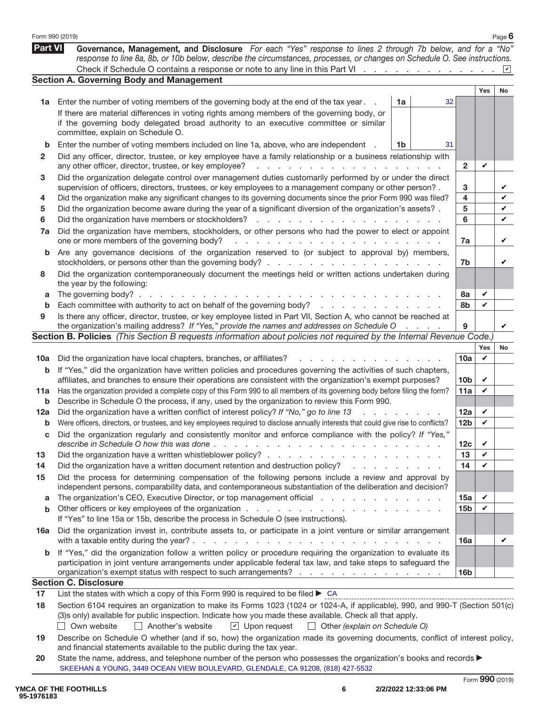|             | Form 990 (2019)                                                                                                                                                                                                                                                           |    |                |                 |     | Page 6         |  |  |  |  |
|-------------|---------------------------------------------------------------------------------------------------------------------------------------------------------------------------------------------------------------------------------------------------------------------------|----|----------------|-----------------|-----|----------------|--|--|--|--|
| Part VI     | Governance, Management, and Disclosure For each "Yes" response to lines 2 through 7b below, and for a "No"<br>response to line 8a, 8b, or 10b below, describe the circumstances, processes, or changes on Schedule O. See instructions.                                   |    |                |                 |     |                |  |  |  |  |
|             | Check if Schedule O contains a response or note to any line in this Part VI                                                                                                                                                                                               |    |                |                 |     | $ \mathbf{v} $ |  |  |  |  |
|             | <b>Section A. Governing Body and Management</b>                                                                                                                                                                                                                           |    |                |                 |     |                |  |  |  |  |
|             |                                                                                                                                                                                                                                                                           | 1a | 32             |                 | Yes | <b>No</b>      |  |  |  |  |
| 1a          | Enter the number of voting members of the governing body at the end of the tax year.<br>If there are material differences in voting rights among members of the governing body, or                                                                                        |    |                |                 |     |                |  |  |  |  |
|             | if the governing body delegated broad authority to an executive committee or similar                                                                                                                                                                                      |    |                |                 |     |                |  |  |  |  |
|             | committee, explain on Schedule O.                                                                                                                                                                                                                                         |    |                |                 |     |                |  |  |  |  |
| b           | Enter the number of voting members included on line 1a, above, who are independent                                                                                                                                                                                        | 1b | 31             |                 |     |                |  |  |  |  |
| 2           | Did any officer, director, trustee, or key employee have a family relationship or a business relationship with                                                                                                                                                            |    |                |                 |     |                |  |  |  |  |
|             | any other officer, director, trustee, or key employee?<br>and a state of the state of the                                                                                                                                                                                 |    |                | $\mathbf{2}$    | V   |                |  |  |  |  |
| 3           | Did the organization delegate control over management duties customarily performed by or under the direct                                                                                                                                                                 |    |                |                 |     |                |  |  |  |  |
|             | supervision of officers, directors, trustees, or key employees to a management company or other person?.                                                                                                                                                                  |    |                | 3               |     | V              |  |  |  |  |
| 4           | Did the organization make any significant changes to its governing documents since the prior Form 990 was filed?                                                                                                                                                          |    |                | 4               |     | V              |  |  |  |  |
| 5           | Did the organization become aware during the year of a significant diversion of the organization's assets? .                                                                                                                                                              |    |                | 5               |     | V              |  |  |  |  |
| 6           | Did the organization have members or stockholders?<br>and a state<br>and a state                                                                                                                                                                                          |    |                | 6               |     | V              |  |  |  |  |
| 7a          | Did the organization have members, stockholders, or other persons who had the power to elect or appoint                                                                                                                                                                   |    |                |                 |     |                |  |  |  |  |
|             | one or more members of the governing body?<br>a carrier and a carrier and a carrier and a car                                                                                                                                                                             |    |                | 7a              |     | V              |  |  |  |  |
| b           | Are any governance decisions of the organization reserved to (or subject to approval by) members,                                                                                                                                                                         |    |                |                 |     |                |  |  |  |  |
|             |                                                                                                                                                                                                                                                                           |    |                | 7b              |     | V              |  |  |  |  |
| 8           | Did the organization contemporaneously document the meetings held or written actions undertaken during                                                                                                                                                                    |    |                |                 |     |                |  |  |  |  |
|             | the year by the following:<br>The governing body? $\ldots$ .<br>the contract of the contract of                                                                                                                                                                           |    |                | 8а              | V   |                |  |  |  |  |
| a<br>b      | Each committee with authority to act on behalf of the governing body?                                                                                                                                                                                                     |    |                | 8b              | V   |                |  |  |  |  |
| 9           | Is there any officer, director, trustee, or key employee listed in Part VII, Section A, who cannot be reached at                                                                                                                                                          |    |                |                 |     |                |  |  |  |  |
|             | the organization's mailing address? If "Yes," provide the names and addresses on Schedule O                                                                                                                                                                               |    | and a state of | 9               |     | V              |  |  |  |  |
|             | Section B. Policies (This Section B requests information about policies not required by the Internal Revenue Code.)                                                                                                                                                       |    |                |                 |     |                |  |  |  |  |
|             |                                                                                                                                                                                                                                                                           |    |                |                 | Yes | No             |  |  |  |  |
| 10a         | Did the organization have local chapters, branches, or affiliates?                                                                                                                                                                                                        |    |                | 10a             | V   |                |  |  |  |  |
| b           | If "Yes," did the organization have written policies and procedures governing the activities of such chapters,                                                                                                                                                            |    |                |                 |     |                |  |  |  |  |
|             | affiliates, and branches to ensure their operations are consistent with the organization's exempt purposes?                                                                                                                                                               |    |                | 10 <sub>b</sub> | V   |                |  |  |  |  |
| 11a         | Has the organization provided a complete copy of this Form 990 to all members of its governing body before filing the form?                                                                                                                                               |    |                | 11a             | V   |                |  |  |  |  |
| b           | Describe in Schedule O the process, if any, used by the organization to review this Form 990.                                                                                                                                                                             |    |                |                 |     |                |  |  |  |  |
| 12a         | Did the organization have a written conflict of interest policy? If "No," go to line 13                                                                                                                                                                                   |    |                | 12a             | V   |                |  |  |  |  |
| b           | Were officers, directors, or trustees, and key employees required to disclose annually interests that could give rise to conflicts?                                                                                                                                       |    |                | 12 <sub>b</sub> | V   |                |  |  |  |  |
| С           | Did the organization regularly and consistently monitor and enforce compliance with the policy? If "Yes,                                                                                                                                                                  |    |                | 12 <sub>c</sub> | V   |                |  |  |  |  |
| 13          |                                                                                                                                                                                                                                                                           |    |                | 13              | V   |                |  |  |  |  |
| 14          | Did the organization have a written document retention and destruction policy?<br>and the company of the company of                                                                                                                                                       |    |                | 14              | V   |                |  |  |  |  |
| 15          | Did the process for determining compensation of the following persons include a review and approval by                                                                                                                                                                    |    |                |                 |     |                |  |  |  |  |
|             | independent persons, comparability data, and contemporaneous substantiation of the deliberation and decision?                                                                                                                                                             |    |                |                 |     |                |  |  |  |  |
| a           | The organization's CEO, Executive Director, or top management official                                                                                                                                                                                                    |    |                | 15a             | V   |                |  |  |  |  |
| b           |                                                                                                                                                                                                                                                                           |    |                | 15 <sub>b</sub> | V   |                |  |  |  |  |
|             | If "Yes" to line 15a or 15b, describe the process in Schedule O (see instructions).                                                                                                                                                                                       |    |                |                 |     |                |  |  |  |  |
| 16a         | Did the organization invest in, contribute assets to, or participate in a joint venture or similar arrangement                                                                                                                                                            |    |                |                 |     |                |  |  |  |  |
|             | with a taxable entity during the year?.<br>the contract of the contract of the contract of the contract of the contract of the contract of the contract of the contract of the contract of the contract of the contract of the contract of the contract of the contract o |    |                | 16a             |     | V              |  |  |  |  |
| $\mathbf b$ | If "Yes," did the organization follow a written policy or procedure requiring the organization to evaluate its                                                                                                                                                            |    |                |                 |     |                |  |  |  |  |
|             | participation in joint venture arrangements under applicable federal tax law, and take steps to safeguard the                                                                                                                                                             |    |                |                 |     |                |  |  |  |  |
|             | organization's exempt status with respect to such arrangements?                                                                                                                                                                                                           |    |                | 16 <sub>b</sub> |     |                |  |  |  |  |
|             | <b>Section C. Disclosure</b>                                                                                                                                                                                                                                              |    |                |                 |     |                |  |  |  |  |
| 17          | List the states with which a copy of this Form 990 is required to be filed $\triangleright$ CA                                                                                                                                                                            |    |                |                 |     |                |  |  |  |  |
| 18          | Section 6104 requires an organization to make its Forms 1023 (1024 or 1024-A, if applicable), 990, and 990-T (Section 501(c)<br>(3)s only) available for public inspection. Indicate how you made these available. Check all that apply.                                  |    |                |                 |     |                |  |  |  |  |
|             | Own website<br>Another's website<br>$\boxed{\mathbf{v}}$ Upon request<br>$\Box$ Other (explain on Schedule O)                                                                                                                                                             |    |                |                 |     |                |  |  |  |  |
| 19          | Describe on Schedule O whether (and if so, how) the organization made its governing documents, conflict of interest policy,                                                                                                                                               |    |                |                 |     |                |  |  |  |  |
|             | and financial statements available to the public during the tax year.                                                                                                                                                                                                     |    |                |                 |     |                |  |  |  |  |
| 20          | State the name, address, and telephone number of the person who possesses the organization's books and records $\blacktriangleright$                                                                                                                                      |    |                |                 |     |                |  |  |  |  |
|             | SKEEHAN & YOUNG, 3449 OCEAN VIEW BOULEVARD, GLENDALE, CA 91208, (818) 427-5532                                                                                                                                                                                            |    |                |                 |     |                |  |  |  |  |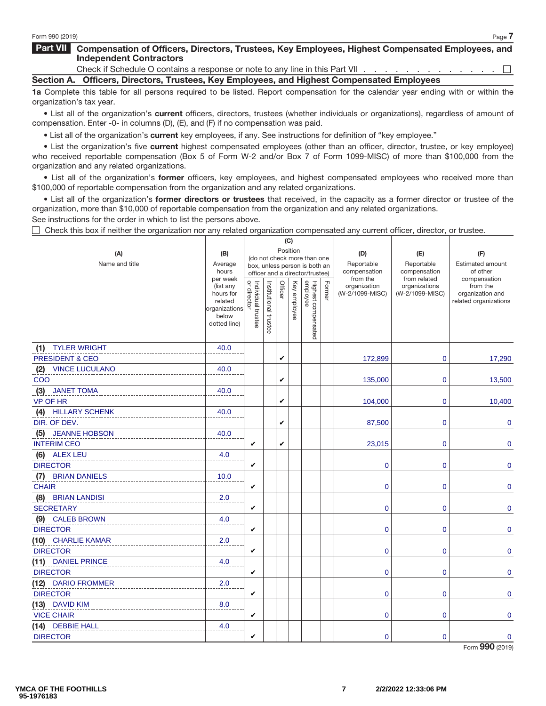### **Part VII Compensation of Officers, Directors, Trustees, Key Employees, Highest Compensated Employees, and Independent Contractors**

Check if Schedule O contains a response or note to any line in this Part VII . .  $\Box$ **Section A. Officers, Directors, Trustees, Key Employees, and Highest Compensated Employees**

**1a** Complete this table for all persons required to be listed. Report compensation for the calendar year ending with or within the organization's tax year.

• List all of the organization's **current** officers, directors, trustees (whether individuals or organizations), regardless of amount of compensation. Enter -0- in columns (D), (E), and (F) if no compensation was paid.

• List all of the organization's **current** key employees, if any. See instructions for definition of "key employee."

• List the organization's five **current** highest compensated employees (other than an officer, director, trustee, or key employee) who received reportable compensation (Box 5 of Form W-2 and/or Box 7 of Form 1099-MISC) of more than \$100,000 from the organization and any related organizations.

• List all of the organization's **former** officers, key employees, and highest compensated employees who received more than \$100,000 of reportable compensation from the organization and any related organizations.

• List all of the organization's **former directors or trustees** that received, in the capacity as a former director or trustee of the organization, more than \$10,000 of reportable compensation from the organization and any related organizations.

 $($ 

See instructions for the order in which to list the persons above.

 $\Box$  Check this box if neither the organization nor any related organization compensated any current officer, director, or trustee.

|                              |                        |                                   |                       |         | しり           |                                 |        |                                 |                                  |                                     |
|------------------------------|------------------------|-----------------------------------|-----------------------|---------|--------------|---------------------------------|--------|---------------------------------|----------------------------------|-------------------------------------|
| (A)                          | (B)                    |                                   |                       |         | Position     | (do not check more than one     |        | (D)                             | (E)                              | (F)                                 |
| Name and title               | Average<br>hours       |                                   |                       |         |              | box, unless person is both an   |        | Reportable<br>compensation      | Reportable<br>compensation       | <b>Estimated amount</b><br>of other |
|                              | per week               |                                   |                       |         |              | officer and a director/trustee) |        | from the                        | from related                     | compensation                        |
|                              | (list any<br>hours for | Individual trustee<br>or director | Institutional trustee | Officer | Key employee | Highest compensated<br>employee | Former | organization<br>(W-2/1099-MISC) | organizations<br>(W-2/1099-MISC) | from the<br>organization and        |
|                              | related                |                                   |                       |         |              |                                 |        |                                 |                                  | related organizations               |
|                              | organizations<br>below |                                   |                       |         |              |                                 |        |                                 |                                  |                                     |
|                              | dotted line)           |                                   |                       |         |              |                                 |        |                                 |                                  |                                     |
|                              |                        |                                   |                       |         |              |                                 |        |                                 |                                  |                                     |
| (1) TYLER WRIGHT             | 40.0                   |                                   |                       |         |              |                                 |        |                                 |                                  |                                     |
| <b>PRESIDENT &amp; CEO</b>   |                        |                                   |                       | V       |              |                                 |        | 172,899                         | $\mathbf 0$                      | 17,290                              |
| (2)<br><b>VINCE LUCULANO</b> | 40.0                   |                                   |                       |         |              |                                 |        |                                 |                                  |                                     |
| COO                          |                        |                                   |                       | V       |              |                                 |        | 135,000                         | $\mathbf 0$                      | 13,500                              |
| (3)<br><b>JANET TOMA</b>     | 40.0                   |                                   |                       |         |              |                                 |        |                                 |                                  |                                     |
| <b>VP OF HR</b>              |                        |                                   |                       | V       |              |                                 |        | 104,000                         | $\mathbf 0$                      | 10,400                              |
| (4)<br><b>HILLARY SCHENK</b> | 40.0                   |                                   |                       |         |              |                                 |        |                                 |                                  |                                     |
| DIR. OF DEV.                 |                        |                                   |                       | V       |              |                                 |        | 87,500                          | $\mathbf 0$                      | 0                                   |
| <b>JEANNE HOBSON</b><br>(5)  | 40.0                   |                                   |                       |         |              |                                 |        |                                 |                                  |                                     |
| <b>INTERIM CEO</b>           |                        | V                                 |                       | V       |              |                                 |        | 23,015                          | $\mathbf 0$                      | 0                                   |
| (6) ALEX LEU                 | 4.0                    |                                   |                       |         |              |                                 |        |                                 |                                  |                                     |
| <b>DIRECTOR</b>              |                        | V                                 |                       |         |              |                                 |        | $\bf{0}$                        | $\mathbf 0$                      | 0                                   |
| (7)<br><b>BRIAN DANIELS</b>  | 10.0                   |                                   |                       |         |              |                                 |        |                                 |                                  |                                     |
| <b>CHAIR</b>                 |                        | V                                 |                       |         |              |                                 |        | $\mathbf 0$                     | $\mathbf 0$                      | $\pmb{0}$                           |
| (8)<br><b>BRIAN LANDISI</b>  | 2.0                    |                                   |                       |         |              |                                 |        |                                 |                                  |                                     |
| <b>SECRETARY</b>             |                        | V                                 |                       |         |              |                                 |        | 0                               | $\pmb{0}$                        | $\pmb{0}$                           |
| (9) CALEB BROWN              | 4.0                    |                                   |                       |         |              |                                 |        |                                 |                                  |                                     |
| <b>DIRECTOR</b>              |                        | V                                 |                       |         |              |                                 |        | 0                               | $\pmb{0}$                        | $\pmb{0}$                           |
| (10) CHARLIE KAMAR           | 2.0                    |                                   |                       |         |              |                                 |        |                                 |                                  |                                     |
| <b>DIRECTOR</b>              |                        | V                                 |                       |         |              |                                 |        | 0                               | $\pmb{0}$                        | 0                                   |
| (11) DANIEL PRINCE           | 4.0                    |                                   |                       |         |              |                                 |        |                                 |                                  |                                     |
| <b>DIRECTOR</b>              |                        | V                                 |                       |         |              |                                 |        | 0                               | 0                                | 0                                   |
| (12) DARIO FROMMER           | 2.0                    |                                   |                       |         |              |                                 |        |                                 |                                  |                                     |
| <b>DIRECTOR</b>              |                        | V                                 |                       |         |              |                                 |        | 0                               | $\mathbf 0$                      | 0                                   |
| (13) DAVID KIM               | 8.0                    |                                   |                       |         |              |                                 |        |                                 |                                  |                                     |
| <b>VICE CHAIR</b>            |                        | V                                 |                       |         |              |                                 |        | $\mathbf 0$                     | $\mathbf 0$                      | 0                                   |
| (14) DEBBIE HALL             | 4.0                    |                                   |                       |         |              |                                 |        |                                 |                                  |                                     |
| <b>DIRECTOR</b>              |                        | V                                 |                       |         |              |                                 |        | $\mathbf 0$                     | $\mathbf 0$                      | 0                                   |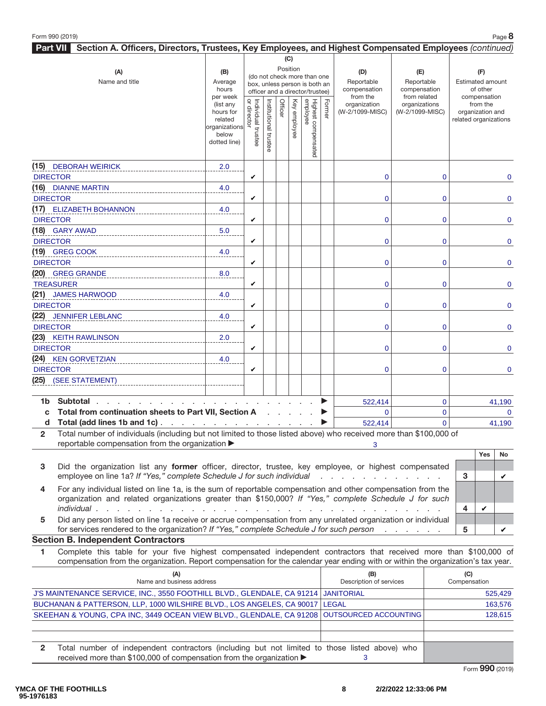| Section A. Officers, Directors, Trustees, Key Employees, and Highest Compensated Employees (continued)<br>Part VII                  |                          |                                                              |                       |         |              |                                 |        |                          |                               |                          |
|-------------------------------------------------------------------------------------------------------------------------------------|--------------------------|--------------------------------------------------------------|-----------------------|---------|--------------|---------------------------------|--------|--------------------------|-------------------------------|--------------------------|
|                                                                                                                                     |                          |                                                              |                       |         | (C)          |                                 |        |                          |                               |                          |
| (A)                                                                                                                                 | (B)                      |                                                              |                       |         | Position     |                                 |        | (D)                      | (E)                           | (F)                      |
| Name and title                                                                                                                      | Average                  | (do not check more than one<br>box, unless person is both an |                       |         |              |                                 |        | Reportable               | Reportable                    | <b>Estimated amount</b>  |
|                                                                                                                                     | hours                    |                                                              |                       |         |              | officer and a director/trustee) |        | compensation             | compensation                  | of other                 |
|                                                                                                                                     | per week<br>(list any    | Individual trustee<br>or director                            |                       | Officer |              |                                 |        | from the<br>organization | from related<br>organizations | compensation<br>from the |
|                                                                                                                                     | hours for                |                                                              | Institutional trustee |         | Key employee | Highest compensated<br>employee | Former | (W-2/1099-MISC)          | (W-2/1099-MISC)               | organization and         |
|                                                                                                                                     | related<br>organizations |                                                              |                       |         |              |                                 |        |                          |                               | related organizations    |
|                                                                                                                                     | below                    |                                                              |                       |         |              |                                 |        |                          |                               |                          |
|                                                                                                                                     | dotted line)             |                                                              |                       |         |              |                                 |        |                          |                               |                          |
|                                                                                                                                     |                          |                                                              |                       |         |              |                                 |        |                          |                               |                          |
| (15) DEBORAH WEIRICK                                                                                                                | 2.0                      |                                                              |                       |         |              |                                 |        |                          |                               |                          |
| <b>DIRECTOR</b>                                                                                                                     |                          | V                                                            |                       |         |              |                                 |        | 0                        | $\overline{0}$                | 0                        |
| (16) DIANNE MARTIN<br><b>DIRECTOR</b>                                                                                               | 4.0                      | V                                                            |                       |         |              |                                 |        |                          | $\mathbf 0$                   |                          |
| (17) ELIZABETH BOHANNON                                                                                                             | 4.0                      |                                                              |                       |         |              |                                 |        | 0                        |                               | $\mathbf 0$              |
| <b>DIRECTOR</b>                                                                                                                     |                          | V                                                            |                       |         |              |                                 |        | 0                        | $\mathbf 0$                   | $\mathbf 0$              |
| (18) GARY AWAD                                                                                                                      | 5.0                      |                                                              |                       |         |              |                                 |        |                          |                               |                          |
| <b>DIRECTOR</b>                                                                                                                     |                          | V                                                            |                       |         |              |                                 |        | 0                        | 0                             | $\mathbf 0$              |
| (19) GREG COOK                                                                                                                      | 4.0                      |                                                              |                       |         |              |                                 |        |                          |                               |                          |
| <b>DIRECTOR</b>                                                                                                                     |                          | V                                                            |                       |         |              |                                 |        | 0                        | $\overline{0}$                | $\overline{0}$           |
| (20) GREG GRANDE                                                                                                                    | 8.0                      |                                                              |                       |         |              |                                 |        |                          |                               |                          |
| <b>TREASURER</b>                                                                                                                    |                          | V                                                            |                       |         |              |                                 |        | 0                        | $\mathbf 0$                   | $\mathbf 0$              |
| (21) JAMES HARWOOD                                                                                                                  | 4.0                      |                                                              |                       |         |              |                                 |        |                          |                               |                          |
| <b>DIRECTOR</b>                                                                                                                     |                          | V                                                            |                       |         |              |                                 |        | 0                        | 0                             | $\mathbf 0$              |
| (22) JENNIFER LEBLANC                                                                                                               | 4.0                      |                                                              |                       |         |              |                                 |        |                          |                               |                          |
| <b>DIRECTOR</b>                                                                                                                     |                          | V                                                            |                       |         |              |                                 |        | 0                        | $\mathbf 0$                   | $\mathbf 0$              |
| (23) KEITH RAWLINSON                                                                                                                | 2.0                      |                                                              |                       |         |              |                                 |        |                          |                               |                          |
| <b>DIRECTOR</b>                                                                                                                     |                          | V                                                            |                       |         |              |                                 |        | $\overline{0}$           | $\mathbf 0$                   | $\overline{0}$           |
| (24) KEN GORVETZIAN                                                                                                                 | 4.0                      |                                                              |                       |         |              |                                 |        |                          |                               |                          |
| <b>DIRECTOR</b>                                                                                                                     |                          | V                                                            |                       |         |              |                                 |        | $\mathbf 0$              | $\mathbf 0$                   | 0                        |
| (25) (SEE STATEMENT)                                                                                                                |                          |                                                              |                       |         |              |                                 |        |                          |                               |                          |
| Subtotal<br>1b l                                                                                                                    |                          |                                                              |                       |         |              |                                 | ▶      | 522,414                  | $\mathbf 0$                   | 41,190                   |
| Total from continuation sheets to Part VII, Section A<br>C                                                                          |                          |                                                              |                       |         |              |                                 | ▶      | $\mathbf{0}$             | $\mathbf 0$                   | $\mathbf{0}$             |
| d Total (add lines 1b and 1c)                                                                                                       |                          |                                                              |                       |         |              |                                 |        | 522,414                  | $\overline{0}$                | 41,190                   |
| Total number of individuals (including but not limited to those listed above) who received more than \$100,000 of<br>$\overline{2}$ |                          |                                                              |                       |         |              |                                 |        |                          |                               |                          |

reportable compensation from the organization  $\blacktriangleright$ 

- **3** Did the organization list any **former** officer, director, trustee, key employee, or highest compensated employee on line 1a? If "Yes," complete Schedule J for such individual . . . . . . . . . . . . . . 3
- **4** For any individual listed on line 1a, is the sum of reportable compensation and other compensation from the organization and related organizations greater than \$150,000? If "Yes," complete Schedule J for such individual ................................. **4**
- **5** Did any person listed on line 1a receive or accrue compensation from any unrelated organization or individual for services rendered to the organization? If "Yes," complete Schedule J for such person ...... **5**

#### **Section B. Independent Contractors**

**1** Complete this table for your five highest compensated independent contractors that received more than \$100,000 of compensation from the organization. Report compensation for the calendar year ending with or within the organization's tax year.

| (A)<br>Name and business address                                                              | (B)<br>Description of services | (C)<br>Compensation |
|-----------------------------------------------------------------------------------------------|--------------------------------|---------------------|
| J'S MAINTENANCE SERVICE, INC., 3550 FOOTHILL BLVD., GLENDALE, CA 91214 JANITORIAL             |                                | 525.429             |
| BUCHANAN & PATTERSON, LLP, 1000 WILSHIRE BLVD., LOS ANGELES, CA 90017 LEGAL                   |                                | 163.576             |
| SKEEHAN & YOUNG, CPA INC, 3449 OCEAN VIEW BLVD., GLENDALE, CA 91208 OUTSOURCED ACCOUNTING     |                                | 128.615             |
|                                                                                               |                                |                     |
|                                                                                               |                                |                     |
| Total number of independent contractors (including but not limited to those listed above) who |                                |                     |
| received more than \$100,000 of compensation from the organization ▶                          |                                |                     |

**Yes No**

 $\mathbf v$ 

✔

✔

3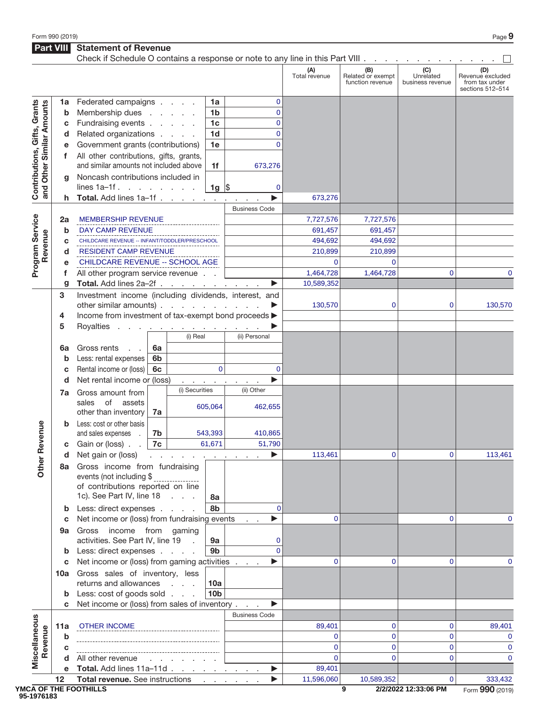**Part VIII Statement of Revenue** 

|                                                           |         | Check if Schedule O contains a response or note to any line in this Part VIII |                |                                              |                      |                                |                      |                                              |                                      |                                                               |
|-----------------------------------------------------------|---------|-------------------------------------------------------------------------------|----------------|----------------------------------------------|----------------------|--------------------------------|----------------------|----------------------------------------------|--------------------------------------|---------------------------------------------------------------|
|                                                           |         |                                                                               |                |                                              |                      |                                | (A)<br>Total revenue | (B)<br>Related or exempt<br>function revenue | (C)<br>Unrelated<br>business revenue | (D)<br>Revenue excluded<br>from tax under<br>sections 512-514 |
|                                                           | 1a      | Federated campaigns                                                           |                |                                              | 1a                   | 0                              |                      |                                              |                                      |                                                               |
| Contributions, Gifts, Grants<br>and Other Similar Amounts | b       | Membership dues                                                               |                |                                              | 1 <sub>b</sub>       | $\mathbf{0}$                   |                      |                                              |                                      |                                                               |
|                                                           | c       | Fundraising events                                                            |                |                                              | 1 <sub>c</sub>       | $\mathbf{0}$                   |                      |                                              |                                      |                                                               |
|                                                           | d       | Related organizations                                                         |                |                                              | 1 <sub>d</sub>       | 0                              |                      |                                              |                                      |                                                               |
|                                                           |         | Government grants (contributions)                                             |                |                                              | 1e                   | $\Omega$                       |                      |                                              |                                      |                                                               |
|                                                           | f       | All other contributions, gifts, grants,                                       |                |                                              |                      |                                |                      |                                              |                                      |                                                               |
|                                                           |         | and similar amounts not included above                                        |                |                                              | 1f                   | 673,276                        |                      |                                              |                                      |                                                               |
|                                                           | q       | Noncash contributions included in                                             |                |                                              |                      |                                |                      |                                              |                                      |                                                               |
|                                                           |         | lines $1a-1f$ .                                                               |                |                                              | $1g \,$ \$           | 0                              |                      |                                              |                                      |                                                               |
|                                                           |         | Total. Add lines 1a-1f                                                        |                |                                              |                      |                                | 673,276              |                                              |                                      |                                                               |
|                                                           |         |                                                                               |                |                                              | <b>Business Code</b> |                                |                      |                                              |                                      |                                                               |
|                                                           | 2a      | <b>MEMBERSHIP REVENUE</b>                                                     |                |                                              |                      |                                | 7,727,576            | 7,727,576                                    |                                      |                                                               |
| Program Service                                           | b       | <b>DAY CAMP REVENUE</b>                                                       |                |                                              |                      |                                | 691,457              | 691,457                                      |                                      |                                                               |
| Revenue                                                   | C       | CHILDCARE REVENUE -- INFANT/TODDLER/PRESCHOOL                                 |                |                                              |                      |                                | 494,692              | 494,692                                      |                                      |                                                               |
|                                                           | d       | <b>RESIDENT CAMP REVENUE</b>                                                  |                |                                              |                      |                                | 210,899              | 210,899                                      |                                      |                                                               |
|                                                           |         | CHILDCARE REVENUE -- SCHOOL AGE                                               |                |                                              |                      |                                | 0                    | $\mathbf 0$                                  |                                      |                                                               |
|                                                           | f       | All other program service revenue                                             |                |                                              |                      |                                | 1,464,728            | 1,464,728                                    | 0                                    | 0                                                             |
|                                                           | g       | Total. Add lines 2a-2f                                                        |                |                                              |                      | ▶<br>$\sim$                    | 10,589,352           |                                              |                                      |                                                               |
|                                                           | 3       | Investment income (including dividends, interest, and                         |                |                                              |                      |                                |                      |                                              |                                      |                                                               |
|                                                           |         | other similar amounts).                                                       |                | the contract of the contract of              |                      |                                | 130,570              | 0                                            | 0                                    | 130,570                                                       |
|                                                           | 4       | Income from investment of tax-exempt bond proceeds >                          |                |                                              |                      |                                |                      |                                              |                                      |                                                               |
|                                                           | 5       | Royalties                                                                     |                | المناطب والمتناول والمتناول والمناطر والمناو |                      |                                |                      |                                              |                                      |                                                               |
|                                                           |         |                                                                               |                | (i) Real                                     |                      | (ii) Personal                  |                      |                                              |                                      |                                                               |
|                                                           | 6а      | Gross rents                                                                   | 6a             |                                              |                      |                                |                      |                                              |                                      |                                                               |
|                                                           | b       | Less: rental expenses                                                         | 6 <sub>b</sub> |                                              |                      |                                |                      |                                              |                                      |                                                               |
|                                                           | c       | Rental income or (loss)<br>Net rental income or (loss)                        | 6c             |                                              | $\mathbf{0}$         | 0<br>▶                         |                      |                                              |                                      |                                                               |
|                                                           | d       |                                                                               |                | (i) Securities                               | and a string of      | $\sim$ 100 $\pm$<br>(ii) Other |                      |                                              |                                      |                                                               |
|                                                           | 7a      | Gross amount from                                                             |                |                                              |                      |                                |                      |                                              |                                      |                                                               |
|                                                           |         | of<br>sales<br>assets<br>other than inventory                                 | 7a             |                                              | 605,064              | 462,655                        |                      |                                              |                                      |                                                               |
|                                                           | b       | Less: cost or other basis                                                     |                |                                              |                      |                                |                      |                                              |                                      |                                                               |
| evenue                                                    |         | and sales expenses                                                            | 7b             |                                              | 543,393              | 410,865                        |                      |                                              |                                      |                                                               |
|                                                           | С       | Gain or (loss).                                                               | 7c             |                                              | 61,671               | 51,790                         |                      |                                              |                                      |                                                               |
| œ                                                         | a       | Net gain or (loss) $\ldots$ $\ldots$ $\ldots$ $\ldots$                        |                |                                              |                      | ▶                              | 113,461              | 0                                            | 0                                    | 113,461                                                       |
| Other                                                     |         | 8a Gross income from fundraising                                              |                |                                              |                      |                                |                      |                                              |                                      |                                                               |
|                                                           |         | events (not including \$                                                      |                |                                              |                      |                                |                      |                                              |                                      |                                                               |
|                                                           |         | of contributions reported on line                                             |                |                                              |                      |                                |                      |                                              |                                      |                                                               |
|                                                           |         | 1c). See Part IV, line 18                                                     |                |                                              | 8a                   |                                |                      |                                              |                                      |                                                               |
|                                                           | b       | Less: direct expenses                                                         |                |                                              | 8b                   | $\Omega$                       |                      |                                              |                                      |                                                               |
|                                                           | c       | Net income or (loss) from fundraising events                                  |                |                                              |                      | ▶<br><b>Contract</b>           | 0                    |                                              | 0                                    | 0                                                             |
|                                                           | 9а      | Gross income from gaming                                                      |                |                                              |                      |                                |                      |                                              |                                      |                                                               |
|                                                           |         | activities. See Part IV, line 19                                              |                | $\sim$                                       | 9а                   | 0                              |                      |                                              |                                      |                                                               |
|                                                           | b       | Less: direct expenses                                                         |                |                                              | 9b                   | $\overline{0}$                 |                      |                                              |                                      |                                                               |
|                                                           | С       | Net income or (loss) from gaming activities                                   |                |                                              |                      | ▶                              | 0                    | 0                                            | 0                                    | 0                                                             |
|                                                           |         | 10a Gross sales of inventory, less                                            |                |                                              |                      |                                |                      |                                              |                                      |                                                               |
|                                                           |         | returns and allowances                                                        |                |                                              | 10a                  |                                |                      |                                              |                                      |                                                               |
|                                                           | b       | Less: cost of goods sold                                                      |                |                                              | 10 <sub>b</sub>      |                                |                      |                                              |                                      |                                                               |
|                                                           | C       | Net income or (loss) from sales of inventory                                  |                |                                              |                      | ▶                              |                      |                                              |                                      |                                                               |
|                                                           |         |                                                                               |                |                                              |                      | <b>Business Code</b>           |                      |                                              |                                      |                                                               |
|                                                           | 11a     | <b>OTHER INCOME</b>                                                           |                |                                              |                      |                                | 89,401               | 0                                            | 0                                    | 89,401                                                        |
|                                                           | b       |                                                                               |                |                                              |                      |                                | 0                    | $\mathbf 0$                                  | $\overline{0}$                       | $\mathbf 0$                                                   |
| Miscellaneous<br>Revenue                                  | С       |                                                                               |                |                                              |                      |                                | $\Omega$<br>$\Omega$ | $\mathbf 0$                                  | 0<br>$\overline{0}$                  | $\mathbf 0$                                                   |
|                                                           |         | All other revenue                                                             |                |                                              |                      |                                |                      | $\mathbf 0$                                  |                                      | $\mathbf 0$                                                   |
|                                                           | е<br>12 | <b>Total.</b> Add lines $11a-11d$ .<br>Total revenue. See instructions        |                |                                              |                      | ▶<br>▶                         | 89,401<br>11,596,060 | 10,589,352                                   | $\mathbf{0}$                         | 333,432                                                       |
|                                                           |         |                                                                               |                |                                              |                      |                                |                      |                                              |                                      |                                                               |

**9 2/2/2022 12:33:06 PM**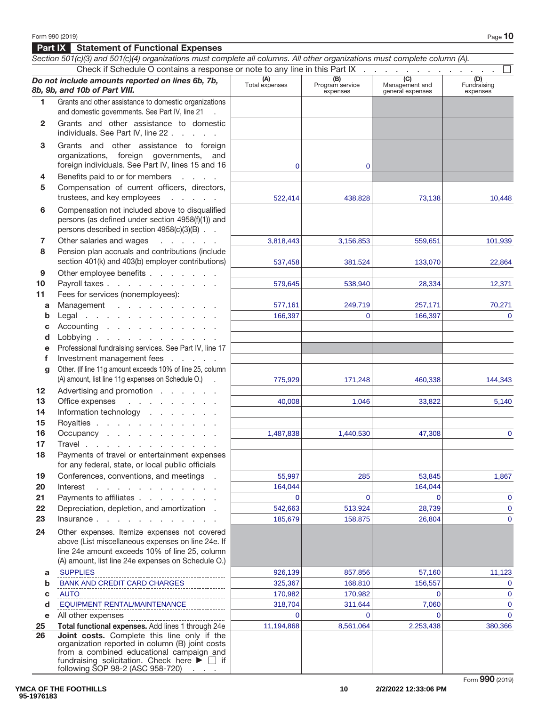**Part IX Statement of Functional Expenses**

#### Section 501(c)(3) and 501(c)(4) organizations must complete all columns. All other organizations must complete column (A). Check if Schedule O contains a response or note to any line in this Part IX *Do not include amounts reported on lines 6b, 7b, 8b, 9b, and 10b of Part VIII.* **(A)**  Total expenses **(B)**  Program service expenses **(C)**  Management and general expenses **(D)**  Fundraising expenses **1** Grants and other assistance to domestic organizations and domestic governments. See Part IV, line 21 . **2** Grants and other assistance to domestic individuals. See Part IV, line 22 ..... **3** Grants and other assistance to foreign organizations, foreign governments, and foreign individuals. See Part IV, lines 15 and 16 **4** Benefits paid to or for members .... **5** Compensation of current officers, directors, trustees, and key employees . . . . . **6** Compensation not included above to disqualified persons (as defined under section 4958(f)(1)) and persons described in section 4958(c)(3)(B) . . **7** Other salaries and wages . . . . . . **8** Pension plan accruals and contributions (include section 401(k) and 403(b) employer contributions) **9** Other employee benefits . . . . . . . 10 Payroll taxes . . . . . . . . **11** Fees for services (nonemployees): **a** Management . . . . . . . . **b** Legal ............. **c** Accounting . . . . . . . . **d** Lobbying . . . . . . . **e** Professional fundraising services. See Part IV, line 17 **f Investment management fees** . . . . . **g** Other. (If line 11g amount exceeds 10% of line 25, column (A) amount, list line 11g expenses on Schedule O.) . **12** Advertising and promotion . . . . . **13** Office expenses ......... 14 Information technology . . . . **15** Royalties . . . . . . . . . **16** Occupancy . . . . . . . . **17** Travel . . . . . . . . . . . . **18** Payments of travel or entertainment expenses for any federal, state, or local public officials **19** Conferences, conventions, and meetings . **20 Interest** . . . . . . . . . . . **21** Payments to affiliates . . . . . **22** Depreciation, depletion, and amortization . **23 Insurance** . . . . . . . . . . . . **24** Other expenses. Itemize expenses not covered above (List miscellaneous expenses on line 24e. If line 24e amount exceeds 10% of line 25, column (A) amount, list line 24e expenses on Schedule O.) **a b c d e** All other expenses **25 Total functional expenses.** Add lines 1 through 24e **26 Joint costs.** Complete this line only if the organization reported in column (B) joint costs from a combined educational campaign and fundraising solicitation. Check here  $\blacktriangleright \Box$  if 0 0 522,414 438,828 73,138 10,448 3,818,443 3,156,853 559,651 559,651 537,458 381,524 133,070 22,864 579,645 538,940 28,334 12,371 577,161 249,719 257,171 70,271 166,397 0 166,397 0 166,397 0 775,929 171,248 460,338 144,343 40,008 1,046 33,822 5,140 1,487,838 1,440,530 47,308 55,997 285 53,845 1,867 164,044 164,044 0 0 0 0 542,663 513,924 28,739 0 185,679 158,875 26,804 26,804 SUPPLIES 926,139 857,856 57,160 11,123 BANK AND CREDIT CARD CHARGES  $\begin{array}{|c|c|c|c|c|c|c|c|c|} \hline \text{BANK AND CREDIT CARD CHARGES} & & & 325,367 & & 168,810\end{array}$ AUTO 170,982 170,982 0 0 EQUIPMENT RENTAL/MAINTENANCE 318,704 311,644 7,060 0 0 0 0 0 11,194,868 8,561,064 2,253,438 380,366

following SOP 98-2 (ASC 958-720)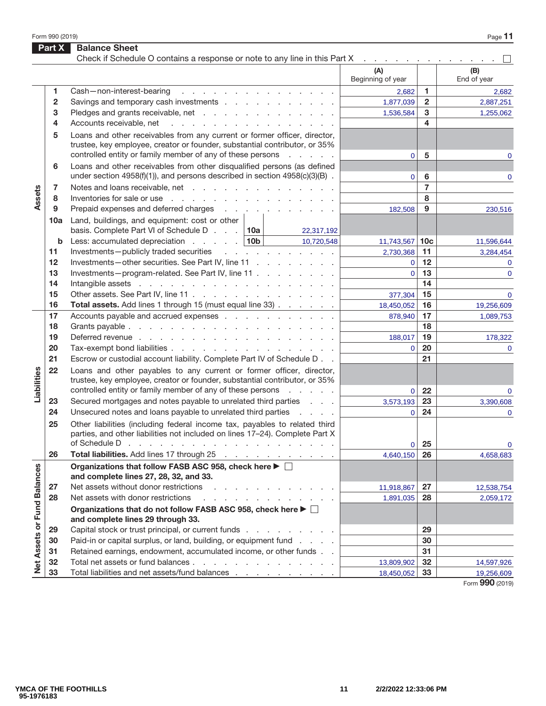Form 990 (2019) Page **11** 

|                             | Part X       | <b>Balance Sheet</b><br>Check if Schedule O contains a response or note to any line in this Part X                                                                                                                                                          | the contract of the contract of |                 |                    |
|-----------------------------|--------------|-------------------------------------------------------------------------------------------------------------------------------------------------------------------------------------------------------------------------------------------------------------|---------------------------------|-----------------|--------------------|
|                             |              |                                                                                                                                                                                                                                                             | (A)<br>Beginning of year        |                 | (B)<br>End of year |
|                             | 1.           | Cash-non-interest-bearing<br>design and contract to the contract of the contract of the contract of the contract of the contract of the contract of the contract of the contract of the contract of the contract of the contract of the contract of the con | 2,682                           | 1.              | 2,682              |
|                             | $\mathbf{2}$ |                                                                                                                                                                                                                                                             | 1,877,039                       | $\mathbf{2}$    | 2,887,251          |
|                             | 3            | Pledges and grants receivable, net                                                                                                                                                                                                                          | 1,536,584                       | 3               | 1,255,062          |
|                             | 4            | Accounts receivable, net<br>and the contract of the contract of the contract of                                                                                                                                                                             |                                 | 4               |                    |
|                             | 5            | Loans and other receivables from any current or former officer, director,                                                                                                                                                                                   |                                 |                 |                    |
|                             |              | trustee, key employee, creator or founder, substantial contributor, or 35%                                                                                                                                                                                  |                                 |                 |                    |
|                             |              | controlled entity or family member of any of these persons<br>and a state of                                                                                                                                                                                | $\overline{0}$                  | 5               | 0                  |
|                             | 6            | Loans and other receivables from other disqualified persons (as defined                                                                                                                                                                                     |                                 |                 |                    |
|                             |              | under section $4958(f)(1)$ , and persons described in section $4958(c)(3)(B)$ .                                                                                                                                                                             | $\mathbf 0$                     | 6               | 0                  |
|                             | 7            | Notes and loans receivable, net                                                                                                                                                                                                                             |                                 | $\overline{7}$  |                    |
| Assets                      | 8            | Inventories for sale or use reader and reader and reader and reader and reader and reader and reader and reader                                                                                                                                             |                                 | 8               |                    |
|                             | 9            | Prepaid expenses and deferred charges                                                                                                                                                                                                                       | 182,508                         | 9               | 230,516            |
|                             | 10a          | Land, buildings, and equipment: cost or other                                                                                                                                                                                                               |                                 |                 |                    |
|                             |              | basis. Complete Part VI of Schedule D. $\,$ . $\,$ 10a<br>22,317,192                                                                                                                                                                                        |                                 |                 |                    |
|                             | b            | Less: accumulated depreciation $\ldots$ 10b<br>10,720,548                                                                                                                                                                                                   | 11,743,567                      | 10 <sub>c</sub> | 11,596,644         |
|                             | 11           | Investments-publicly traded securities                                                                                                                                                                                                                      | 2,730,368                       | 11              | 3,284,454          |
|                             | 12           | Investments-other securities. See Part IV, line 11                                                                                                                                                                                                          | $\mathbf 0$                     | 12              | $\mathbf{0}$       |
|                             | 13           | Investments-program-related. See Part IV, line 11                                                                                                                                                                                                           | $\overline{0}$                  | 13              | $\mathbf{0}$       |
|                             | 14           |                                                                                                                                                                                                                                                             |                                 | 14              |                    |
|                             | 15           | Other assets. See Part IV, line 11                                                                                                                                                                                                                          | 377,304                         | 15              | $\mathbf{0}$       |
|                             | 16           | Total assets. Add lines 1 through 15 (must equal line 33)                                                                                                                                                                                                   | 18,450,052                      | 16              | 19,256,609         |
|                             | 17           | Accounts payable and accrued expenses                                                                                                                                                                                                                       | 878,940                         | 17              | 1,089,753          |
|                             | 18           |                                                                                                                                                                                                                                                             |                                 | 18              |                    |
|                             | 19           |                                                                                                                                                                                                                                                             | 188,017                         | 19              | 178,322            |
|                             | 20           | Tax-exempt bond liabilities                                                                                                                                                                                                                                 | $\overline{0}$                  | 20              | $\mathbf 0$        |
|                             | 21           | Escrow or custodial account liability. Complete Part IV of Schedule D                                                                                                                                                                                       |                                 | 21              |                    |
| Liabilities                 | 22           | Loans and other payables to any current or former officer, director,<br>trustee, key employee, creator or founder, substantial contributor, or 35%                                                                                                          |                                 |                 |                    |
|                             |              | controlled entity or family member of any of these persons<br>and a state of                                                                                                                                                                                | $\mathbf 0$                     | 22              | $\mathbf 0$        |
|                             | 23           | Secured mortgages and notes payable to unrelated third parties                                                                                                                                                                                              | 3,573,193                       | 23              | 3,390,608          |
|                             | 24           | Unsecured notes and loans payable to unrelated third parties                                                                                                                                                                                                | $\overline{0}$                  | 24              | 0                  |
|                             | 25           | Other liabilities (including federal income tax, payables to related third                                                                                                                                                                                  |                                 |                 |                    |
|                             |              | parties, and other liabilities not included on lines 17-24). Complete Part X                                                                                                                                                                                |                                 |                 |                    |
|                             | 26           | of Schedule D<br>the contract of the contract of the contract of the contract of the contract of                                                                                                                                                            | 0                               | 25              | $\mathbf 0$        |
|                             |              | Total liabilities. Add lines 17 through 25                                                                                                                                                                                                                  | 4,640,150                       | 26              | 4,658,683          |
|                             |              | Organizations that follow FASB ASC 958, check here ▶ □<br>and complete lines 27, 28, 32, and 33.                                                                                                                                                            |                                 |                 |                    |
|                             | 27           | Net assets without donor restrictions<br>the contract of the contract of the con-                                                                                                                                                                           | 11,918,867                      | 27              | 12,538,754         |
|                             | 28           | Net assets with donor restrictions<br>a carrier and a carrier and a carrier                                                                                                                                                                                 | 1,891,035                       | 28              | 2,059,172          |
| Net Assets or Fund Balances |              | Organizations that do not follow FASB ASC 958, check here ▶ □                                                                                                                                                                                               |                                 |                 |                    |
|                             |              | and complete lines 29 through 33.                                                                                                                                                                                                                           |                                 |                 |                    |
|                             | 29           | Capital stock or trust principal, or current funds                                                                                                                                                                                                          |                                 | 29              |                    |
|                             | 30           | Paid-in or capital surplus, or land, building, or equipment fund                                                                                                                                                                                            |                                 | 30              |                    |
|                             | 31           | Retained earnings, endowment, accumulated income, or other funds                                                                                                                                                                                            |                                 | 31              |                    |
|                             | 32           | Total net assets or fund balances                                                                                                                                                                                                                           | 13,809,902                      | 32              | 14,597,926         |
|                             | 33           | Total liabilities and net assets/fund balances                                                                                                                                                                                                              | 18,450,052                      | 33              | 19,256,609         |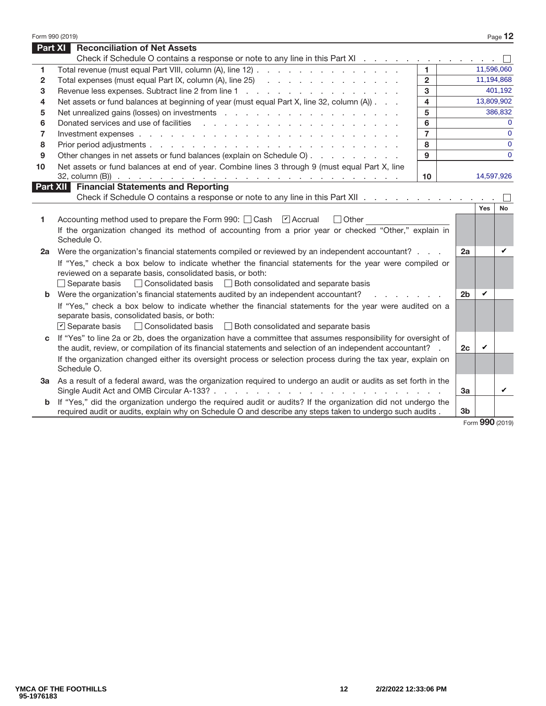|                | Form 990 (2019)                                                                                                                                                                                                                   |                         |                |               | Page 12     |
|----------------|-----------------------------------------------------------------------------------------------------------------------------------------------------------------------------------------------------------------------------------|-------------------------|----------------|---------------|-------------|
| <b>Part XI</b> | <b>Reconciliation of Net Assets</b>                                                                                                                                                                                               |                         |                |               |             |
|                | Check if Schedule O contains a response or note to any line in this Part XI                                                                                                                                                       |                         |                |               |             |
| 1              | Total revenue (must equal Part VIII, column (A), line 12)                                                                                                                                                                         | $\blacksquare$          |                |               | 11,596,060  |
| $\mathbf{2}$   | Total expenses (must equal Part IX, column (A), line 25) (all contacts and contact and contact and contact and contact and contact and contact and contact and contact and contact and contact and contact and contact and con    | $\overline{2}$          |                |               | 11,194,868  |
| 3              | Revenue less expenses. Subtract line 2 from line 1                                                                                                                                                                                | 3                       |                |               | 401,192     |
| 4              | Net assets or fund balances at beginning of year (must equal Part X, line 32, column (A))                                                                                                                                         | $\overline{\mathbf{4}}$ |                |               | 13,809,902  |
| 5              |                                                                                                                                                                                                                                   | 5                       |                |               | 386,832     |
| 6              | Donated services and use of facilities                                                                                                                                                                                            | 6                       |                |               | $\Omega$    |
| 7              |                                                                                                                                                                                                                                   | $\overline{7}$          |                |               | $\Omega$    |
| 8              |                                                                                                                                                                                                                                   | 8                       |                |               | $\Omega$    |
| 9              | Other changes in net assets or fund balances (explain on Schedule O)                                                                                                                                                              | 9                       |                |               | $\mathbf 0$ |
| 10             | Net assets or fund balances at end of year. Combine lines 3 through 9 (must equal Part X, line                                                                                                                                    |                         |                |               |             |
|                |                                                                                                                                                                                                                                   | 10 <sup>1</sup>         |                |               | 14,597,926  |
|                | <b>Part XII Financial Statements and Reporting</b>                                                                                                                                                                                |                         |                |               |             |
|                | Check if Schedule O contains a response or note to any line in this Part XII                                                                                                                                                      |                         |                |               |             |
|                |                                                                                                                                                                                                                                   |                         |                | Yes           | No          |
| 1              | Accounting method used to prepare the Form 990: □ Cash Ø Accrual<br>$\Box$ Other                                                                                                                                                  |                         |                |               |             |
|                | If the organization changed its method of accounting from a prior year or checked "Other," explain in<br>Schedule O.                                                                                                              |                         |                |               |             |
| 2а             | Were the organization's financial statements compiled or reviewed by an independent accountant?                                                                                                                                   |                         | 2a             |               | ✓           |
|                | If "Yes," check a box below to indicate whether the financial statements for the year were compiled or                                                                                                                            |                         |                |               |             |
|                | reviewed on a separate basis, consolidated basis, or both:                                                                                                                                                                        |                         |                |               |             |
|                | $\Box$ Separate basis<br>□ Consolidated basis □ Both consolidated and separate basis                                                                                                                                              |                         |                |               |             |
|                | <b>b</b> Were the organization's financial statements audited by an independent accountant?                                                                                                                                       |                         | 2 <sub>b</sub> | V             |             |
|                | If "Yes," check a box below to indicate whether the financial statements for the year were audited on a                                                                                                                           |                         |                |               |             |
|                | separate basis, consolidated basis, or both:                                                                                                                                                                                      |                         |                |               |             |
|                | $\triangleright$ Separate basis<br>□ Consolidated basis □ Both consolidated and separate basis                                                                                                                                    |                         |                |               |             |
| C              | If "Yes" to line 2a or 2b, does the organization have a committee that assumes responsibility for oversight of                                                                                                                    |                         |                |               |             |
|                | the audit, review, or compilation of its financial statements and selection of an independent accountant? .                                                                                                                       |                         | 2c             | ✓             |             |
|                | If the organization changed either its oversight process or selection process during the tax year, explain on<br>Schedule O.                                                                                                      |                         |                |               |             |
|                | 3a As a result of a federal award, was the organization required to undergo an audit or audits as set forth in the                                                                                                                |                         |                |               |             |
|                | Single Audit Act and OMB Circular A-133?                                                                                                                                                                                          |                         | 3a             |               | ✓           |
|                | <b>b</b> If "Yes," did the organization undergo the required audit or audits? If the organization did not undergo the<br>required audit or audits, explain why on Schedule O and describe any steps taken to undergo such audits. |                         | 3b             |               |             |
|                |                                                                                                                                                                                                                                   |                         |                | $000 \approx$ |             |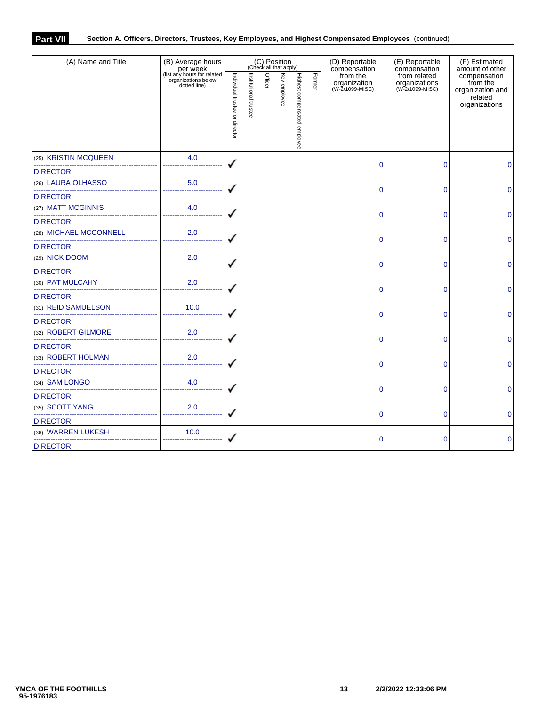## **Part VII Section A. Officers, Directors, Trustees, Key Employees, and Highest Compensated Employees** (continued)

| (A) Name and Title                                           | (B) Average hours                                                              | (C) Position<br>(Check all that apply) |                       |         |              |                              |        | (D) Reportable<br>compensation              | (E) Reportable<br>compensation                   | (F) Estimated<br>amount of other                                         |  |
|--------------------------------------------------------------|--------------------------------------------------------------------------------|----------------------------------------|-----------------------|---------|--------------|------------------------------|--------|---------------------------------------------|--------------------------------------------------|--------------------------------------------------------------------------|--|
|                                                              | per week<br>(list any hours for related<br>organizations below<br>dotted line) | Individual trustee or director         | Institutional trustee | Officer | Key employee | Highest compensated employee | Former | from the<br>organization<br>(W-2/1099-MISC) | from related<br>organizations<br>(W-2/1099-MISC) | compensation<br>from the<br>organization and<br>related<br>organizations |  |
| (25) KRISTIN MCQUEEN                                         | 4.0                                                                            |                                        |                       |         |              |                              |        | 0                                           | $\mathbf 0$                                      | 0                                                                        |  |
| <b>DIRECTOR</b>                                              |                                                                                |                                        |                       |         |              |                              |        |                                             |                                                  |                                                                          |  |
| (26) LAURA OLHASSO<br>_____________________________________  | 5.0<br>--------------------                                                    |                                        |                       |         |              |                              |        | $\Omega$                                    | $\overline{0}$                                   | $\overline{0}$                                                           |  |
| <b>DIRECTOR</b>                                              |                                                                                |                                        |                       |         |              |                              |        |                                             |                                                  |                                                                          |  |
| (27) MATT MCGINNIS<br>-------------------------------------- | 4.0                                                                            |                                        |                       |         |              |                              |        | $\mathbf 0$                                 | $\overline{0}$                                   | 0                                                                        |  |
| <b>DIRECTOR</b>                                              |                                                                                |                                        |                       |         |              |                              |        |                                             |                                                  |                                                                          |  |
| (28) MICHAEL MCCONNELL<br>---------------------------------- | 2.0                                                                            |                                        |                       |         |              |                              |        | $\mathbf 0$                                 | $\Omega$                                         | $\Omega$                                                                 |  |
| <b>DIRECTOR</b>                                              |                                                                                |                                        |                       |         |              |                              |        |                                             |                                                  |                                                                          |  |
| (29) NICK DOOM<br>----------------------------------         | 2.0                                                                            |                                        |                       |         |              |                              |        | $\Omega$                                    | 0                                                | 0                                                                        |  |
| <b>DIRECTOR</b>                                              |                                                                                |                                        |                       |         |              |                              |        |                                             |                                                  |                                                                          |  |
| (30) PAT MULCAHY                                             | 2.0                                                                            |                                        |                       |         |              |                              |        | $\mathbf 0$                                 | 0                                                | $\mathbf 0$                                                              |  |
| <b>DIRECTOR</b>                                              |                                                                                |                                        |                       |         |              |                              |        |                                             |                                                  |                                                                          |  |
| (31) REID SAMUELSON                                          | 10.0<br>------------------                                                     |                                        |                       |         |              |                              |        | 0                                           | 0                                                | 0                                                                        |  |
| <b>DIRECTOR</b>                                              |                                                                                |                                        |                       |         |              |                              |        |                                             |                                                  |                                                                          |  |
| (32) ROBERT GILMORE                                          | 2.0                                                                            |                                        |                       |         |              |                              |        | $\Omega$                                    | $\overline{0}$                                   | $\overline{0}$                                                           |  |
| <b>DIRECTOR</b>                                              |                                                                                |                                        |                       |         |              |                              |        |                                             |                                                  |                                                                          |  |
| (33) ROBERT HOLMAN                                           | 2.0                                                                            |                                        |                       |         |              |                              |        | $\mathbf 0$                                 | $\mathbf{0}$                                     | $\Omega$                                                                 |  |
| <b>DIRECTOR</b>                                              |                                                                                |                                        |                       |         |              |                              |        |                                             |                                                  |                                                                          |  |
| (34) SAM LONGO                                               | 4.0<br>---------------------                                                   |                                        |                       |         |              |                              |        | $\mathbf 0$                                 | 0                                                | 0                                                                        |  |
| <b>DIRECTOR</b>                                              |                                                                                |                                        |                       |         |              |                              |        |                                             |                                                  |                                                                          |  |
| (35) SCOTT YANG                                              | 2.0                                                                            |                                        |                       |         |              |                              |        | $\mathbf 0$                                 | 0                                                | $\mathbf 0$                                                              |  |
| <b>DIRECTOR</b>                                              |                                                                                |                                        |                       |         |              |                              |        |                                             |                                                  |                                                                          |  |
| (36) WARREN LUKESH                                           | 10.0                                                                           |                                        |                       |         |              |                              |        | 0                                           | 0                                                | 0                                                                        |  |
| <b>DIRECTOR</b>                                              |                                                                                |                                        |                       |         |              |                              |        |                                             |                                                  |                                                                          |  |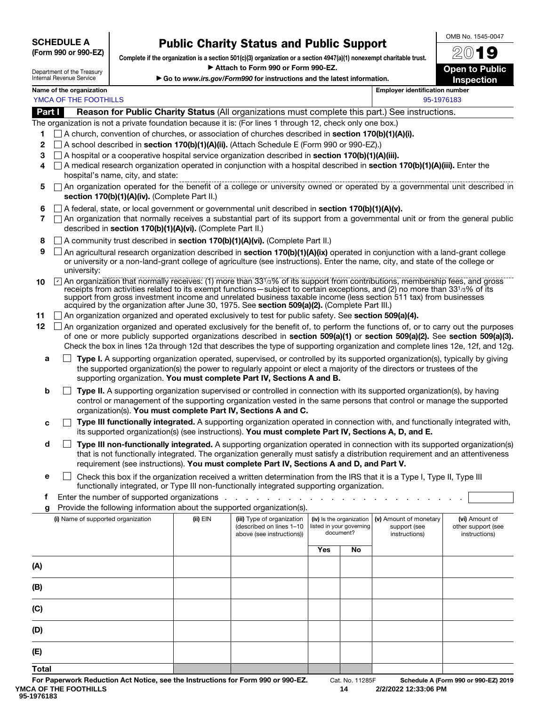SCHEDULE A (Form 990 or 990-EZ)

# Public Charity Status and Public Support

Complete if the organization is a section 501(c)(3) organization or a section 4947(a)(1) nonexempt charitable trust. ▶ Attach to Form 990 or Form 990-EZ.

▶ Go to *www.irs.gov/Form990* for instructions and the latest information.

2019 Open to Public Inspection

OMB No. 1545-0047

Name of the organization **Employer identification** in the organization number YMCA OF THE FOOTHILLS AND THE STATE STATES AND THE STATE OF THE STATE OF THE STATE OF THE STATE OF THE STATE O

Department of the Treasury Internal Revenue Service

Part I Reason for Public Charity Status (All organizations must complete this part.) See instructions.

The organization is not a private foundation because it is: (For lines 1 through 12, check only one box.)

- 1  $\Box$  A church, convention of churches, or association of churches described in **section 170(b)(1)(A)(i).**
- 2  $\Box$  A school described in section 170(b)(1)(A)(ii). (Attach Schedule E (Form 990 or 990-EZ).)
- 3  $\Box$  A hospital or a cooperative hospital service organization described in section 170(b)(1)(A)(iii).
- 4  $\Box$  A medical research organization operated in conjunction with a hospital described in section 170(b)(1)(A)(iii). Enter the hospital's name, city, and state:
- 5  $\Box$  An organization operated for the benefit of a college or university owned or operated by a governmental unit described in section 170(b)(1)(A)(iv). (Complete Part II.)
- 6  $\Box$  A federal, state, or local government or governmental unit described in section 170(b)(1)(A)(v).
- $7 \cap$  An organization that normally receives a substantial part of its support from a governmental unit or from the general public described in section 170(b)(1)(A)(vi). (Complete Part II.)
- 8 A community trust described in section 170(b)(1)(A)(vi). (Complete Part II.)
- **9**  $\Box$  An agricultural research organization described in **section 170(b)(1)(A)(ix)** operated in conjunction with a land-grant college or university or a non-land-grant college of agriculture (see instructions). Enter the name, city, and state of the college or university:
- 10  $\Box$  An organization that normally receives: (1) more than 331/3% of its support from contributions, membership fees, and gross receipts from activities related to its exempt functions—subject to certain exceptions, and (2) no more than 331/3% of its support from gross investment income and unrelated business taxable income (less section 511 tax) from businesses acquired by the organization after June 30, 1975. See section 509(a)(2). (Complete Part III.)
- 11 An organization organized and operated exclusively to test for public safety. See section 509(a)(4).
- 12 An organization organized and operated exclusively for the benefit of, to perform the functions of, or to carry out the purposes of one or more publicly supported organizations described in section 509(a)(1) or section 509(a)(2). See section 509(a)(3). Check the box in lines 12a through 12d that describes the type of supporting organization and complete lines 12e, 12f, and 12g.
	- **a**  $\Box$  **Type I.** A supporting organization operated, supervised, or controlled by its supported organization(s), typically by giving the supported organization(s) the power to regularly appoint or elect a majority of the directors or trustees of the supporting organization. You must complete Part IV, Sections A and B.
	- **b**  $\Box$  Type II. A supporting organization supervised or controlled in connection with its supported organization(s), by having control or management of the supporting organization vested in the same persons that control or manage the supported organization(s). You must complete Part IV, Sections A and C.
	- $c \Box$  Type III functionally integrated. A supporting organization operated in connection with, and functionally integrated with, its supported organization(s) (see instructions). You must complete Part IV, Sections A, D, and E.
	- $\Box$  Type III non-functionally integrated. A supporting organization operated in connection with its supported organization(s) that is not functionally integrated. The organization generally must satisfy a distribution requirement and an attentiveness requirement (see instructions). You must complete Part IV, Sections A and D, and Part V.
	- **e**  $\Box$  Check this box if the organization received a written determination from the IRS that it is a Type I, Type II, Type III functionally integrated, or Type III non-functionally integrated supporting organization.
	- f Enter the number of supported organizations  $\ldots$  . . .
	- Provide the following information about the supported organization(s).

| (i) Name of supported organization | (ii) EIN | (iii) Type of organization<br>(described on lines 1-10<br>above (see instructions)) |            | (iv) Is the organization<br>listed in your governing<br>document? | (v) Amount of monetary<br>support (see<br>instructions) | (vi) Amount of<br>other support (see<br>instructions) |
|------------------------------------|----------|-------------------------------------------------------------------------------------|------------|-------------------------------------------------------------------|---------------------------------------------------------|-------------------------------------------------------|
|                                    |          |                                                                                     | <b>Yes</b> | No                                                                |                                                         |                                                       |
| (A)                                |          |                                                                                     |            |                                                                   |                                                         |                                                       |
| (B)                                |          |                                                                                     |            |                                                                   |                                                         |                                                       |
| (C)                                |          |                                                                                     |            |                                                                   |                                                         |                                                       |
| (D)                                |          |                                                                                     |            |                                                                   |                                                         |                                                       |
| (E)                                |          |                                                                                     |            |                                                                   |                                                         |                                                       |
| <b>Total</b>                       |          |                                                                                     |            |                                                                   |                                                         |                                                       |

**14 2/2/2022 12:33:06 PM**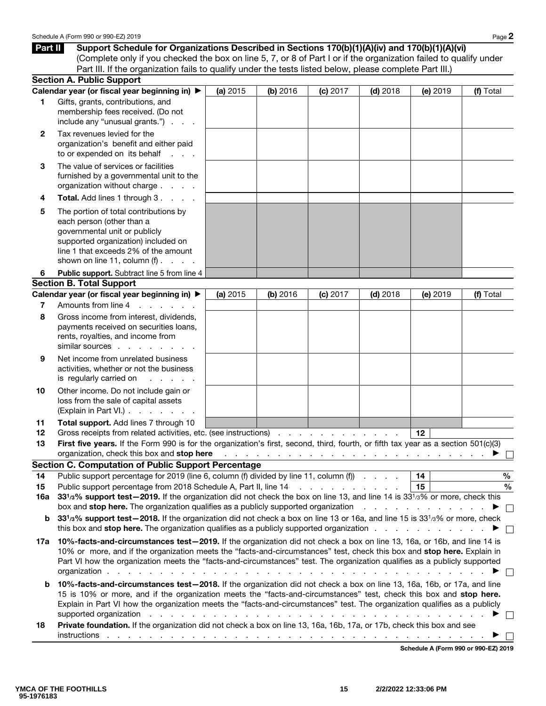Part II Support Schedule for Organizations Described in Sections 170(b)(1)(A)(iv) and 170(b)(1)(A)(vi) (Complete only if you checked the box on line 5, 7, or 8 of Part I or if the organization failed to qualify under Part III. If the organization fails to qualify under the tests listed below, please complete Part III.)

|              | <b>Section A. Public Support</b>                                                                                                                                                                                                                                                                                                                                                                    |          |          |                                          |                                    |                                      |           |
|--------------|-----------------------------------------------------------------------------------------------------------------------------------------------------------------------------------------------------------------------------------------------------------------------------------------------------------------------------------------------------------------------------------------------------|----------|----------|------------------------------------------|------------------------------------|--------------------------------------|-----------|
|              | Calendar year (or fiscal year beginning in) ▶                                                                                                                                                                                                                                                                                                                                                       | (a) 2015 | (b) 2016 | (c) 2017                                 | $(d)$ 2018                         | (e) 2019                             | (f) Total |
| 1            | Gifts, grants, contributions, and<br>membership fees received. (Do not<br>include any "unusual grants.")                                                                                                                                                                                                                                                                                            |          |          |                                          |                                    |                                      |           |
| $\mathbf{2}$ | Tax revenues levied for the<br>organization's benefit and either paid<br>to or expended on its behalf                                                                                                                                                                                                                                                                                               |          |          |                                          |                                    |                                      |           |
| 3            | The value of services or facilities<br>furnished by a governmental unit to the<br>organization without charge                                                                                                                                                                                                                                                                                       |          |          |                                          |                                    |                                      |           |
| 4            | <b>Total.</b> Add lines 1 through 3                                                                                                                                                                                                                                                                                                                                                                 |          |          |                                          |                                    |                                      |           |
| 5            | The portion of total contributions by<br>each person (other than a<br>governmental unit or publicly<br>supported organization) included on<br>line 1 that exceeds 2% of the amount<br>shown on line 11, column $(f)$ .                                                                                                                                                                              |          |          |                                          |                                    |                                      |           |
| 6            | Public support. Subtract line 5 from line 4                                                                                                                                                                                                                                                                                                                                                         |          |          |                                          |                                    |                                      |           |
|              | <b>Section B. Total Support</b>                                                                                                                                                                                                                                                                                                                                                                     |          |          |                                          |                                    |                                      |           |
|              | Calendar year (or fiscal year beginning in) ▶                                                                                                                                                                                                                                                                                                                                                       | (a) 2015 | (b) 2016 | (c) 2017                                 | $(d)$ 2018                         | (e) 2019                             | (f) Total |
| 7            | Amounts from line 4<br>and a state of the state of                                                                                                                                                                                                                                                                                                                                                  |          |          |                                          |                                    |                                      |           |
| 8            | Gross income from interest, dividends,<br>payments received on securities loans,<br>rents, royalties, and income from<br>similar sources                                                                                                                                                                                                                                                            |          |          |                                          |                                    |                                      |           |
| 9            | Net income from unrelated business<br>activities, whether or not the business<br>is regularly carried on<br>and a state of                                                                                                                                                                                                                                                                          |          |          |                                          |                                    |                                      |           |
| 10           | Other income. Do not include gain or<br>loss from the sale of capital assets<br>(Explain in Part VI.)                                                                                                                                                                                                                                                                                               |          |          |                                          |                                    |                                      |           |
| 11           | Total support. Add lines 7 through 10                                                                                                                                                                                                                                                                                                                                                               |          |          |                                          |                                    |                                      |           |
| 12           | Gross receipts from related activities, etc. (see instructions)                                                                                                                                                                                                                                                                                                                                     |          |          |                                          |                                    | 12                                   |           |
| 13           | First five years. If the Form 990 is for the organization's first, second, third, fourth, or fifth tax year as a section 501(c)(3)<br>organization, check this box and stop here<br><b>Section C. Computation of Public Support Percentage</b>                                                                                                                                                      |          |          |                                          |                                    |                                      |           |
| 14           | Public support percentage for 2019 (line 6, column (f) divided by line 11, column (f)                                                                                                                                                                                                                                                                                                               |          |          |                                          |                                    | 14                                   | $\%$      |
| 15           | Public support percentage from 2018 Schedule A, Part II, line 14                                                                                                                                                                                                                                                                                                                                    |          |          | and a series of the contract of          |                                    | 15                                   | $\%$      |
| 16a          | 33 <sup>1</sup> /3% support test-2019. If the organization did not check the box on line 13, and line 14 is 33 <sup>1</sup> /3% or more, check this                                                                                                                                                                                                                                                 |          |          |                                          |                                    |                                      |           |
|              | box and stop here. The organization qualifies as a publicly supported organization                                                                                                                                                                                                                                                                                                                  |          |          |                                          | $2.12 - 1.12$                      | and the company of the company of    |           |
| b            | 331/3% support test-2018. If the organization did not check a box on line 13 or 16a, and line 15 is 331/3% or more, check<br>this box and stop here. The organization qualifies as a publicly supported organization.                                                                                                                                                                               |          |          |                                          | $\sim$<br><b>Contract Contract</b> |                                      |           |
| 17a          | 10%-facts-and-circumstances test-2019. If the organization did not check a box on line 13, 16a, or 16b, and line 14 is<br>10% or more, and if the organization meets the "facts-and-circumstances" test, check this box and stop here. Explain in<br>Part VI how the organization meets the "facts-and-circumstances" test. The organization qualifies as a publicly supported<br>organization.     |          |          |                                          |                                    |                                      |           |
| b            | 10%-facts-and-circumstances test-2018. If the organization did not check a box on line 13, 16a, 16b, or 17a, and line<br>15 is 10% or more, and if the organization meets the "facts-and-circumstances" test, check this box and stop here.<br>Explain in Part VI how the organization meets the "facts-and-circumstances" test. The organization qualifies as a publicly<br>supported organization |          |          |                                          |                                    |                                      |           |
| 18           | Private foundation. If the organization did not check a box on line 13, 16a, 16b, 17a, or 17b, check this box and see<br>instructions.<br>the company of the company of                                                                                                                                                                                                                             |          |          | the contract of the contract of the con- |                                    |                                      |           |
|              |                                                                                                                                                                                                                                                                                                                                                                                                     |          |          |                                          |                                    | Schedule A (Form 990 or 990-EZ) 2019 |           |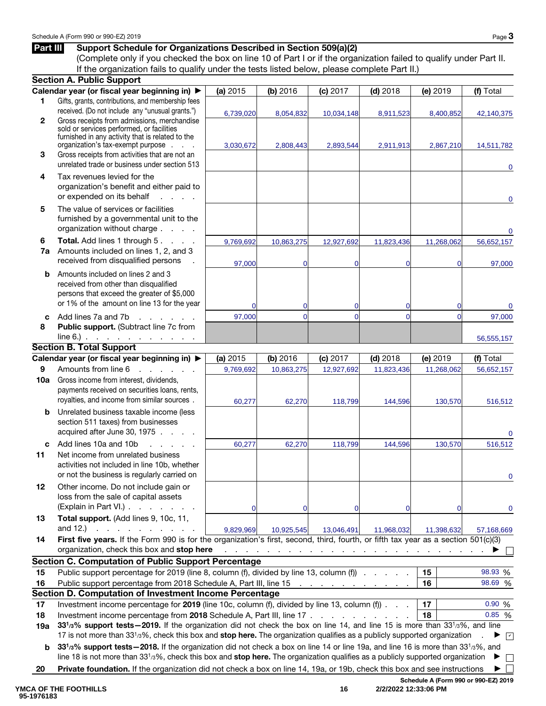### Part III Support Schedule for Organizations Described in Section 509(a)(2)

(Complete only if you checked the box on line 10 of Part I or if the organization failed to qualify under Part II. If the organization fails to qualify under the tests listed below, please complete Part II.)

|              | <b>Section A. Public Support</b>                                                                                                       |             |                               |                                                                                 |                            |                               |                                      |
|--------------|----------------------------------------------------------------------------------------------------------------------------------------|-------------|-------------------------------|---------------------------------------------------------------------------------|----------------------------|-------------------------------|--------------------------------------|
|              | Calendar year (or fiscal year beginning in) ▶                                                                                          | (a) 2015    | (b) 2016                      | (c) 2017                                                                        | $(d)$ 2018                 | (e) 2019                      | (f) Total                            |
| 1            | Gifts, grants, contributions, and membership fees                                                                                      |             |                               |                                                                                 |                            |                               |                                      |
|              | received. (Do not include any "unusual grants.")                                                                                       | 6,739,020   | 8,054,832                     | 10,034,148                                                                      | 8,911,523                  | 8,400,852                     | 42,140,375                           |
| $\mathbf{2}$ | Gross receipts from admissions, merchandise<br>sold or services performed, or facilities                                               |             |                               |                                                                                 |                            |                               |                                      |
|              | furnished in any activity that is related to the                                                                                       |             |                               |                                                                                 |                            |                               |                                      |
|              | organization's tax-exempt purpose                                                                                                      | 3,030,672   | 2,808,443                     | 2,893,544                                                                       | 2,911,913                  | 2,867,210                     | 14,511,782                           |
| 3            | Gross receipts from activities that are not an                                                                                         |             |                               |                                                                                 |                            |                               |                                      |
|              | unrelated trade or business under section 513                                                                                          |             |                               |                                                                                 |                            |                               | 0                                    |
| 4            | Tax revenues levied for the                                                                                                            |             |                               |                                                                                 |                            |                               |                                      |
|              | organization's benefit and either paid to                                                                                              |             |                               |                                                                                 |                            |                               |                                      |
|              | or expended on its behalf<br>and a state                                                                                               |             |                               |                                                                                 |                            |                               | 0                                    |
| 5            | The value of services or facilities                                                                                                    |             |                               |                                                                                 |                            |                               |                                      |
|              | furnished by a governmental unit to the                                                                                                |             |                               |                                                                                 |                            |                               |                                      |
|              | organization without charge                                                                                                            |             |                               |                                                                                 |                            |                               | 0                                    |
| 6            | Total. Add lines 1 through 5.                                                                                                          | 9,769,692   | 10,863,275                    | 12,927,692                                                                      | 11,823,436                 | 11,268,062                    | 56,652,157                           |
| 7a           | Amounts included on lines 1, 2, and 3<br>received from disqualified persons                                                            |             |                               |                                                                                 |                            |                               |                                      |
|              |                                                                                                                                        | 97,000      | $\mathbf 0$                   | $\Omega$                                                                        | $\Omega$                   | 0                             | 97,000                               |
| b            | Amounts included on lines 2 and 3                                                                                                      |             |                               |                                                                                 |                            |                               |                                      |
|              | received from other than disqualified<br>persons that exceed the greater of \$5,000                                                    |             |                               |                                                                                 |                            |                               |                                      |
|              | or 1% of the amount on line 13 for the year                                                                                            |             |                               |                                                                                 |                            |                               |                                      |
|              | Add lines 7a and 7b                                                                                                                    | $\Omega$    | $\mathbf 0$<br>$\overline{0}$ | $\overline{0}$<br>$\Omega$                                                      | $\Omega$<br>$\overline{0}$ | $\mathbf 0$<br>$\overline{0}$ | 0                                    |
| C<br>8       | and a state of the state of<br>Public support. (Subtract line 7c from                                                                  | 97,000      |                               |                                                                                 |                            |                               | 97,000                               |
|              | $line 6.)$ $\ldots$ $\ldots$ $\ldots$ $\ldots$ $\ldots$                                                                                |             |                               |                                                                                 |                            |                               |                                      |
|              | <b>Section B. Total Support</b>                                                                                                        |             |                               |                                                                                 |                            |                               | 56,555,157                           |
|              | Calendar year (or fiscal year beginning in) ▶                                                                                          | (a) 2015    | (b) 2016                      | (c) 2017                                                                        | $(d)$ 2018                 | (e) 2019                      | (f) Total                            |
| 9            | Amounts from line 6<br>and a straight                                                                                                  | 9,769,692   | 10,863,275                    | 12,927,692                                                                      | 11,823,436                 | 11,268,062                    | 56,652,157                           |
| 10a          | Gross income from interest, dividends,                                                                                                 |             |                               |                                                                                 |                            |                               |                                      |
|              | payments received on securities loans, rents,                                                                                          |             |                               |                                                                                 |                            |                               |                                      |
|              | royalties, and income from similar sources.                                                                                            | 60,277      | 62,270                        | 118,799                                                                         | 144,596                    | 130,570                       | 516,512                              |
| b            | Unrelated business taxable income (less                                                                                                |             |                               |                                                                                 |                            |                               |                                      |
|              | section 511 taxes) from businesses                                                                                                     |             |                               |                                                                                 |                            |                               |                                      |
|              | acquired after June 30, 1975                                                                                                           |             |                               |                                                                                 |                            |                               | $\mathbf 0$                          |
| C            | Add lines 10a and 10b<br>and a state of                                                                                                | 60,277      | 62,270                        | 118,799                                                                         | 144,596                    | 130,570                       | 516,512                              |
| 11           | Net income from unrelated business                                                                                                     |             |                               |                                                                                 |                            |                               |                                      |
|              | activities not included in line 10b, whether                                                                                           |             |                               |                                                                                 |                            |                               |                                      |
|              | or not the business is regularly carried on                                                                                            |             |                               |                                                                                 |                            |                               | 0                                    |
| 12           | Other income. Do not include gain or                                                                                                   |             |                               |                                                                                 |                            |                               |                                      |
|              | loss from the sale of capital assets                                                                                                   |             |                               |                                                                                 |                            |                               |                                      |
|              | (Explain in Part VI.).<br>and a state of the state of                                                                                  | $\mathbf 0$ | 0                             | 0                                                                               | 0                          | 0                             | 0                                    |
| 13           | Total support. (Add lines 9, 10c, 11,                                                                                                  |             |                               |                                                                                 |                            |                               |                                      |
|              | and 12.)<br>and a straightful contract of                                                                                              | 9,829,969   | 10,925,545                    | 13,046,491                                                                      | 11,968,032                 | 11,398,632                    | 57,168,669                           |
| 14           | First five years. If the Form 990 is for the organization's first, second, third, fourth, or fifth tax year as a section 501(c)(3)     |             |                               |                                                                                 |                            |                               |                                      |
|              | organization, check this box and stop here                                                                                             |             |                               | the contract of the contract of the contract of the contract of the contract of |                            |                               |                                      |
|              | <b>Section C. Computation of Public Support Percentage</b>                                                                             |             |                               |                                                                                 |                            |                               | 98.93 %                              |
| 15           | Public support percentage for 2019 (line 8, column (f), divided by line 13, column (f)                                                 |             |                               |                                                                                 |                            | 15<br>16                      | 98.69 %                              |
| 16           | Public support percentage from 2018 Schedule A, Part III, line 15<br>Section D. Computation of Investment Income Percentage            |             |                               | the contract of the contract of the con-                                        |                            |                               |                                      |
| 17           | Investment income percentage for 2019 (line 10c, column (f), divided by line 13, column (f))                                           |             |                               |                                                                                 |                            | 17                            | 0.90 %                               |
| 18           | Investment income percentage from 2018 Schedule A, Part III, line 17                                                                   |             |                               |                                                                                 |                            | 18                            | 0.85%                                |
| 19a          | 331/3% support tests - 2019. If the organization did not check the box on line 14, and line 15 is more than 331/3%, and line           |             |                               |                                                                                 |                            |                               |                                      |
|              | 17 is not more than 33 <sup>1</sup> /3%, check this box and stop here. The organization qualifies as a publicly supported organization |             |                               |                                                                                 |                            |                               | $\sqrt{ }$<br>▶                      |
| b            | 331/3% support tests - 2018. If the organization did not check a box on line 14 or line 19a, and line 16 is more than 331/3%, and      |             |                               |                                                                                 |                            |                               |                                      |
|              | line 18 is not more than $3313%$ , check this box and stop here. The organization qualifies as a publicly supported organization       |             |                               |                                                                                 |                            |                               | ▶<br>$\mathbf{L}$                    |
| 20           | Private foundation. If the organization did not check a box on line 14, 19a, or 19b, check this box and see instructions               |             |                               |                                                                                 |                            |                               |                                      |
|              |                                                                                                                                        |             |                               |                                                                                 |                            |                               | Schedule A (Form 990 or 990-EZ) 2019 |

**16 2/2/2022 12:33:06 PM**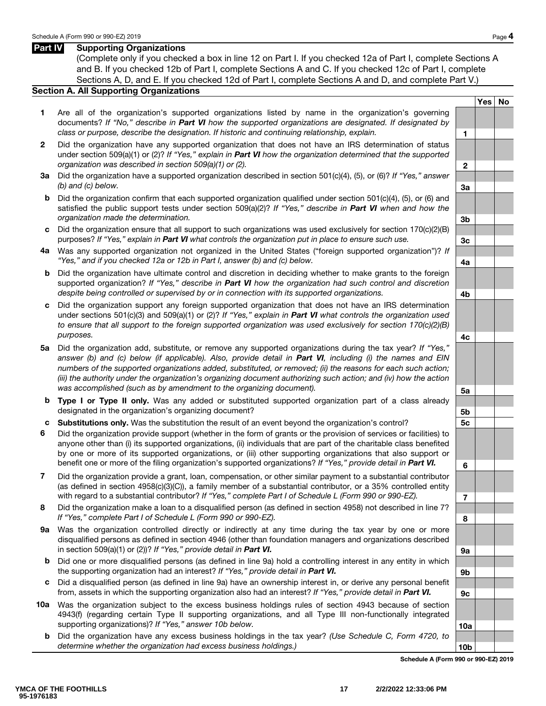#### Part **IV** Supporting Organizations

(Complete only if you checked a box in line 12 on Part I. If you checked 12a of Part I, complete Sections A and B. If you checked 12b of Part I, complete Sections A and C. If you checked 12c of Part I, complete Sections A, D, and E. If you checked 12d of Part I, complete Sections A and D, and complete Part V.)

#### Section A. All Supporting Organizations

- 1 Are all of the organization's supported organizations listed by name in the organization's governing documents? *If "No," describe in Part VI how the supported organizations are designated. If designated by class or purpose, describe the designation. If historic and continuing relationship, explain.* 1
- 2 Did the organization have any supported organization that does not have an IRS determination of status under section 509(a)(1) or (2)? *If "Yes," explain in Part VI how the organization determined that the supported organization was described in section 509(a)(1) or (2).* 2
- 3a Did the organization have a supported organization described in section 501(c)(4), (5), or (6)? *If "Yes," answer (b) and (c) below.* 3a
- b Did the organization confirm that each supported organization qualified under section 501(c)(4), (5), or (6) and satisfied the public support tests under section 509(a)(2)? *If "Yes," describe in Part VI when and how the organization made the determination.* 3b
- c Did the organization ensure that all support to such organizations was used exclusively for section  $170(c)(2)(B)$ purposes? *If "Yes," explain in Part VI what controls the organization put in place to ensure such use.* 3c
- 4a Was any supported organization not organized in the United States ("foreign supported organization")? *If "Yes," and if you checked 12a or 12b in Part I, answer (b) and (c) below.* 4a
- b Did the organization have ultimate control and discretion in deciding whether to make grants to the foreign supported organization? *If "Yes," describe in Part VI how the organization had such control and discretion despite being controlled or supervised by or in connection with its supported organizations.* 4b
- c Did the organization support any foreign supported organization that does not have an IRS determination under sections 501(c)(3) and 509(a)(1) or (2)? *If "Yes," explain in Part VI what controls the organization used to ensure that all support to the foreign supported organization was used exclusively for section 170(c)(2)(B) purposes.* 4c
- 5a Did the organization add, substitute, or remove any supported organizations during the tax year? *If "Yes," answer (b) and (c) below (if applicable). Also, provide detail in Part VI, including (i) the names and EIN numbers of the supported organizations added, substituted, or removed; (ii) the reasons for each such action; (iii) the authority under the organization's organizing document authorizing such action; and (iv) how the action* was accomplished (such as by amendment to the organizing document).
- **b Type I or Type II only.** Was any added or substituted supported organization part of a class already designated in the organization's organizing document? **5b** solution is the state of the state of the state of the state of the state of the state of the state of the state of the state of the state of the state of the stat
- c Substitutions only. Was the substitution the result of an event beyond the organization's control? 5c
- 6 Did the organization provide support (whether in the form of grants or the provision of services or facilities) to anyone other than (i) its supported organizations, (ii) individuals that are part of the charitable class benefited by one or more of its supported organizations, or (iii) other supporting organizations that also support or benefit one or more of the filing organization's supported organizations? *If "Yes," provide detail in Part VI.* 6
- 7 Did the organization provide a grant, loan, compensation, or other similar payment to a substantial contributor (as defined in section 4958(c)(3)(C)), a family member of a substantial contributor, or a 35% controlled entity with regard to a substantial contributor? *If "Yes," complete Part I of Schedule L (Form 990 or 990-EZ).* 7
- 8 Did the organization make a loan to a disqualified person (as defined in section 4958) not described in line 7? *If "Yes," complete Part I of Schedule L (Form 990 or 990-EZ).* 8
- 9a Was the organization controlled directly or indirectly at any time during the tax year by one or more disqualified persons as defined in section 4946 (other than foundation managers and organizations described in section 509(a)(1) or (2))? *If "Yes," provide detail in Part VI.*  $\sqrt{2}$  9a
- b Did one or more disqualified persons (as defined in line 9a) hold a controlling interest in any entity in which the supporting organization had an interest? *If "Yes," provide detail in Part VI.* 9b
- c Did a disqualified person (as defined in line 9a) have an ownership interest in, or derive any personal benefit from, assets in which the supporting organization also had an interest? *If "Yes," provide detail in Part VI.* 9c
- 10a Was the organization subject to the excess business holdings rules of section 4943 because of section 4943(f) (regarding certain Type II supporting organizations, and all Type III non-functionally integrated supporting organizations)? *If "Yes," answer 10b below.* 10a http://www.facebook.com/inductions/inductions/inductions/inductions/inductions/inductions/inductions/inductions/inductions/inductions/inductions/inductions/induc
	- b Did the organization have any excess business holdings in the tax year? *(Use Schedule C, Form 4720, to*  determine whether the organization had excess business holdings.) 10b

Schedule A (Form 990 or 990-EZ) 2019

Yes | No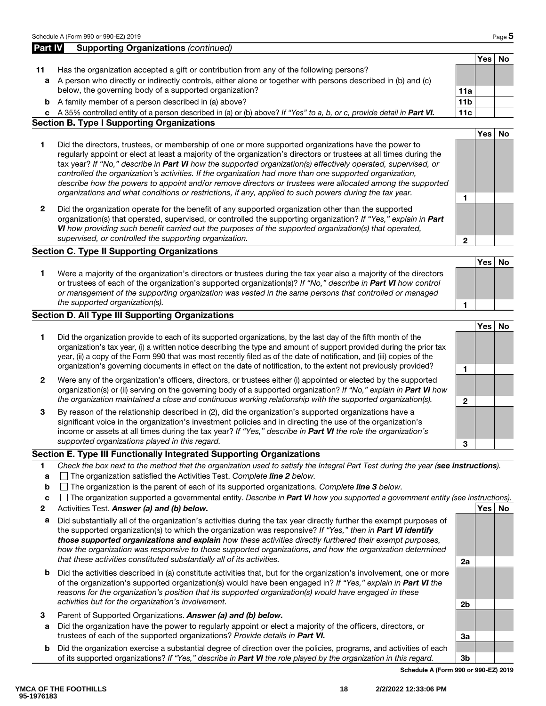| Part IV      | <b>Supporting Organizations (continued)</b>                                                                                                                                                                                                                                                                                                                                                                                                                                                                                                                                                                                                                                  |                 |       |           |
|--------------|------------------------------------------------------------------------------------------------------------------------------------------------------------------------------------------------------------------------------------------------------------------------------------------------------------------------------------------------------------------------------------------------------------------------------------------------------------------------------------------------------------------------------------------------------------------------------------------------------------------------------------------------------------------------------|-----------------|-------|-----------|
|              |                                                                                                                                                                                                                                                                                                                                                                                                                                                                                                                                                                                                                                                                              |                 | Yes   | No        |
| 11           | Has the organization accepted a gift or contribution from any of the following persons?                                                                                                                                                                                                                                                                                                                                                                                                                                                                                                                                                                                      |                 |       |           |
| a            | A person who directly or indirectly controls, either alone or together with persons described in (b) and (c)<br>below, the governing body of a supported organization?                                                                                                                                                                                                                                                                                                                                                                                                                                                                                                       | 11a             |       |           |
| b            | A family member of a person described in (a) above?                                                                                                                                                                                                                                                                                                                                                                                                                                                                                                                                                                                                                          | 11 <sub>b</sub> |       |           |
|              | c A 35% controlled entity of a person described in (a) or (b) above? If "Yes" to a, b, or c, provide detail in Part VI.                                                                                                                                                                                                                                                                                                                                                                                                                                                                                                                                                      | 11c             |       |           |
|              | <b>Section B. Type I Supporting Organizations</b>                                                                                                                                                                                                                                                                                                                                                                                                                                                                                                                                                                                                                            |                 |       |           |
|              |                                                                                                                                                                                                                                                                                                                                                                                                                                                                                                                                                                                                                                                                              |                 | Yes l | <b>No</b> |
| 1            | Did the directors, trustees, or membership of one or more supported organizations have the power to<br>regularly appoint or elect at least a majority of the organization's directors or trustees at all times during the<br>tax year? If "No," describe in Part VI how the supported organization(s) effectively operated, supervised, or<br>controlled the organization's activities. If the organization had more than one supported organization,<br>describe how the powers to appoint and/or remove directors or trustees were allocated among the supported<br>organizations and what conditions or restrictions, if any, applied to such powers during the tax year. |                 |       |           |
| $\mathbf{2}$ | Did the organization operate for the benefit of any supported organization other than the supported<br>organization(s) that operated, supervised, or controlled the supporting organization? If "Yes," explain in Part<br>VI how providing such benefit carried out the purposes of the supported organization(s) that operated,<br>supervised, or controlled the supporting organization.                                                                                                                                                                                                                                                                                   | $\mathbf{2}$    |       |           |
|              | <b>Section C. Type II Supporting Organizations</b>                                                                                                                                                                                                                                                                                                                                                                                                                                                                                                                                                                                                                           |                 |       |           |
|              |                                                                                                                                                                                                                                                                                                                                                                                                                                                                                                                                                                                                                                                                              |                 | Yes   | <b>No</b> |
| 1            | Were a majority of the organization's directors or trustees during the tax year also a majority of the directors<br>or trustees of each of the organization's supported organization(s)? If "No," describe in Part VI how control<br>or management of the supporting organization was vested in the same persons that controlled or managed<br>the supported organization(s).                                                                                                                                                                                                                                                                                                |                 |       |           |

#### Section D. All Type III Supporting Organizations

|              |                                                                                                                                                                                                                                                                                                                                                                                                                                                                                       |   | Yes |  |
|--------------|---------------------------------------------------------------------------------------------------------------------------------------------------------------------------------------------------------------------------------------------------------------------------------------------------------------------------------------------------------------------------------------------------------------------------------------------------------------------------------------|---|-----|--|
|              | Did the organization provide to each of its supported organizations, by the last day of the fifth month of the<br>organization's tax year, (i) a written notice describing the type and amount of support provided during the prior tax<br>year, (ii) a copy of the Form 990 that was most recently filed as of the date of notification, and (iii) copies of the<br>organization's governing documents in effect on the date of notification, to the extent not previously provided? |   |     |  |
|              |                                                                                                                                                                                                                                                                                                                                                                                                                                                                                       |   |     |  |
| $\mathbf{2}$ | Were any of the organization's officers, directors, or trustees either (i) appointed or elected by the supported<br>organization(s) or (ii) serving on the governing body of a supported organization? If "No," explain in Part VI how                                                                                                                                                                                                                                                |   |     |  |
|              | the organization maintained a close and continuous working relationship with the supported organization(s).                                                                                                                                                                                                                                                                                                                                                                           | 2 |     |  |
| 3            | By reason of the relationship described in (2), did the organization's supported organizations have a<br>significant voice in the organization's investment policies and in directing the use of the organization's<br>income or assets at all times during the tax year? If "Yes," describe in Part VI the role the organization's                                                                                                                                                   |   |     |  |
|              | supported organizations played in this regard.                                                                                                                                                                                                                                                                                                                                                                                                                                        | з |     |  |

#### Section E. Type III Functionally Integrated Supporting Organizations

- 1 *Check the box next to the method that the organization used to satisfy the Integral Part Test during the year (see instructions).*
- a The organization satisfied the Activities Test. *Complete line 2 below.*
- b The organization is the parent of each of its supported organizations. *Complete line 3 below.*
- c The organization supported a governmental entity. *Describe in Part VI how you supported a government entity (see instructions).*
- 2 Activities Test. Answer (a) and (b) below. And the set of the set of the set of the set of the set of the set of the set of the set of the set of the set of the set of the set of the set of the set of the set of the set
- a Did substantially all of the organization's activities during the tax year directly further the exempt purposes of the supported organization(s) to which the organization was responsive? *If "Yes," then in Part VI identify those supported organizations and explain how these activities directly furthered their exempt purposes, how the organization was responsive to those supported organizations, and how the organization determined that these activities constituted substantially all of its activities.* 2a
- **b** Did the activities described in (a) constitute activities that, but for the organization's involvement, one or more of the organization's supported organization(s) would have been engaged in? *If "Yes," explain in Part VI the reasons for the organization's position that its supported organization(s) would have engaged in these activities but for the organization's involvement.* 2b
- 3 Parent of Supported Organizations. *Answer (a) and (b) below.*
- a Did the organization have the power to regularly appoint or elect a majority of the officers, directors, or trustees of each of the supported organizations? *Provide details in Part VI.*  $\vert$  3a
- b Did the organization exercise a substantial degree of direction over the policies, programs, and activities of each of its supported organizations? *If "Yes," describe in Part VI the role played by the organization in this regard.* 3b

Schedule A (Form 990 or 990-EZ) 2019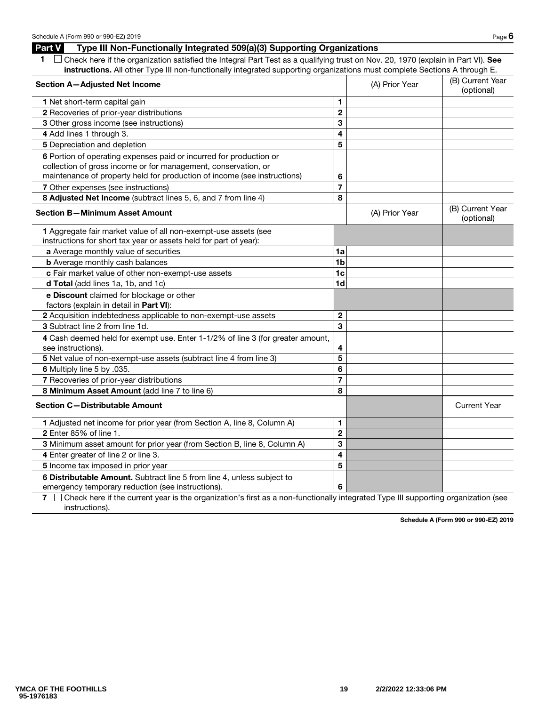### Part V Type III Non-Functionally Integrated 509(a)(3) Supporting Organizations

| $\Box$ Check here if the organization satisfied the Integral Part Test as a qualifying trust on Nov. 20, 1970 (explain in Part VI). See |  |
|-----------------------------------------------------------------------------------------------------------------------------------------|--|
| instructions. All other Type III non-functionally integrated supporting organizations must complete Sections A through E.               |  |

| Section A-Adjusted Net Income                                                                                                                                                                                    |                         | (A) Prior Year | (B) Current Year<br>(optional) |
|------------------------------------------------------------------------------------------------------------------------------------------------------------------------------------------------------------------|-------------------------|----------------|--------------------------------|
| 1 Net short-term capital gain                                                                                                                                                                                    | 1.                      |                |                                |
| 2 Recoveries of prior-year distributions                                                                                                                                                                         | $\mathbf 2$             |                |                                |
| 3 Other gross income (see instructions)                                                                                                                                                                          | 3                       |                |                                |
| 4 Add lines 1 through 3.                                                                                                                                                                                         | 4                       |                |                                |
| 5 Depreciation and depletion                                                                                                                                                                                     | 5                       |                |                                |
| 6 Portion of operating expenses paid or incurred for production or<br>collection of gross income or for management, conservation, or<br>maintenance of property held for production of income (see instructions) | 6                       |                |                                |
| 7 Other expenses (see instructions)                                                                                                                                                                              | $\overline{7}$          |                |                                |
| 8 Adjusted Net Income (subtract lines 5, 6, and 7 from line 4)                                                                                                                                                   | 8                       |                |                                |
| <b>Section B-Minimum Asset Amount</b>                                                                                                                                                                            |                         | (A) Prior Year | (B) Current Year<br>(optional) |
| 1 Aggregate fair market value of all non-exempt-use assets (see<br>instructions for short tax year or assets held for part of year):                                                                             |                         |                |                                |
| a Average monthly value of securities                                                                                                                                                                            | 1a                      |                |                                |
| <b>b</b> Average monthly cash balances                                                                                                                                                                           | 1 <sub>b</sub>          |                |                                |
| c Fair market value of other non-exempt-use assets                                                                                                                                                               | 1 <sub>c</sub>          |                |                                |
| d Total (add lines 1a, 1b, and 1c)                                                                                                                                                                               | 1 <sub>d</sub>          |                |                                |
| e Discount claimed for blockage or other<br>factors (explain in detail in Part VI):                                                                                                                              |                         |                |                                |
| 2 Acquisition indebtedness applicable to non-exempt-use assets                                                                                                                                                   | $\mathbf 2$             |                |                                |
| 3 Subtract line 2 from line 1d.                                                                                                                                                                                  | 3                       |                |                                |
| 4 Cash deemed held for exempt use. Enter 1-1/2% of line 3 (for greater amount,<br>see instructions).                                                                                                             | 4                       |                |                                |
| 5 Net value of non-exempt-use assets (subtract line 4 from line 3)                                                                                                                                               | 5                       |                |                                |
| 6 Multiply line 5 by .035.                                                                                                                                                                                       | 6                       |                |                                |
| 7 Recoveries of prior-year distributions                                                                                                                                                                         | 7                       |                |                                |
| 8 Minimum Asset Amount (add line 7 to line 6)                                                                                                                                                                    | 8                       |                |                                |
| <b>Section C-Distributable Amount</b>                                                                                                                                                                            |                         |                | <b>Current Year</b>            |
| 1 Adjusted net income for prior year (from Section A, line 8, Column A)                                                                                                                                          | 1                       |                |                                |
| 2 Enter 85% of line 1.                                                                                                                                                                                           | $\overline{\mathbf{c}}$ |                |                                |
| 3 Minimum asset amount for prior year (from Section B, line 8, Column A)                                                                                                                                         | 3                       |                |                                |
| 4 Enter greater of line 2 or line 3.                                                                                                                                                                             | 4                       |                |                                |
| 5 Income tax imposed in prior year                                                                                                                                                                               | 5                       |                |                                |
| 6 Distributable Amount. Subtract line 5 from line 4, unless subject to<br>emergency temporary reduction (see instructions).                                                                                      | 6                       |                |                                |

7  $\Box$  Check here if the current year is the organization's first as a non-functionally integrated Type III supporting organization (see instructions).

Schedule A (Form 990 or 990-EZ) 2019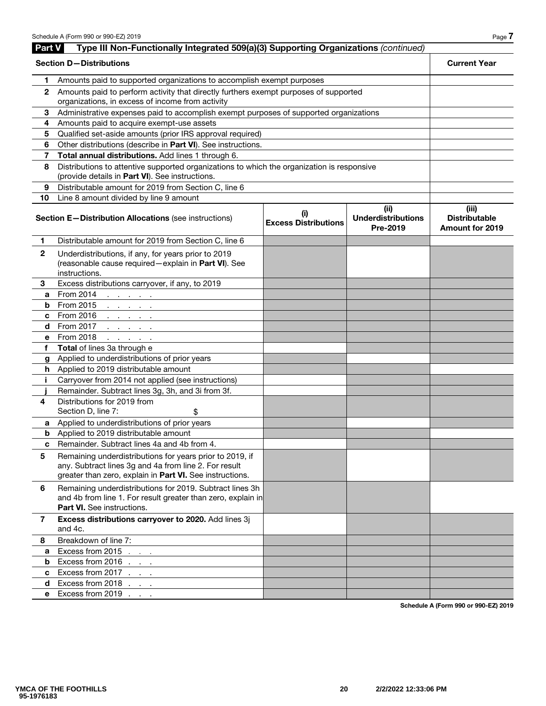| Part V       | Type III Non-Functionally Integrated 509(a)(3) Supporting Organizations (continued)                                                                                                                      |                                    |                                               |                                                         |
|--------------|----------------------------------------------------------------------------------------------------------------------------------------------------------------------------------------------------------|------------------------------------|-----------------------------------------------|---------------------------------------------------------|
|              | <b>Section D-Distributions</b>                                                                                                                                                                           |                                    |                                               | <b>Current Year</b>                                     |
| 1            | Amounts paid to supported organizations to accomplish exempt purposes                                                                                                                                    |                                    |                                               |                                                         |
| $\mathbf{2}$ | Amounts paid to perform activity that directly furthers exempt purposes of supported<br>organizations, in excess of income from activity                                                                 |                                    |                                               |                                                         |
| 3            | Administrative expenses paid to accomplish exempt purposes of supported organizations                                                                                                                    |                                    |                                               |                                                         |
| 4            | Amounts paid to acquire exempt-use assets                                                                                                                                                                |                                    |                                               |                                                         |
| 5            | Qualified set-aside amounts (prior IRS approval required)                                                                                                                                                |                                    |                                               |                                                         |
| 6            | Other distributions (describe in Part VI). See instructions.                                                                                                                                             |                                    |                                               |                                                         |
| 7            | Total annual distributions. Add lines 1 through 6.                                                                                                                                                       |                                    |                                               |                                                         |
| 8            | Distributions to attentive supported organizations to which the organization is responsive<br>(provide details in Part VI). See instructions.                                                            |                                    |                                               |                                                         |
| 9            | Distributable amount for 2019 from Section C, line 6                                                                                                                                                     |                                    |                                               |                                                         |
| 10           | Line 8 amount divided by line 9 amount                                                                                                                                                                   |                                    |                                               |                                                         |
|              | <b>Section E-Distribution Allocations (see instructions)</b>                                                                                                                                             | (i)<br><b>Excess Distributions</b> | (ii)<br><b>Underdistributions</b><br>Pre-2019 | (iii)<br><b>Distributable</b><br><b>Amount for 2019</b> |
| 1.           | Distributable amount for 2019 from Section C, line 6                                                                                                                                                     |                                    |                                               |                                                         |
| $\mathbf 2$  | Underdistributions, if any, for years prior to 2019<br>(reasonable cause required - explain in Part VI). See<br>instructions.                                                                            |                                    |                                               |                                                         |
| 3            | Excess distributions carryover, if any, to 2019                                                                                                                                                          |                                    |                                               |                                                         |
| a            | From 2014<br>and a state of the                                                                                                                                                                          |                                    |                                               |                                                         |
| b            | From 2015<br>the contract of the con-                                                                                                                                                                    |                                    |                                               |                                                         |
| c            | From 2016<br>the contract of the con-                                                                                                                                                                    |                                    |                                               |                                                         |
| d            | From 2017<br>and a strategic and                                                                                                                                                                         |                                    |                                               |                                                         |
| е            | From 2018<br>and a state of                                                                                                                                                                              |                                    |                                               |                                                         |
| f            | Total of lines 3a through e                                                                                                                                                                              |                                    |                                               |                                                         |
| g            | Applied to underdistributions of prior years                                                                                                                                                             |                                    |                                               |                                                         |
|              | <b>h</b> Applied to 2019 distributable amount                                                                                                                                                            |                                    |                                               |                                                         |
| j.           | Carryover from 2014 not applied (see instructions)                                                                                                                                                       |                                    |                                               |                                                         |
|              | Remainder. Subtract lines 3g, 3h, and 3i from 3f.                                                                                                                                                        |                                    |                                               |                                                         |
| 4            | Distributions for 2019 from<br>Section D, line 7:<br>\$                                                                                                                                                  |                                    |                                               |                                                         |
| a            | Applied to underdistributions of prior years                                                                                                                                                             |                                    |                                               |                                                         |
|              | <b>b</b> Applied to 2019 distributable amount                                                                                                                                                            |                                    |                                               |                                                         |
| c            | Remainder. Subtract lines 4a and 4b from 4.                                                                                                                                                              |                                    |                                               |                                                         |
| 5            | Remaining underdistributions for years prior to 2019, if<br>any. Subtract lines 3g and 4a from line 2. For result<br>greater than zero, explain in Part VI. See instructions.                            |                                    |                                               |                                                         |
| 6            | Remaining underdistributions for 2019. Subtract lines 3h<br>and 4b from line 1. For result greater than zero, explain in<br><b>Part VI.</b> See instructions.                                            |                                    |                                               |                                                         |
| 7            | Excess distributions carryover to 2020. Add lines 3j<br>and 4c.                                                                                                                                          |                                    |                                               |                                                         |
| 8            | Breakdown of line 7:                                                                                                                                                                                     |                                    |                                               |                                                         |
| a            | Excess from 2015<br>$\mathcal{L}^{\mathcal{L}}$ , where $\mathcal{L}^{\mathcal{L}}$ and $\mathcal{L}^{\mathcal{L}}$ are $\mathcal{L}^{\mathcal{L}}$ . Then, we have a set of $\mathcal{L}^{\mathcal{L}}$ |                                    |                                               |                                                         |
| b            | Excess from 2016                                                                                                                                                                                         |                                    |                                               |                                                         |
| c            | Excess from 2017 $\ldots$                                                                                                                                                                                |                                    |                                               |                                                         |
| d.           | Excess from 2018 $\ldots$                                                                                                                                                                                |                                    |                                               |                                                         |
| е            | Excess from 2019                                                                                                                                                                                         |                                    |                                               |                                                         |

Schedule A (Form 990 or 990-EZ) 2019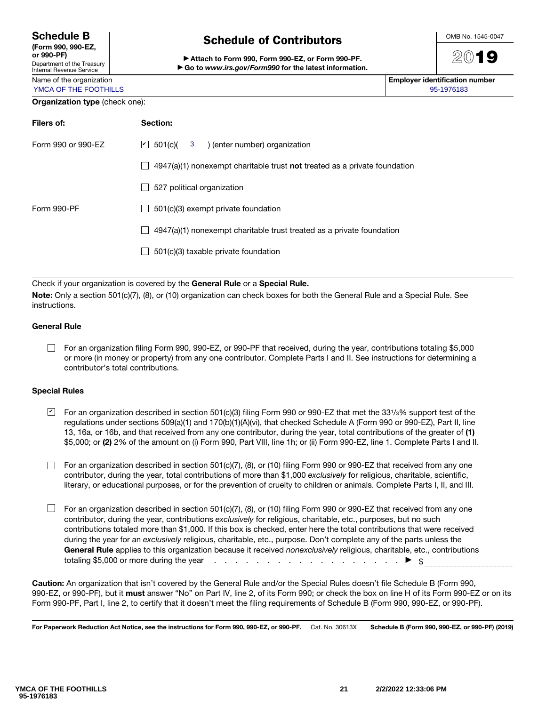| <b>Schedule B</b> |  |  |  |  |  |
|-------------------|--|--|--|--|--|
|                   |  |  |  |  |  |

# Schedule of Contributors

▶ Attach to Form 990, Form 990-EZ, or Form 990-PF. ▶ Go to *www.irs.gov/Form990* for the latest information.



2019

Name of the organization **Employer identification number**  $\blacksquare$ YMCA OF THE FOOTHILLS AND THE SECOND ASSAULT AND THE SECOND ASSAULT AND THE SECOND ASSAULT AND SECOND ASSAULT AND SECOND ASSAULT AND SECOND ASSAULT AND SECOND ASSAULT AND SECOND ASSAULT AND SECOND ASSAULT AND SECOND ASSAUL

#### Organization type (check one):

| Filers of:         | Section:                                                                                                |
|--------------------|---------------------------------------------------------------------------------------------------------|
| Form 990 or 990-EZ | $\vert$ 501(c)( 3<br>) (enter number) organization                                                      |
|                    | $4947(a)(1)$ nonexempt charitable trust <b>not</b> treated as a private foundation<br>$\vert \ \ \vert$ |
|                    | 527 political organization<br>$\overline{\phantom{a}}$                                                  |
| Form 990-PF        | 501(c)(3) exempt private foundation<br>$\mathbf{I}$                                                     |
|                    | 4947(a)(1) nonexempt charitable trust treated as a private foundation<br>$\vert \ \ \vert$              |
|                    | 501(c)(3) taxable private foundation<br>$\mathsf{L}$                                                    |
|                    |                                                                                                         |

Check if your organization is covered by the General Rule or a Special Rule.

Note: Only a section 501(c)(7), (8), or (10) organization can check boxes for both the General Rule and a Special Rule. See instructions.

#### General Rule

For an organization filing Form 990, 990-EZ, or 990-PF that received, during the year, contributions totaling \$5,000 or more (in money or property) from any one contributor. Complete Parts I and II. See instructions for determining a contributor's total contributions.

#### Special Rules

- $\blacktrianglelefteq$  For an organization described in section 501(c)(3) filing Form 990 or 990-EZ that met the 331/3% support test of the regulations under sections 509(a)(1) and 170(b)(1)(A)(vi), that checked Schedule A (Form 990 or 990-EZ), Part II, line 13, 16a, or 16b, and that received from any one contributor, during the year, total contributions of the greater of (1) \$5,000; or (2) 2% of the amount on (i) Form 990, Part VIII, line 1h; or (ii) Form 990-EZ, line 1. Complete Parts I and II.
- For an organization described in section 501(c)(7), (8), or (10) filing Form 990 or 990-EZ that received from any one contributor, during the year, total contributions of more than \$1,000 *exclusively* for religious, charitable, scientific, literary, or educational purposes, or for the prevention of cruelty to children or animals. Complete Parts I, II, and III.
- $\Box$  For an organization described in section 501(c)(7), (8), or (10) filing Form 990 or 990-EZ that received from any one contributor, during the year, contributions *exclusively* for religious, charitable, etc., purposes, but no such contributions totaled more than \$1,000. If this box is checked, enter here the total contributions that were received during the year for an *exclusively* religious, charitable, etc., purpose. Don't complete any of the parts unless the General Rule applies to this organization because it received *nonexclusively* religious, charitable, etc., contributions totaling \$5.000 or more during the vear totaling \$5,000 or more during the year  $\ldots$  . . . . . . . . . . .

Caution: An organization that isn't covered by the General Rule and/or the Special Rules doesn't file Schedule B (Form 990, 990-EZ, or 990-PF), but it must answer "No" on Part IV, line 2, of its Form 990; or check the box on line H of its Form 990-EZ or on its Form 990-PF, Part I, line 2, to certify that it doesn't meet the filing requirements of Schedule B (Form 990, 990-EZ, or 990-PF).

For Paperwork Reduction Act Notice, see the instructions for Form 990, 990-EZ, or 990-PF. Cat. No. 30613X Schedule B (Form 990, 990-EZ, or 990-PF) (2019)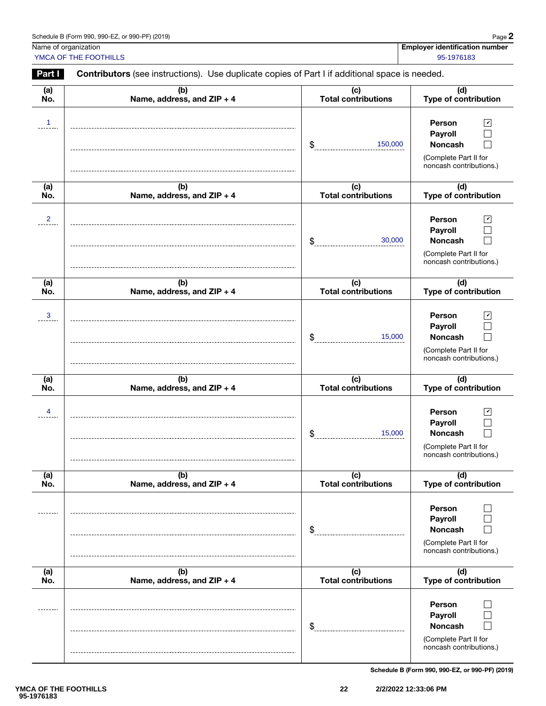| Schedule B (Form 990, 990-EZ, or 990-PF) (2019)<br>. <del>.</del> | $P$ age $\lambda$ |
|-------------------------------------------------------------------|-------------------|
|-------------------------------------------------------------------|-------------------|

YMCA OF THE FOOTHILLS AND RESERVE THE SECOND SECOND SECOND SECOND SECOND SECOND SECOND SECOND SECOND SECOND SECOND SECOND SECOND SECOND SECOND SECOND SECOND SECOND SECOND SECOND SECOND SECOND SECOND SECOND SECOND SECOND SE

Name of organization **Employer identification number**  $\blacksquare$ 

(a) (b) (c) (d) No. Name, address, and ZIP + 4 Total contributions Type of contribution Person 1 ✔  $\Box$ Payroll 150,000  $\Box$ Noncash \$ (Complete Part II for noncash contributions.) (a) (b) (c) (d) Type of contribution No. Name, address, and  $ZIP + 4$ Total contributions  $2$   $|$  Person  $\vee$ Person  $\Box$ Payroll 30,000 Noncash  $\Box$ \$ (Complete Part II for noncash contributions.) (d) (a) (b) (c) No. Name, address, and ZIP + 4 Total contributions Type of contribution Person 3 ✔ Payroll  $\Box$ \$ 15,000 Noncash П (Complete Part II for noncash contributions.) (a) (b) (c) (d) No. Name, address, and ZIP + 4 Total contributions Type of contribution Person 4 ✔ Payroll  $\Box$ 15,000 Noncash П \$ (Complete Part II for noncash contributions.) (d) (a) (b) (c) Total contributions No. Name, address, and ZIP + 4 Type of contribution Person  $\Box$ Payroll  $\Box$ \$ Noncash  $\Box$ (Complete Part II for noncash contributions.)  $(a)$  $(b)$ (c) (d) No. Name, address, and ZIP + 4 Total contributions Type of contribution Person  $\Box$ Payroll  $\Box$ Noncash  $\Box$ \$ (Complete Part II for noncash contributions.) Schedule B (Form 990, 990-EZ, or 990-PF) (2019)

Part **I** Contributors (see instructions). Use duplicate copies of Part I if additional space is needed.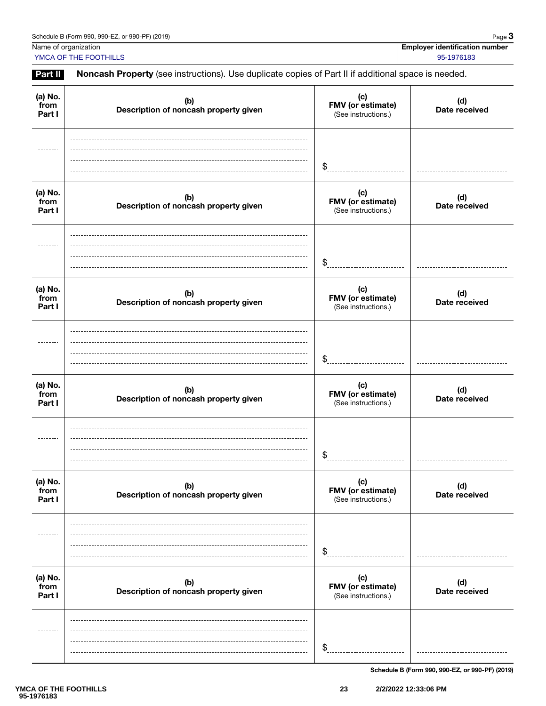Name of organization **Employer identification number**  $\blacksquare$ 

YMCA OF THE FOOTHILLS 95-1976183

Part II Noncash Property (see instructions). Use duplicate copies of Part II if additional space is needed.

| (a) No.<br>from<br>Part I | (b)<br>Description of noncash property given | (c)<br>FMV (or estimate)<br>(See instructions.) | (d)<br>Date received |
|---------------------------|----------------------------------------------|-------------------------------------------------|----------------------|
|                           |                                              | \$                                              |                      |
| (a) No.<br>from<br>Part I | (b)<br>Description of noncash property given | (c)<br>FMV (or estimate)<br>(See instructions.) | (d)<br>Date received |
|                           |                                              | \$                                              |                      |
| (a) No.<br>from<br>Part I | (b)<br>Description of noncash property given | (c)<br>FMV (or estimate)<br>(See instructions.) | (d)<br>Date received |
|                           |                                              | \$                                              |                      |
| (a) No.<br>from<br>Part I | (b)<br>Description of noncash property given | (c)<br>FMV (or estimate)<br>(See instructions.) | (d)<br>Date received |
|                           |                                              | \$                                              |                      |
| (a) No.<br>from<br>Part I | (b)<br>Description of noncash property given | (c)<br>FMV (or estimate)<br>(See instructions.) | (d)<br>Date received |
|                           |                                              | \$                                              |                      |
| (a) No.<br>from<br>Part I | (b)<br>Description of noncash property given | (c)<br>FMV (or estimate)<br>(See instructions.) | (d)<br>Date received |
|                           |                                              | \$                                              |                      |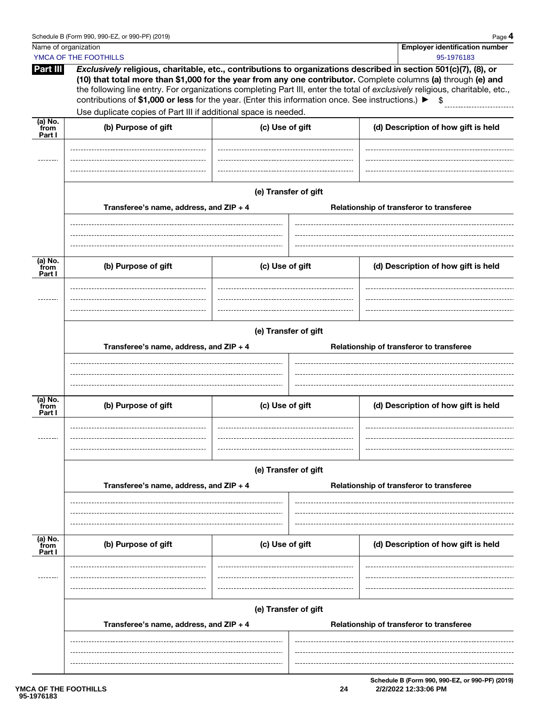|                                | . uuv |
|--------------------------------|-------|
| Employer identification number |       |

|                           | Name of organization                                                                                                                                                                                                                                                                                                                                                                      |                      |                                                                  |  | <b>Employer identification number</b>    |  |
|---------------------------|-------------------------------------------------------------------------------------------------------------------------------------------------------------------------------------------------------------------------------------------------------------------------------------------------------------------------------------------------------------------------------------------|----------------------|------------------------------------------------------------------|--|------------------------------------------|--|
| Part III                  | YMCA OF THE FOOTHILLS<br>Exclusively religious, charitable, etc., contributions to organizations described in section 501(c)(7), (8), or<br>(10) that total more than \$1,000 for the year from any one contributor. Complete columns (a) through (e) and<br>the following line entry. For organizations completing Part III, enter the total of exclusively religious, charitable, etc., |                      |                                                                  |  | 95-1976183                               |  |
|                           | contributions of \$1,000 or less for the year. (Enter this information once. See instructions.) ▶                                                                                                                                                                                                                                                                                         |                      |                                                                  |  |                                          |  |
| (a) No.<br>from           | Use duplicate copies of Part III if additional space is needed.<br>(b) Purpose of gift                                                                                                                                                                                                                                                                                                    | (c) Use of gift      |                                                                  |  |                                          |  |
| Part I                    |                                                                                                                                                                                                                                                                                                                                                                                           |                      |                                                                  |  | (d) Description of how gift is held      |  |
|                           |                                                                                                                                                                                                                                                                                                                                                                                           |                      |                                                                  |  |                                          |  |
|                           |                                                                                                                                                                                                                                                                                                                                                                                           |                      |                                                                  |  |                                          |  |
|                           |                                                                                                                                                                                                                                                                                                                                                                                           |                      |                                                                  |  |                                          |  |
|                           | Transferee's name, address, and ZIP + 4                                                                                                                                                                                                                                                                                                                                                   | (e) Transfer of gift |                                                                  |  | Relationship of transferor to transferee |  |
|                           |                                                                                                                                                                                                                                                                                                                                                                                           |                      |                                                                  |  |                                          |  |
|                           |                                                                                                                                                                                                                                                                                                                                                                                           |                      |                                                                  |  |                                          |  |
|                           |                                                                                                                                                                                                                                                                                                                                                                                           |                      |                                                                  |  |                                          |  |
| (a) No.<br>from<br>Part I | (b) Purpose of gift                                                                                                                                                                                                                                                                                                                                                                       | (c) Use of gift      |                                                                  |  | (d) Description of how gift is held      |  |
|                           |                                                                                                                                                                                                                                                                                                                                                                                           |                      |                                                                  |  |                                          |  |
|                           |                                                                                                                                                                                                                                                                                                                                                                                           |                      |                                                                  |  |                                          |  |
|                           |                                                                                                                                                                                                                                                                                                                                                                                           |                      |                                                                  |  |                                          |  |
|                           | (e) Transfer of gift                                                                                                                                                                                                                                                                                                                                                                      |                      |                                                                  |  |                                          |  |
|                           | Transferee's name, address, and ZIP + 4                                                                                                                                                                                                                                                                                                                                                   |                      |                                                                  |  | Relationship of transferor to transferee |  |
|                           |                                                                                                                                                                                                                                                                                                                                                                                           |                      |                                                                  |  |                                          |  |
|                           |                                                                                                                                                                                                                                                                                                                                                                                           |                      |                                                                  |  |                                          |  |
| (a) No.<br>from           |                                                                                                                                                                                                                                                                                                                                                                                           |                      |                                                                  |  |                                          |  |
| Part I                    | (b) Purpose of gift                                                                                                                                                                                                                                                                                                                                                                       | (c) Use of gift      |                                                                  |  | (d) Description of how gift is held      |  |
|                           |                                                                                                                                                                                                                                                                                                                                                                                           |                      |                                                                  |  |                                          |  |
|                           |                                                                                                                                                                                                                                                                                                                                                                                           |                      |                                                                  |  |                                          |  |
|                           |                                                                                                                                                                                                                                                                                                                                                                                           |                      |                                                                  |  |                                          |  |
|                           |                                                                                                                                                                                                                                                                                                                                                                                           | (e) Transfer of gift |                                                                  |  |                                          |  |
|                           | Transferee's name, address, and ZIP + 4                                                                                                                                                                                                                                                                                                                                                   |                      |                                                                  |  | Relationship of transferor to transferee |  |
|                           |                                                                                                                                                                                                                                                                                                                                                                                           |                      |                                                                  |  |                                          |  |
|                           |                                                                                                                                                                                                                                                                                                                                                                                           |                      |                                                                  |  |                                          |  |
| (a) No.<br>from<br>Part I | (b) Purpose of gift                                                                                                                                                                                                                                                                                                                                                                       | (c) Use of gift      |                                                                  |  | (d) Description of how gift is held      |  |
|                           |                                                                                                                                                                                                                                                                                                                                                                                           |                      |                                                                  |  |                                          |  |
|                           |                                                                                                                                                                                                                                                                                                                                                                                           |                      |                                                                  |  |                                          |  |
|                           |                                                                                                                                                                                                                                                                                                                                                                                           |                      |                                                                  |  |                                          |  |
|                           | Transferee's name, address, and ZIP + 4                                                                                                                                                                                                                                                                                                                                                   |                      | (e) Transfer of gift<br>Relationship of transferor to transferee |  |                                          |  |
|                           |                                                                                                                                                                                                                                                                                                                                                                                           |                      |                                                                  |  |                                          |  |
|                           |                                                                                                                                                                                                                                                                                                                                                                                           |                      |                                                                  |  |                                          |  |

Schedule B (Form 990, 990-EZ, or 990-PF) (2019) **24 2/2/2022 12:33:06 PM**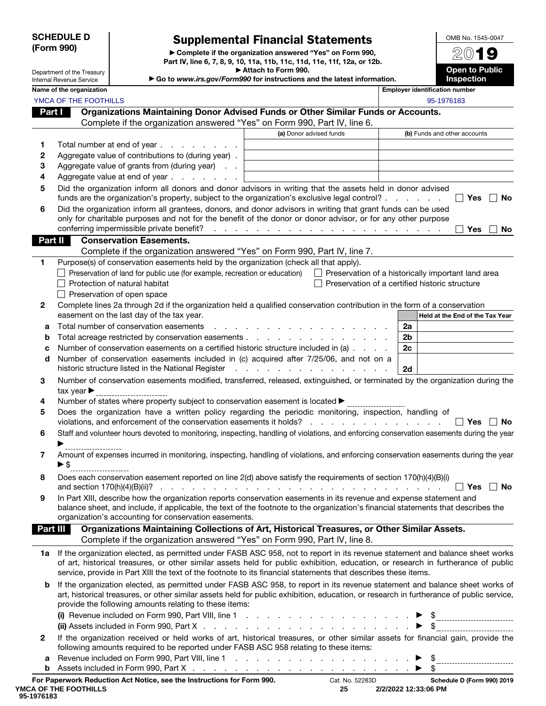#### SCHEDULE D (Form 990)

Department of the Treasury Internal Revenue Service

## Supplemental Financial Statements

▶ Complete if the organization answered "Yes" on Form 990, Part IV, line 6, 7, 8, 9, 10, 11a, 11b, 11c, 11d, 11e, 11f, 12a, or 12b. ▶ Attach to Form 990.

▶ Go to *www.irs.gov/Form990* for instructions and the latest information.<br>■ Employer identified

Open to Public Inspection

OMB No. 1545-0047 2019

|              | Name of the organization                                                                                                                                                                                                                                                                                                                                                               |                                                                                                                                                                                                                               | <b>Employer identification number</b>          |
|--------------|----------------------------------------------------------------------------------------------------------------------------------------------------------------------------------------------------------------------------------------------------------------------------------------------------------------------------------------------------------------------------------------|-------------------------------------------------------------------------------------------------------------------------------------------------------------------------------------------------------------------------------|------------------------------------------------|
|              | YMCA OF THE FOOTHILLS                                                                                                                                                                                                                                                                                                                                                                  |                                                                                                                                                                                                                               | 95-1976183                                     |
| Part I       | Organizations Maintaining Donor Advised Funds or Other Similar Funds or Accounts.                                                                                                                                                                                                                                                                                                      |                                                                                                                                                                                                                               |                                                |
|              | Complete if the organization answered "Yes" on Form 990, Part IV, line 6.                                                                                                                                                                                                                                                                                                              |                                                                                                                                                                                                                               |                                                |
|              |                                                                                                                                                                                                                                                                                                                                                                                        | (a) Donor advised funds                                                                                                                                                                                                       | (b) Funds and other accounts                   |
| 1.           | Total number at end of year                                                                                                                                                                                                                                                                                                                                                            |                                                                                                                                                                                                                               |                                                |
| 2            | Aggregate value of contributions to (during year).                                                                                                                                                                                                                                                                                                                                     |                                                                                                                                                                                                                               |                                                |
| З            | Aggregate value of grants from (during year)                                                                                                                                                                                                                                                                                                                                           |                                                                                                                                                                                                                               |                                                |
| 4            | Aggregate value at end of year<br>$\sim$                                                                                                                                                                                                                                                                                                                                               |                                                                                                                                                                                                                               |                                                |
| 5            | Did the organization inform all donors and donor advisors in writing that the assets held in donor advised                                                                                                                                                                                                                                                                             |                                                                                                                                                                                                                               |                                                |
|              | funds are the organization's property, subject to the organization's exclusive legal control?                                                                                                                                                                                                                                                                                          |                                                                                                                                                                                                                               | ∣ Yes<br><b>No</b>                             |
| 6            | Did the organization inform all grantees, donors, and donor advisors in writing that grant funds can be used<br>only for charitable purposes and not for the benefit of the donor or donor advisor, or for any other purpose<br>conferring impermissible private benefit?                                                                                                              | and a construction of the construction of the construction of the construction of the construction of the construction of the construction of the construction of the construction of the construction of the construction of | Yes<br><b>No</b>                               |
| Part II      | <b>Conservation Easements.</b>                                                                                                                                                                                                                                                                                                                                                         |                                                                                                                                                                                                                               |                                                |
|              | Complete if the organization answered "Yes" on Form 990, Part IV, line 7.                                                                                                                                                                                                                                                                                                              |                                                                                                                                                                                                                               |                                                |
| 1            | Purpose(s) of conservation easements held by the organization (check all that apply).                                                                                                                                                                                                                                                                                                  |                                                                                                                                                                                                                               |                                                |
|              | Preservation of land for public use (for example, recreation or education) □ Preservation of a historically important land area                                                                                                                                                                                                                                                        |                                                                                                                                                                                                                               |                                                |
|              | Protection of natural habitat                                                                                                                                                                                                                                                                                                                                                          |                                                                                                                                                                                                                               | Preservation of a certified historic structure |
|              | Preservation of open space                                                                                                                                                                                                                                                                                                                                                             |                                                                                                                                                                                                                               |                                                |
| 2            | Complete lines 2a through 2d if the organization held a qualified conservation contribution in the form of a conservation                                                                                                                                                                                                                                                              |                                                                                                                                                                                                                               |                                                |
|              | easement on the last day of the tax year.                                                                                                                                                                                                                                                                                                                                              |                                                                                                                                                                                                                               | Held at the End of the Tax Year                |
| а            | Total number of conservation easements                                                                                                                                                                                                                                                                                                                                                 |                                                                                                                                                                                                                               | 2a                                             |
| b            |                                                                                                                                                                                                                                                                                                                                                                                        |                                                                                                                                                                                                                               | 2 <sub>b</sub>                                 |
| c            | Number of conservation easements on a certified historic structure included in (a)                                                                                                                                                                                                                                                                                                     |                                                                                                                                                                                                                               | 2c                                             |
| d            | Number of conservation easements included in (c) acquired after 7/25/06, and not on a<br>historic structure listed in the National Register                                                                                                                                                                                                                                            | .                                                                                                                                                                                                                             | 2d                                             |
| 3            | Number of conservation easements modified, transferred, released, extinguished, or terminated by the organization during the<br>tax year $\blacktriangleright$                                                                                                                                                                                                                         |                                                                                                                                                                                                                               |                                                |
| 4            | Number of states where property subject to conservation easement is located ▶                                                                                                                                                                                                                                                                                                          |                                                                                                                                                                                                                               |                                                |
| 5            | Does the organization have a written policy regarding the periodic monitoring, inspection, handling of<br>violations, and enforcement of the conservation easements it holds?                                                                                                                                                                                                          | and a state of the state of the state                                                                                                                                                                                         | ∣ Yes<br><b>No</b>                             |
| 6            | Staff and volunteer hours devoted to monitoring, inspecting, handling of violations, and enforcing conservation easements during the year                                                                                                                                                                                                                                              |                                                                                                                                                                                                                               |                                                |
| 7            | Amount of expenses incurred in monitoring, inspecting, handling of violations, and enforcing conservation easements during the year<br>▶\$                                                                                                                                                                                                                                             |                                                                                                                                                                                                                               |                                                |
| 8            | Does each conservation easement reported on line 2(d) above satisfy the requirements of section 170(h)(4)(B)(i)                                                                                                                                                                                                                                                                        |                                                                                                                                                                                                                               | Yes $\lfloor$<br>_∣ No                         |
| 9            | In Part XIII, describe how the organization reports conservation easements in its revenue and expense statement and<br>balance sheet, and include, if applicable, the text of the footnote to the organization's financial statements that describes the                                                                                                                               |                                                                                                                                                                                                                               |                                                |
|              | organization's accounting for conservation easements.                                                                                                                                                                                                                                                                                                                                  |                                                                                                                                                                                                                               |                                                |
| Part III     | Organizations Maintaining Collections of Art, Historical Treasures, or Other Similar Assets.<br>Complete if the organization answered "Yes" on Form 990, Part IV, line 8.                                                                                                                                                                                                              |                                                                                                                                                                                                                               |                                                |
|              | 1a If the organization elected, as permitted under FASB ASC 958, not to report in its revenue statement and balance sheet works<br>of art, historical treasures, or other similar assets held for public exhibition, education, or research in furtherance of public<br>service, provide in Part XIII the text of the footnote to its financial statements that describes these items. |                                                                                                                                                                                                                               |                                                |
| b            | If the organization elected, as permitted under FASB ASC 958, to report in its revenue statement and balance sheet works of<br>art, historical treasures, or other similar assets held for public exhibition, education, or research in furtherance of public service,<br>provide the following amounts relating to these items:                                                       |                                                                                                                                                                                                                               |                                                |
| $\mathbf{2}$ | If the organization received or held works of art, historical treasures, or other similar assets for financial gain, provide the<br>following amounts required to be reported under FASB ASC 958 relating to these items:                                                                                                                                                              |                                                                                                                                                                                                                               |                                                |
| а<br>b       |                                                                                                                                                                                                                                                                                                                                                                                        |                                                                                                                                                                                                                               |                                                |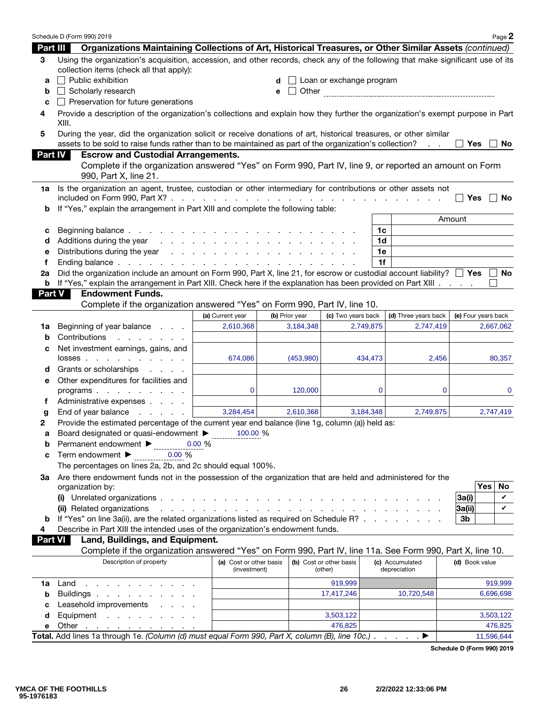|               | Schedule D (Form 990) 2019                                                                                                                                                                                                   |                                                                                                                                                                                                                                |                |                                    |                                 | Page 2              |
|---------------|------------------------------------------------------------------------------------------------------------------------------------------------------------------------------------------------------------------------------|--------------------------------------------------------------------------------------------------------------------------------------------------------------------------------------------------------------------------------|----------------|------------------------------------|---------------------------------|---------------------|
| Part III      | Organizations Maintaining Collections of Art, Historical Treasures, or Other Similar Assets (continued)                                                                                                                      |                                                                                                                                                                                                                                |                |                                    |                                 |                     |
| 3             | Using the organization's acquisition, accession, and other records, check any of the following that make significant use of its<br>collection items (check all that apply):                                                  |                                                                                                                                                                                                                                |                |                                    |                                 |                     |
| a             | $\Box$ Public exhibition                                                                                                                                                                                                     |                                                                                                                                                                                                                                | d              | Loan or exchange program           |                                 |                     |
| b             | $\Box$ Scholarly research                                                                                                                                                                                                    |                                                                                                                                                                                                                                | е              |                                    |                                 |                     |
| с             | $\Box$ Preservation for future generations                                                                                                                                                                                   |                                                                                                                                                                                                                                |                |                                    |                                 |                     |
| 4             | Provide a description of the organization's collections and explain how they further the organization's exempt purpose in Part<br>XIII.                                                                                      |                                                                                                                                                                                                                                |                |                                    |                                 |                     |
| 5             | During the year, did the organization solicit or receive donations of art, historical treasures, or other similar<br>assets to be sold to raise funds rather than to be maintained as part of the organization's collection? |                                                                                                                                                                                                                                |                |                                    | $\mathcal{L}^{\mathcal{L}}$ .   | Yes<br>No.          |
| Part IV       | <b>Escrow and Custodial Arrangements.</b>                                                                                                                                                                                    |                                                                                                                                                                                                                                |                |                                    |                                 |                     |
|               | Complete if the organization answered "Yes" on Form 990, Part IV, line 9, or reported an amount on Form<br>990, Part X, line 21.                                                                                             |                                                                                                                                                                                                                                |                |                                    |                                 |                     |
| 1a            | Is the organization an agent, trustee, custodian or other intermediary for contributions or other assets not                                                                                                                 |                                                                                                                                                                                                                                |                |                                    |                                 | <b>Yes</b><br>No    |
| b             | If "Yes," explain the arrangement in Part XIII and complete the following table:                                                                                                                                             |                                                                                                                                                                                                                                |                |                                    |                                 |                     |
|               |                                                                                                                                                                                                                              |                                                                                                                                                                                                                                |                |                                    |                                 | Amount              |
| с             |                                                                                                                                                                                                                              |                                                                                                                                                                                                                                |                |                                    | 1c                              |                     |
| d             | Additions during the year                                                                                                                                                                                                    | and the company of the company of the company of the company of the company of the company of the company of the company of the company of the company of the company of the company of the company of the company of the comp |                |                                    | 1d                              |                     |
| е             |                                                                                                                                                                                                                              |                                                                                                                                                                                                                                |                |                                    | 1e                              |                     |
| f             |                                                                                                                                                                                                                              |                                                                                                                                                                                                                                |                |                                    | 1f                              |                     |
| 2a            | Did the organization include an amount on Form 990, Part X, line 21, for escrow or custodial account liability? $\square$ Yes $\square$                                                                                      |                                                                                                                                                                                                                                |                |                                    |                                 | No.                 |
| b             | If "Yes," explain the arrangement in Part XIII. Check here if the explanation has been provided on Part XIII.                                                                                                                |                                                                                                                                                                                                                                |                |                                    |                                 |                     |
| <b>Part V</b> | <b>Endowment Funds.</b>                                                                                                                                                                                                      |                                                                                                                                                                                                                                |                |                                    |                                 |                     |
|               | Complete if the organization answered "Yes" on Form 990, Part IV, line 10.                                                                                                                                                   |                                                                                                                                                                                                                                |                |                                    |                                 |                     |
|               |                                                                                                                                                                                                                              | (a) Current year                                                                                                                                                                                                               | (b) Prior year | (c) Two years back                 | (d) Three years back            | (e) Four years back |
| 1a            | Beginning of year balance                                                                                                                                                                                                    | 2,610,368                                                                                                                                                                                                                      | 3,184,348      | 2,749,875                          | 2,747,419                       | 2,667,062           |
| b             | Contributions<br>and a state of the state of the                                                                                                                                                                             |                                                                                                                                                                                                                                |                |                                    |                                 |                     |
| с             | Net investment earnings, gains, and                                                                                                                                                                                          |                                                                                                                                                                                                                                |                |                                    |                                 |                     |
|               | $losses$                                                                                                                                                                                                                     | 674,086                                                                                                                                                                                                                        | (453,980)      | 434,473                            | 2,456                           | 80,357              |
| d             | Grants or scholarships<br><b>Service Control</b>                                                                                                                                                                             |                                                                                                                                                                                                                                |                |                                    |                                 |                     |
| е             | Other expenditures for facilities and                                                                                                                                                                                        |                                                                                                                                                                                                                                |                |                                    |                                 |                     |
|               | programs                                                                                                                                                                                                                     | $\mathbf{0}$                                                                                                                                                                                                                   | 120,000        |                                    | $\mathbf 0$<br>$\mathbf 0$      | 0                   |
| f             | Administrative expenses                                                                                                                                                                                                      |                                                                                                                                                                                                                                |                |                                    |                                 |                     |
| g             | End of year balance<br>and the company                                                                                                                                                                                       | 3,284,454                                                                                                                                                                                                                      | 2,610,368      | 3,184,348                          | 2,749,875                       | 2,747,419           |
| 2             | Provide the estimated percentage of the current year end balance (line 1g, column (a)) held as:                                                                                                                              |                                                                                                                                                                                                                                |                |                                    |                                 |                     |
| а             | Board designated or quasi-endowment >                                                                                                                                                                                        | 100.00 %                                                                                                                                                                                                                       |                |                                    |                                 |                     |
| b             | Permanent endowment ▶                                                                                                                                                                                                        | 0.00%                                                                                                                                                                                                                          |                |                                    |                                 |                     |
| c             | 0.00%<br>Term endowment ▶                                                                                                                                                                                                    |                                                                                                                                                                                                                                |                |                                    |                                 |                     |
|               | The percentages on lines 2a, 2b, and 2c should equal 100%.                                                                                                                                                                   |                                                                                                                                                                                                                                |                |                                    |                                 |                     |
| За            | Are there endowment funds not in the possession of the organization that are held and administered for the                                                                                                                   |                                                                                                                                                                                                                                |                |                                    |                                 | No<br>Yes           |
|               | organization by:                                                                                                                                                                                                             |                                                                                                                                                                                                                                |                |                                    |                                 | 3a(i)<br>V          |
|               | (ii) Related organizations                                                                                                                                                                                                   | and the second contract of the second contract of the second contract of the second                                                                                                                                            |                |                                    |                                 | V<br> 3a(i)         |
| b             | If "Yes" on line 3a(ii), are the related organizations listed as required on Schedule R?                                                                                                                                     |                                                                                                                                                                                                                                |                |                                    |                                 | 3 <sub>b</sub>      |
| 4             | Describe in Part XIII the intended uses of the organization's endowment funds.                                                                                                                                               |                                                                                                                                                                                                                                |                |                                    |                                 |                     |
|               | Land, Buildings, and Equipment.<br>Part VI                                                                                                                                                                                   |                                                                                                                                                                                                                                |                |                                    |                                 |                     |
|               | Complete if the organization answered "Yes" on Form 990, Part IV, line 11a. See Form 990, Part X, line 10.                                                                                                                   |                                                                                                                                                                                                                                |                |                                    |                                 |                     |
|               | Description of property                                                                                                                                                                                                      | (a) Cost or other basis<br>(investment)                                                                                                                                                                                        |                | (b) Cost or other basis<br>(other) | (c) Accumulated<br>depreciation | (d) Book value      |
| 1a            | Land<br>the contract of the contract of the contract of the contract of the contract of the contract of the contract of                                                                                                      |                                                                                                                                                                                                                                |                | 919,999                            |                                 | 919,999             |
| b             | Buildings                                                                                                                                                                                                                    |                                                                                                                                                                                                                                |                | 17,417,246                         | 10,720,548                      | 6,696,698           |
| с             | Leasehold improvements                                                                                                                                                                                                       |                                                                                                                                                                                                                                |                |                                    |                                 |                     |
| d             | Equipment                                                                                                                                                                                                                    |                                                                                                                                                                                                                                |                | 3,503,122                          |                                 | 3,503,122           |
| е             | Other                                                                                                                                                                                                                        |                                                                                                                                                                                                                                |                | 476,825                            |                                 | 476,825             |
|               | Total. Add lines 1a through 1e. (Column (d) must equal Form 990, Part X, column (B), line 10c.) ▶                                                                                                                            |                                                                                                                                                                                                                                |                |                                    |                                 | 11,596,644          |
|               |                                                                                                                                                                                                                              |                                                                                                                                                                                                                                |                |                                    |                                 |                     |

Schedule D (Form 990) 2019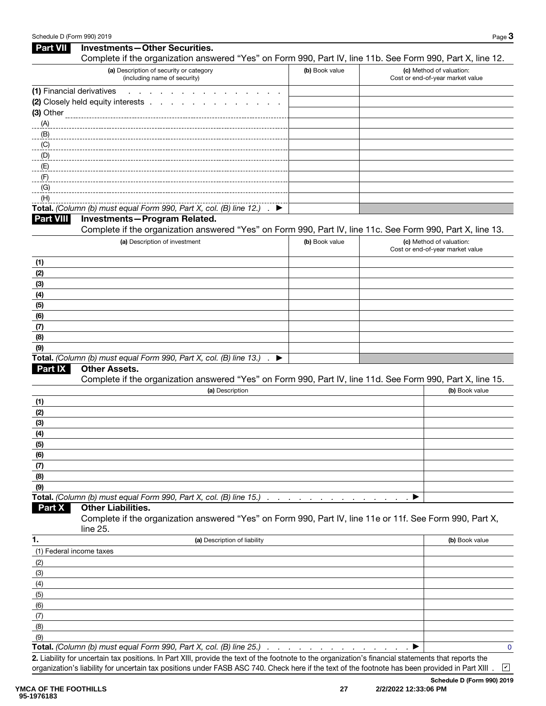| <b>Part VII</b>               | <b>Investments-Other Securities.</b>                                                                                 |                |                                                              |
|-------------------------------|----------------------------------------------------------------------------------------------------------------------|----------------|--------------------------------------------------------------|
|                               | Complete if the organization answered "Yes" on Form 990, Part IV, line 11b. See Form 990, Part X, line 12.           |                |                                                              |
|                               | (a) Description of security or category<br>(including name of security)                                              | (b) Book value | (c) Method of valuation:<br>Cost or end-of-year market value |
| (1) Financial derivatives     | <b>Contract Contract</b>                                                                                             |                |                                                              |
|                               | (2) Closely held equity interests<br>$\sim 100$ km s $^{-1}$                                                         |                |                                                              |
|                               |                                                                                                                      |                |                                                              |
| (A)                           |                                                                                                                      |                |                                                              |
| (B)                           |                                                                                                                      |                |                                                              |
| $\overline{\phantom{a}^{00}}$ |                                                                                                                      |                |                                                              |
| (D)                           |                                                                                                                      |                |                                                              |
| (E)                           |                                                                                                                      |                |                                                              |
| (F)                           |                                                                                                                      |                |                                                              |
| (G)                           |                                                                                                                      |                |                                                              |
| (H)                           |                                                                                                                      |                |                                                              |
|                               | Total. (Column (b) must equal Form 990, Part X, col. (B) line 12.) . ▶                                               |                |                                                              |
| <b>Part VIII</b>              | Investments-Program Related.                                                                                         |                |                                                              |
|                               | Complete if the organization answered "Yes" on Form 990, Part IV, line 11c. See Form 990, Part X, line 13.           |                |                                                              |
|                               | (a) Description of investment                                                                                        | (b) Book value | (c) Method of valuation:<br>Cost or end-of-year market value |
| (1)                           |                                                                                                                      |                |                                                              |
| (2)                           |                                                                                                                      |                |                                                              |
| (3)                           |                                                                                                                      |                |                                                              |
| (4)                           |                                                                                                                      |                |                                                              |
| (5)                           |                                                                                                                      |                |                                                              |
| (6)                           |                                                                                                                      |                |                                                              |
| (7)                           |                                                                                                                      |                |                                                              |
| (8)                           |                                                                                                                      |                |                                                              |
| (9)                           |                                                                                                                      |                |                                                              |
|                               | Total. (Column (b) must equal Form 990, Part X, col. (B) line 13.).<br>▸                                             |                |                                                              |
| <b>Part IX</b>                | <b>Other Assets.</b>                                                                                                 |                |                                                              |
|                               | Complete if the organization answered "Yes" on Form 990, Part IV, line 11d. See Form 990, Part X, line 15.           |                |                                                              |
|                               | (a) Description                                                                                                      |                | (b) Book value                                               |
| (1)                           |                                                                                                                      |                |                                                              |
| (2)                           |                                                                                                                      |                |                                                              |
| (3)                           |                                                                                                                      |                |                                                              |
| (4)                           |                                                                                                                      |                |                                                              |
| (5)                           |                                                                                                                      |                |                                                              |
| (6)                           |                                                                                                                      |                |                                                              |
| (7)                           |                                                                                                                      |                |                                                              |
| (8)                           |                                                                                                                      |                |                                                              |
| (9)                           | Total. (Column (b) must equal Form 990, Part X, col. (B) line 15.)                                                   |                |                                                              |
| Part X                        | <b>Other Liabilities.</b>                                                                                            |                |                                                              |
|                               | Complete if the organization answered "Yes" on Form 990, Part IV, line 11e or 11f. See Form 990, Part X,<br>line 25. |                |                                                              |
| 1.                            | (a) Description of liability                                                                                         |                | (b) Book value                                               |
| (1) Federal income taxes      |                                                                                                                      |                |                                                              |
| (2)                           |                                                                                                                      |                |                                                              |
| (3)                           |                                                                                                                      |                |                                                              |
| (4)                           |                                                                                                                      |                |                                                              |
| (5)                           |                                                                                                                      |                |                                                              |
| (6)                           |                                                                                                                      |                |                                                              |
| (7)                           |                                                                                                                      |                |                                                              |
| (8)                           |                                                                                                                      |                |                                                              |
| (9)                           |                                                                                                                      |                |                                                              |
|                               | Total. (Column (b) must equal Form 990, Part X, col. (B) line 25.)                                                   |                | 0                                                            |
|                               |                                                                                                                      |                |                                                              |

2. Liability for uncertain tax positions. In Part XIII, provide the text of the footnote to the organization's financial statements that reports the organization's liability for uncertain tax positions under FASB ASC 740. Check here if the text of the footnote has been provided in Part XIII .

Schedule D (Form 990) 2019

✔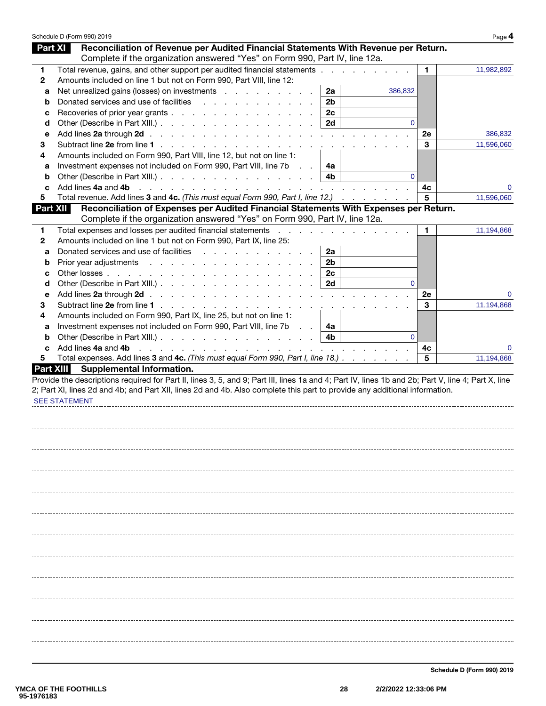|                  | Schedule D (Form 990) 2019                                                                                                                                                                                                                                                                               |                |          |    | Page 4     |
|------------------|----------------------------------------------------------------------------------------------------------------------------------------------------------------------------------------------------------------------------------------------------------------------------------------------------------|----------------|----------|----|------------|
| <b>Part XI</b>   | Reconciliation of Revenue per Audited Financial Statements With Revenue per Return.                                                                                                                                                                                                                      |                |          |    |            |
|                  | Complete if the organization answered "Yes" on Form 990, Part IV, line 12a.                                                                                                                                                                                                                              |                |          |    |            |
| 1.               | Total revenue, gains, and other support per audited financial statements                                                                                                                                                                                                                                 |                |          | 1. | 11,982,892 |
| $\mathbf{2}$     | Amounts included on line 1 but not on Form 990, Part VIII, line 12:                                                                                                                                                                                                                                      |                |          |    |            |
| a                | Net unrealized gains (losses) on investments                                                                                                                                                                                                                                                             | 2a             | 386,832  |    |            |
| b                | Donated services and use of facilities                                                                                                                                                                                                                                                                   | 2 <sub>b</sub> |          |    |            |
| с                | Recoveries of prior year grants                                                                                                                                                                                                                                                                          | 2c             |          |    |            |
| d                | Other (Describe in Part XIII.)                                                                                                                                                                                                                                                                           | 2d             | $\Omega$ |    |            |
| е                |                                                                                                                                                                                                                                                                                                          |                |          | 2e | 386,832    |
| 3                |                                                                                                                                                                                                                                                                                                          |                |          | 3  | 11,596,060 |
| 4                | Amounts included on Form 990, Part VIII, line 12, but not on line 1:                                                                                                                                                                                                                                     |                |          |    |            |
| а                | Investment expenses not included on Form 990, Part VIII, line 7b<br><b>Contract</b>                                                                                                                                                                                                                      | 4a             |          |    |            |
| b                | Other (Describe in Part XIII.)                                                                                                                                                                                                                                                                           | 4b.            | $\Omega$ |    |            |
| c                | Add lines 4a and 4b<br><u>. In the second contract of the second contract of the second contract of the second contract of the second contract of the second contract of the second contract of the second contract of the second contract of the secon</u>                                              |                |          | 4c | 0          |
| 5                | Total revenue. Add lines 3 and 4c. (This must equal Form 990, Part I, line 12.)                                                                                                                                                                                                                          |                |          | 5  | 11,596,060 |
| <b>Part XII</b>  | Reconciliation of Expenses per Audited Financial Statements With Expenses per Return.                                                                                                                                                                                                                    |                |          |    |            |
|                  | Complete if the organization answered "Yes" on Form 990, Part IV, line 12a.                                                                                                                                                                                                                              |                |          |    |            |
| 1                | Total expenses and losses per audited financial statements<br>and the company of the company of the                                                                                                                                                                                                      |                |          | 1. | 11,194,868 |
| 2                | Amounts included on line 1 but not on Form 990, Part IX, line 25:                                                                                                                                                                                                                                        |                |          |    |            |
| a                | Donated services and use of facilities expansion of the services and use of facilities                                                                                                                                                                                                                   | 2a             |          |    |            |
| b                | Prior year adjustments                                                                                                                                                                                                                                                                                   | 2b             |          |    |            |
| с                |                                                                                                                                                                                                                                                                                                          | 2c             |          |    |            |
| d                | Other (Describe in Part XIII.)                                                                                                                                                                                                                                                                           | 2d             | $\Omega$ |    |            |
| е                |                                                                                                                                                                                                                                                                                                          |                |          | 2e | 0          |
| З                |                                                                                                                                                                                                                                                                                                          |                |          | 3  | 11,194,868 |
| 4                | Amounts included on Form 990, Part IX, line 25, but not on line 1:                                                                                                                                                                                                                                       |                |          |    |            |
| а                | Investment expenses not included on Form 990, Part VIII, line 7b<br><b>Carl Carl</b>                                                                                                                                                                                                                     | 4a             |          |    |            |
| b                | Other (Describe in Part XIII.)                                                                                                                                                                                                                                                                           | 4b             | $\Omega$ |    |            |
| c                | Add lines 4a and 4b<br>and a construction of the construction of the construction of the construction of the construction of the construction of the construction of the construction of the construction of the construction of the construction of                                                     |                |          | 4c | 0          |
| 5                | Total expenses. Add lines 3 and 4c. (This must equal Form 990, Part I, line 18.)                                                                                                                                                                                                                         |                |          | 5  | 11,194,868 |
| <b>Part XIII</b> | <b>Supplemental Information.</b>                                                                                                                                                                                                                                                                         |                |          |    |            |
|                  | Provide the descriptions required for Part II, lines 3, 5, and 9; Part III, lines 1a and 4; Part IV, lines 1b and 2b; Part V, line 4; Part X, line<br>2; Part XI, lines 2d and 4b; and Part XII, lines 2d and 4b. Also complete this part to provide any additional information.<br><b>SEE STATEMENT</b> |                |          |    |            |
|                  |                                                                                                                                                                                                                                                                                                          |                |          |    |            |
|                  |                                                                                                                                                                                                                                                                                                          |                |          |    |            |
|                  |                                                                                                                                                                                                                                                                                                          |                |          |    |            |
|                  |                                                                                                                                                                                                                                                                                                          |                |          |    |            |
|                  |                                                                                                                                                                                                                                                                                                          |                |          |    |            |
|                  |                                                                                                                                                                                                                                                                                                          |                |          |    |            |
|                  |                                                                                                                                                                                                                                                                                                          |                |          |    |            |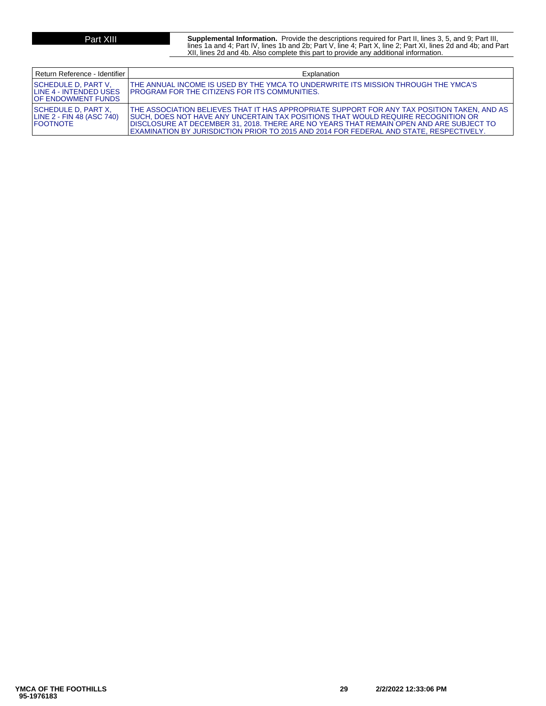**Part XIII** Supplemental Information. Provide the descriptions required for Part II, lines 3, 5, and 9; Part III,<br>lines 1a and 4; Part IV, lines 1b and 2b; Part V, line 4; Part X, line 2; Part XI, lines 2d and 4b; and Part XII, lines 2d and 4b. Also complete this part to provide any additional information.

| Return Reference - Identifier                                                | Explanation                                                                                                                                                                                                                                                                                                                                                               |
|------------------------------------------------------------------------------|---------------------------------------------------------------------------------------------------------------------------------------------------------------------------------------------------------------------------------------------------------------------------------------------------------------------------------------------------------------------------|
| SCHEDULE D, PART V,<br>ILINE 4 - INTENDED USES<br><b>IOF ENDOWMENT FUNDS</b> | THE ANNUAL INCOME IS USED BY THE YMCA TO UNDERWRITE ITS MISSION THROUGH THE YMCA'S<br><b>IPROGRAM FOR THE CITIZENS FOR ITS COMMUNITIES.</b>                                                                                                                                                                                                                               |
| ISCHEDULE D. PART X.<br>LINE 2 - FIN 48 (ASC 740)<br><b>IFOOTNOTE</b>        | THE ASSOCIATION BELIEVES THAT IT HAS APPROPRIATE SUPPORT FOR ANY TAX POSITION TAKEN. AND AS T<br>ISUCH. DOES NOT HAVE ANY UNCERTAIN TAX POSITIONS THAT WOULD REQUIRE RECOGNITION OR<br>DISCLOSURE AT DECEMBER 31, 2018. THERE ARE NO YEARS THAT REMAIN OPEN AND ARE SUBJECT TO<br>EXAMINATION BY JURISDICTION PRIOR TO 2015 AND 2014 FOR FEDERAL AND STATE, RESPECTIVELY. |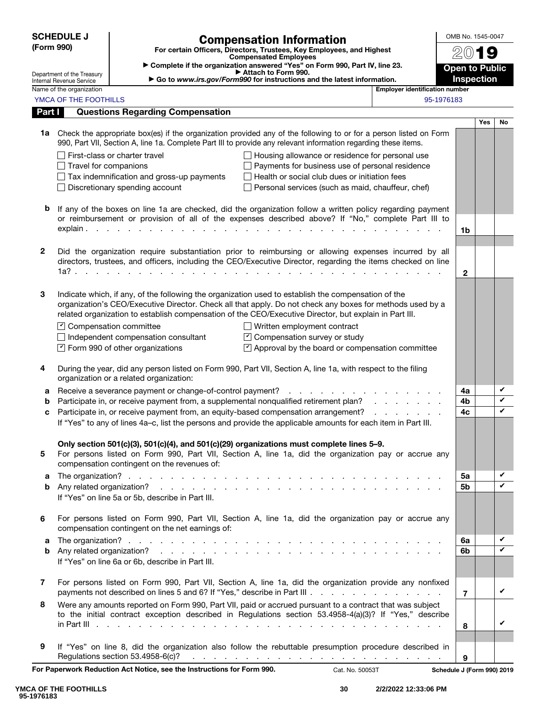| <b>SCHEDULE J</b> |                                                        |                                                                                                                                                                                                                                         | <b>Compensation Information</b>                                                                                 |                                                     | OMB No. 1545-0047          |            |    |  |
|-------------------|--------------------------------------------------------|-----------------------------------------------------------------------------------------------------------------------------------------------------------------------------------------------------------------------------------------|-----------------------------------------------------------------------------------------------------------------|-----------------------------------------------------|----------------------------|------------|----|--|
| (Form 990)        |                                                        | For certain Officers, Directors, Trustees, Key Employees, and Highest<br><b>Compensated Employees</b>                                                                                                                                   |                                                                                                                 |                                                     |                            | IS)        |    |  |
|                   |                                                        |                                                                                                                                                                                                                                         | Complete if the organization answered "Yes" on Form 990, Part IV, line 23.<br>Attach to Form 990.               |                                                     | <b>Open to Public</b>      |            |    |  |
|                   | Department of the Treasury<br>Internal Revenue Service |                                                                                                                                                                                                                                         | Go to www.irs.gov/Form990 for instructions and the latest information.                                          |                                                     | <b>Inspection</b>          |            |    |  |
|                   | Name of the organization<br>YMCA OF THE FOOTHILLS      |                                                                                                                                                                                                                                         |                                                                                                                 | <b>Employer identification number</b><br>95-1976183 |                            |            |    |  |
| Part I            |                                                        | <b>Questions Regarding Compensation</b>                                                                                                                                                                                                 |                                                                                                                 |                                                     |                            |            |    |  |
|                   |                                                        |                                                                                                                                                                                                                                         |                                                                                                                 |                                                     |                            | <b>Yes</b> | No |  |
|                   |                                                        | 1a Check the appropriate box(es) if the organization provided any of the following to or for a person listed on Form<br>990, Part VII, Section A, line 1a. Complete Part III to provide any relevant information regarding these items. |                                                                                                                 |                                                     |                            |            |    |  |
|                   |                                                        | First-class or charter travel                                                                                                                                                                                                           | Housing allowance or residence for personal use                                                                 |                                                     |                            |            |    |  |
|                   | $\Box$ Travel for companions                           |                                                                                                                                                                                                                                         | Payments for business use of personal residence                                                                 |                                                     |                            |            |    |  |
|                   |                                                        | $\Box$ Tax indemnification and gross-up payments                                                                                                                                                                                        | $\Box$ Health or social club dues or initiation fees                                                            |                                                     |                            |            |    |  |
|                   |                                                        | Discretionary spending account                                                                                                                                                                                                          | Personal services (such as maid, chauffeur, chef)                                                               |                                                     |                            |            |    |  |
| b                 |                                                        | If any of the boxes on line 1a are checked, did the organization follow a written policy regarding payment<br>or reimbursement or provision of all of the expenses described above? If "No," complete Part III to                       |                                                                                                                 |                                                     |                            |            |    |  |
|                   |                                                        | $explain.$ $\ldots$ $\ldots$ $\ldots$ $\ldots$ $\ldots$ $\ldots$ $\ldots$ $\ldots$ $\ldots$ $\ldots$ $\ldots$ $\ldots$                                                                                                                  |                                                                                                                 |                                                     | 1b                         |            |    |  |
| $\mathbf{2}$      |                                                        |                                                                                                                                                                                                                                         |                                                                                                                 |                                                     |                            |            |    |  |
|                   |                                                        | Did the organization require substantiation prior to reimbursing or allowing expenses incurred by all<br>directors, trustees, and officers, including the CEO/Executive Director, regarding the items checked on line<br>1a?            |                                                                                                                 |                                                     | $\mathbf{2}$               |            |    |  |
|                   |                                                        |                                                                                                                                                                                                                                         |                                                                                                                 |                                                     |                            |            |    |  |
| 3                 |                                                        | Indicate which, if any, of the following the organization used to establish the compensation of the                                                                                                                                     |                                                                                                                 |                                                     |                            |            |    |  |
|                   |                                                        | organization's CEO/Executive Director. Check all that apply. Do not check any boxes for methods used by a<br>related organization to establish compensation of the CEO/Executive Director, but explain in Part III.                     |                                                                                                                 |                                                     |                            |            |    |  |
|                   |                                                        | $\Box$ Compensation committee                                                                                                                                                                                                           | $\Box$ Written employment contract                                                                              |                                                     |                            |            |    |  |
|                   |                                                        | $\Box$ Independent compensation consultant                                                                                                                                                                                              | $\triangleright$ Compensation survey or study                                                                   |                                                     |                            |            |    |  |
|                   |                                                        | $\triangleright$ Form 990 of other organizations                                                                                                                                                                                        | $\triangleright$ Approval by the board or compensation committee                                                |                                                     |                            |            |    |  |
| 4                 |                                                        | During the year, did any person listed on Form 990, Part VII, Section A, line 1a, with respect to the filing<br>organization or a related organization:                                                                                 |                                                                                                                 |                                                     |                            |            |    |  |
| а                 |                                                        |                                                                                                                                                                                                                                         |                                                                                                                 |                                                     | 4a                         |            | V  |  |
| b                 |                                                        | Participate in, or receive payment from, a supplemental nonqualified retirement plan?                                                                                                                                                   |                                                                                                                 | and a state of the state of                         | 4b                         |            | V  |  |
| c                 |                                                        | Participate in, or receive payment from, an equity-based compensation arrangement?<br>If "Yes" to any of lines 4a-c, list the persons and provide the applicable amounts for each item in Part III.                                     |                                                                                                                 | and a state of the state                            | 4c                         |            | V  |  |
|                   |                                                        | Only section 501(c)(3), 501(c)(4), and 501(c)(29) organizations must complete lines 5-9.                                                                                                                                                |                                                                                                                 |                                                     |                            |            |    |  |
| 5                 |                                                        | For persons listed on Form 990, Part VII, Section A, line 1a, did the organization pay or accrue any<br>compensation contingent on the revenues of:                                                                                     |                                                                                                                 |                                                     |                            |            |    |  |
| а                 |                                                        |                                                                                                                                                                                                                                         |                                                                                                                 |                                                     | 5a                         |            | V  |  |
| b                 |                                                        | If "Yes" on line 5a or 5b, describe in Part III.                                                                                                                                                                                        |                                                                                                                 |                                                     | 5 <sub>b</sub>             |            | V  |  |
|                   |                                                        |                                                                                                                                                                                                                                         |                                                                                                                 |                                                     |                            |            |    |  |
| 6                 |                                                        | For persons listed on Form 990, Part VII, Section A, line 1a, did the organization pay or accrue any<br>compensation contingent on the net earnings of:                                                                                 |                                                                                                                 |                                                     |                            |            |    |  |
| а                 |                                                        |                                                                                                                                                                                                                                         |                                                                                                                 |                                                     | 6a                         |            | V  |  |
| b                 |                                                        | If "Yes" on line 6a or 6b, describe in Part III.                                                                                                                                                                                        |                                                                                                                 |                                                     | 6b                         |            | ✓  |  |
| 7                 |                                                        | For persons listed on Form 990, Part VII, Section A, line 1a, did the organization provide any nonfixed<br>payments not described on lines 5 and 6? If "Yes," describe in Part III                                                      |                                                                                                                 |                                                     | $\overline{7}$             |            | V  |  |
| 8                 |                                                        | Were any amounts reported on Form 990, Part VII, paid or accrued pursuant to a contract that was subject<br>to the initial contract exception described in Regulations section 53.4958-4(a)(3)? If "Yes," describe                      |                                                                                                                 |                                                     |                            |            | V  |  |
|                   |                                                        |                                                                                                                                                                                                                                         |                                                                                                                 |                                                     | 8                          |            |    |  |
| 9                 |                                                        | If "Yes" on line 8, did the organization also follow the rebuttable presumption procedure described in<br>Regulations section 53.4958-6(c)?                                                                                             | the contract of the contract of the contract of the contract of the contract of the contract of the contract of |                                                     | 9                          |            |    |  |
|                   |                                                        | For Paperwork Reduction Act Notice, see the Instructions for Form 990.                                                                                                                                                                  | Cat. No. 50053T                                                                                                 |                                                     | Schedule J (Form 990) 2019 |            |    |  |

**YMCA OF THE FOOTHILLS 95-1976183**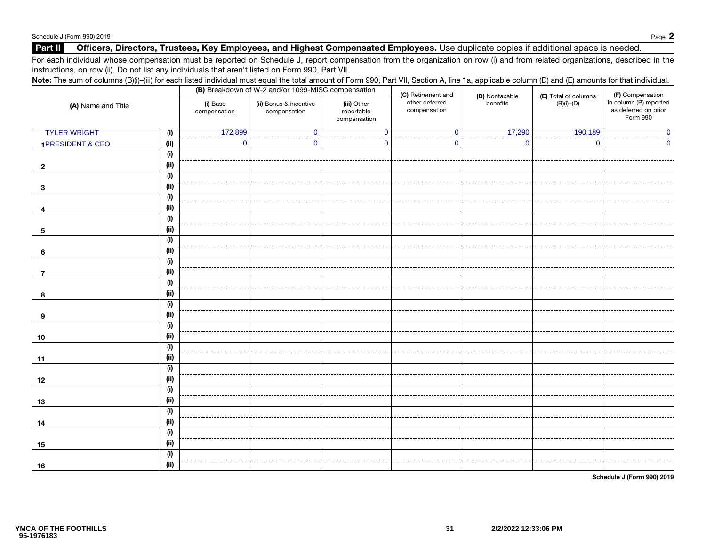#### Part II Officers, Directors, Trustees, Key Employees, and Highest Compensated Employees. Use duplicate copies if additional space is needed.

For each individual whose compensation must be reported on Schedule J, report compensation from the organization on row (i) and from related organizations, described in the instructions, on row (ii). Do not list any individuals that aren't listed on Form 990, Part VII.

| Note: The sum of columns (B)(i)-(iii) for each listed individual must equal the total amount of Form 990, Part VII, Section A, line 1a, applicable column (D) and (E) amounts for that individual. |      |                          |                                                    |                                           |                                |                |                      |                                                            |
|----------------------------------------------------------------------------------------------------------------------------------------------------------------------------------------------------|------|--------------------------|----------------------------------------------------|-------------------------------------------|--------------------------------|----------------|----------------------|------------------------------------------------------------|
| (A) Name and Title                                                                                                                                                                                 |      |                          | (B) Breakdown of W-2 and/or 1099-MISC compensation |                                           | (C) Retirement and             | (D) Nontaxable | (E) Total of columns | (F) Compensation                                           |
|                                                                                                                                                                                                    |      | (i) Base<br>compensation | (ii) Bonus & incentive<br>compensation             | (iii) Other<br>reportable<br>compensation | other deferred<br>compensation | benefits       | $(B)(i)$ - $(D)$     | in column (B) reported<br>as deferred on prior<br>Form 990 |
| <b>TYLER WRIGHT</b>                                                                                                                                                                                | (i)  | 172,899                  | $\mathbf 0$                                        | $\mathbf{0}$                              | $\Omega$                       | 17,290         | 190,189              |                                                            |
| 1PRESIDENT & CEO                                                                                                                                                                                   | (ii) | $\mathbf 0$              | $\bf{0}$                                           | 0                                         | $\bf{0}$                       | $\mathbf{0}$   | $\mathbf 0$          | 0                                                          |
|                                                                                                                                                                                                    | (i)  |                          |                                                    |                                           |                                |                |                      |                                                            |
| $\overline{2}$                                                                                                                                                                                     | (ii) |                          |                                                    |                                           |                                |                |                      |                                                            |
|                                                                                                                                                                                                    | (i)  |                          |                                                    |                                           |                                |                |                      |                                                            |
| -3                                                                                                                                                                                                 | (ii) |                          |                                                    |                                           |                                |                |                      |                                                            |
|                                                                                                                                                                                                    | (i)  |                          |                                                    |                                           |                                |                |                      |                                                            |
| 4                                                                                                                                                                                                  | (ii) |                          |                                                    |                                           |                                |                |                      |                                                            |
|                                                                                                                                                                                                    | (i)  |                          |                                                    |                                           |                                |                |                      |                                                            |
| 5                                                                                                                                                                                                  | (ii) |                          |                                                    |                                           |                                |                |                      |                                                            |
|                                                                                                                                                                                                    | (i)  |                          |                                                    |                                           |                                |                |                      |                                                            |
| 6                                                                                                                                                                                                  | (ii) |                          |                                                    |                                           |                                |                |                      |                                                            |
|                                                                                                                                                                                                    | (i)  |                          |                                                    |                                           |                                |                |                      |                                                            |
| 7                                                                                                                                                                                                  | (ii) |                          |                                                    |                                           |                                |                |                      |                                                            |
|                                                                                                                                                                                                    | (i)  |                          |                                                    |                                           |                                |                |                      |                                                            |
| 8                                                                                                                                                                                                  | (ii) |                          |                                                    |                                           |                                |                |                      |                                                            |
|                                                                                                                                                                                                    | (i)  |                          |                                                    |                                           |                                |                |                      |                                                            |
| 9                                                                                                                                                                                                  | (ii) |                          |                                                    |                                           |                                |                |                      |                                                            |
|                                                                                                                                                                                                    | (i)  |                          |                                                    |                                           |                                |                |                      |                                                            |
| 10                                                                                                                                                                                                 | (ii) |                          |                                                    |                                           |                                |                |                      |                                                            |
|                                                                                                                                                                                                    | (i)  |                          |                                                    |                                           |                                |                |                      |                                                            |
| 11                                                                                                                                                                                                 | (ii) |                          |                                                    |                                           |                                |                |                      |                                                            |
|                                                                                                                                                                                                    | (i)  |                          |                                                    |                                           |                                |                |                      |                                                            |
| 12                                                                                                                                                                                                 | (ii) |                          |                                                    |                                           |                                |                |                      |                                                            |
|                                                                                                                                                                                                    | (i)  |                          |                                                    |                                           |                                |                |                      |                                                            |
| 13                                                                                                                                                                                                 | (ii) |                          |                                                    |                                           |                                |                |                      |                                                            |
|                                                                                                                                                                                                    | (i)  |                          |                                                    |                                           |                                |                |                      |                                                            |
| 14                                                                                                                                                                                                 | (i)  |                          |                                                    |                                           |                                |                |                      |                                                            |
|                                                                                                                                                                                                    | (i)  |                          |                                                    |                                           |                                |                |                      |                                                            |
| 15                                                                                                                                                                                                 | (ii) |                          |                                                    |                                           |                                |                |                      |                                                            |
|                                                                                                                                                                                                    | (i)  |                          |                                                    |                                           |                                |                |                      |                                                            |
| 16                                                                                                                                                                                                 | (i)  |                          |                                                    |                                           |                                |                |                      |                                                            |

Schedule J (Form 990) 2019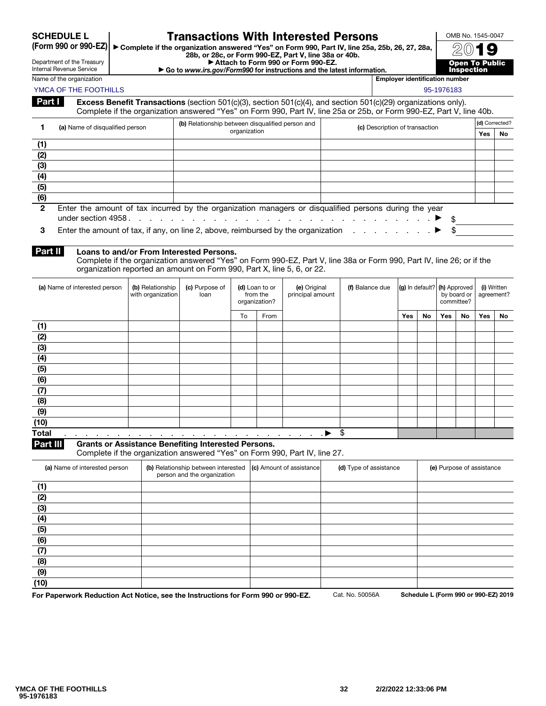| <b>SCHEDULE L</b> |  |
|-------------------|--|
|                   |  |

#### (Form 990 or 990-EZ)

## Transactions With Interested Persons

▶ Complete if the organization answered "Yes" on Form 990, Part IV, line 25a, 25b, 26, 27, 28a, 28b, or 28c, or Form 990-EZ, Part V, line 38a or 40b. ▶ Attach to Form 990 or Form 990-EZ.

Department of the Treasury Internal Revenue Service

| Name of the organizatio |
|-------------------------|
|-------------------------|

▶ Go to *www.irs.gov/Form990* for instructions and the latest information. on the organization  $\overline{\phantom{a}}$  or  $\overline{\phantom{a}}$  . Employer identification number



YMCA OF THE FOOTHILLS AND THE SECOND ASSAULT AND THE SECOND ASSAULT AND THE SECOND ASSAULT AND SECOND ASSAULT AND SECOND ASSAULT AND SECOND ASSAULT AND SECOND ASSAULT AND SECOND ASSAULT AND SECOND ASSAULT AND SECOND ASSAUL

| Part I I | <b>Excess Benefit Transactions</b> (section 501(c)(3), section 501(c)(4), and section 501(c)(29) organizations only). |
|----------|-----------------------------------------------------------------------------------------------------------------------|
|          | Complete if the organization answered "Yes" on Form 990, Part IV, line 25a or 25b, or Form 990-EZ, Part V, line 40b.  |

| (a) Name of disqualified person |  | (b) Relationship between disqualified person and<br>(c) Description of transaction                              |  | (d) Corrected? |    |  |
|---------------------------------|--|-----------------------------------------------------------------------------------------------------------------|--|----------------|----|--|
|                                 |  | organization                                                                                                    |  | Yes            | No |  |
| (1)                             |  |                                                                                                                 |  |                |    |  |
| (2)                             |  |                                                                                                                 |  |                |    |  |
| (3)                             |  |                                                                                                                 |  |                |    |  |
| (4)                             |  |                                                                                                                 |  |                |    |  |
| (5)                             |  |                                                                                                                 |  |                |    |  |
| (6)                             |  |                                                                                                                 |  |                |    |  |
| $\overline{2}$                  |  | Enter the amount of tax incurred by the organization managers or disqualified persons during the year           |  |                |    |  |
|                                 |  | under section 4958. $\ldots$ . $\ldots$ . $\ldots$ . $\ldots$ . $\ldots$ . $\ldots$ . $\ldots$ . $\blacksquare$ |  |                |    |  |
|                                 |  |                                                                                                                 |  |                |    |  |

3 Enter the amount of tax, if any, on line 2, above, reimbursed by the organization  $\ldots$  . . . . .  $\blacktriangleright$  \$

### Part II Loans to and/or From Interested Persons.

Complete if the organization answered "Yes" on Form 990-EZ, Part V, line 38a or Form 990, Part IV, line 26; or if the organization reported an amount on Form 990, Part X, line 5, 6, or 22.

| (a) Name of interested person                             | (b) Relationship<br>with organization                                                                                                                                                                                                    | (c) Purpose of<br>loan |    | (d) Loan to or<br>from the<br>organization? | (e) Original<br>principal amount | (f) Balance due | $ {\bf (g)}\rangle$ in default? $ {\bf (h)}\rangle$ Approved |    | by board or<br>committee? |    | (i) Written<br>agreement? |    |
|-----------------------------------------------------------|------------------------------------------------------------------------------------------------------------------------------------------------------------------------------------------------------------------------------------------|------------------------|----|---------------------------------------------|----------------------------------|-----------------|--------------------------------------------------------------|----|---------------------------|----|---------------------------|----|
|                                                           |                                                                                                                                                                                                                                          |                        | To | From                                        |                                  |                 | <b>Yes</b>                                                   | No | <b>Yes</b>                | No | Yes                       | No |
| (1)                                                       |                                                                                                                                                                                                                                          |                        |    |                                             |                                  |                 |                                                              |    |                           |    |                           |    |
| (2)                                                       |                                                                                                                                                                                                                                          |                        |    |                                             |                                  |                 |                                                              |    |                           |    |                           |    |
| (3)                                                       |                                                                                                                                                                                                                                          |                        |    |                                             |                                  |                 |                                                              |    |                           |    |                           |    |
| (4)                                                       |                                                                                                                                                                                                                                          |                        |    |                                             |                                  |                 |                                                              |    |                           |    |                           |    |
| (5)                                                       |                                                                                                                                                                                                                                          |                        |    |                                             |                                  |                 |                                                              |    |                           |    |                           |    |
| (6)                                                       |                                                                                                                                                                                                                                          |                        |    |                                             |                                  |                 |                                                              |    |                           |    |                           |    |
| (7)                                                       |                                                                                                                                                                                                                                          |                        |    |                                             |                                  |                 |                                                              |    |                           |    |                           |    |
| (8)                                                       |                                                                                                                                                                                                                                          |                        |    |                                             |                                  |                 |                                                              |    |                           |    |                           |    |
| (9)                                                       |                                                                                                                                                                                                                                          |                        |    |                                             |                                  |                 |                                                              |    |                           |    |                           |    |
| (10)                                                      |                                                                                                                                                                                                                                          |                        |    |                                             |                                  |                 |                                                              |    |                           |    |                           |    |
| <b>Total</b><br>the contract of the contract of the<br>٠. | $\blacktriangle$ , and a set of the set of the set of the set of the set of the set of the set of the set of the set of the set of the set of the set of the set of the set of the set of the set of the set of the set of the set of th |                        |    |                                             |                                  | \$              |                                                              |    |                           |    |                           |    |

#### Part III Grants or Assistance Benefiting Interested Persons.

Complete if the organization answered "Yes" on Form 990, Part IV, line 27.

| (a) Name of interested person | (b) Relationship between interested<br>person and the organization | (c) Amount of assistance | (d) Type of assistance | (e) Purpose of assistance |
|-------------------------------|--------------------------------------------------------------------|--------------------------|------------------------|---------------------------|
| (1)                           |                                                                    |                          |                        |                           |
| (2)                           |                                                                    |                          |                        |                           |
| (3)                           |                                                                    |                          |                        |                           |
| (4)                           |                                                                    |                          |                        |                           |
| (5)                           |                                                                    |                          |                        |                           |
| (6)                           |                                                                    |                          |                        |                           |
| (7)                           |                                                                    |                          |                        |                           |
| (8)                           |                                                                    |                          |                        |                           |
| (9)                           |                                                                    |                          |                        |                           |
| (10)                          |                                                                    |                          |                        |                           |

For Paperwork Reduction Act Notice, see the Instructions for Form 990 or 990-EZ. Cat. No. 50056A Schedule L (Form 990 or 990-EZ) 2019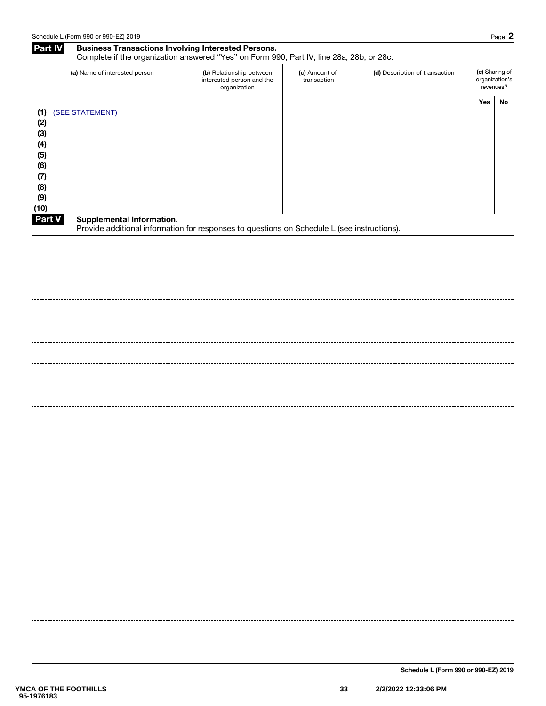### Part IV Business Transactions Involving Interested Persons. Complete if the organization answered "Yes" on Form 990, Part IV, line 28a, 28b, or 28c.

| (a) Name of interested person | (b) Relationship between<br>interested person and the<br>organization | (c) Amount of<br>transaction | (d) Description of transaction | (e) Sharing of<br>organization's<br>revenues? |    |
|-------------------------------|-----------------------------------------------------------------------|------------------------------|--------------------------------|-----------------------------------------------|----|
|                               |                                                                       |                              |                                | Yes                                           | No |
| (SEE STATEMENT)<br>(1)        |                                                                       |                              |                                |                                               |    |
| (2)                           |                                                                       |                              |                                |                                               |    |
| (3)                           |                                                                       |                              |                                |                                               |    |
| (4)                           |                                                                       |                              |                                |                                               |    |
| (5)                           |                                                                       |                              |                                |                                               |    |
| (6)                           |                                                                       |                              |                                |                                               |    |
| (7)                           |                                                                       |                              |                                |                                               |    |
| (8)                           |                                                                       |                              |                                |                                               |    |
| (9)                           |                                                                       |                              |                                |                                               |    |
| (10)                          |                                                                       |                              |                                |                                               |    |

#### Part V Supplemental Information.

Provide additional information for responses to questions on Schedule L (see instructions).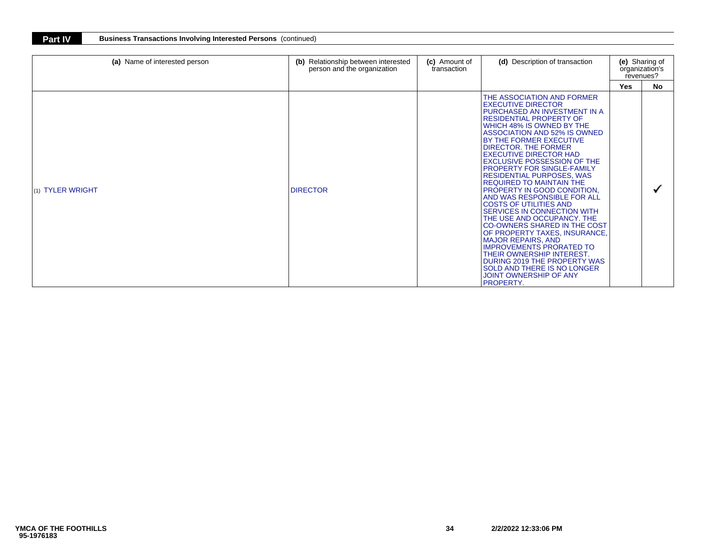| (a) Name of interested person | Relationship between interested<br>(b)<br>person and the organization | (c) Amount of<br>transaction | (d) Description of transaction                                                                                                                                                                                                                                                                                                                                                                                                                                                                                                                                                                                                                                                                                                                                                                                                                        |            | (e) Sharing of<br>organization's<br>revenues? |  |
|-------------------------------|-----------------------------------------------------------------------|------------------------------|-------------------------------------------------------------------------------------------------------------------------------------------------------------------------------------------------------------------------------------------------------------------------------------------------------------------------------------------------------------------------------------------------------------------------------------------------------------------------------------------------------------------------------------------------------------------------------------------------------------------------------------------------------------------------------------------------------------------------------------------------------------------------------------------------------------------------------------------------------|------------|-----------------------------------------------|--|
|                               |                                                                       |                              |                                                                                                                                                                                                                                                                                                                                                                                                                                                                                                                                                                                                                                                                                                                                                                                                                                                       | <b>Yes</b> | No.                                           |  |
| (1) TYLER WRIGHT              | <b>DIRECTOR</b>                                                       |                              | THE ASSOCIATION AND FORMER<br><b>EXECUTIVE DIRECTOR</b><br>PURCHASED AN INVESTMENT IN A<br><b>RESIDENTIAL PROPERTY OF</b><br>WHICH 48% IS OWNED BY THE<br>ASSOCIATION AND 52% IS OWNED<br>BY THE FORMER EXECUTIVE<br>DIRECTOR. THE FORMER<br><b>EXECUTIVE DIRECTOR HAD</b><br><b>EXCLUSIVE POSSESSION OF THE</b><br>PROPERTY FOR SINGLE-FAMILY<br>RESIDENTIAL PURPOSES, WAS<br><b>REQUIRED TO MAINTAIN THE</b><br>PROPERTY IN GOOD CONDITION.<br>AND WAS RESPONSIBLE FOR ALL<br><b>COSTS OF UTILITIES AND</b><br>SERVICES IN CONNECTION WITH<br>THE USE AND OCCUPANCY. THE<br>CO-OWNERS SHARED IN THE COST<br>OF PROPERTY TAXES, INSURANCE,<br><b>MAJOR REPAIRS, AND</b><br><b>IMPROVEMENTS PRORATED TO</b><br>THEIR OWNERSHIP INTEREST.<br>DURING 2019 THE PROPERTY WAS<br>SOLD AND THERE IS NO LONGER<br><b>JOINT OWNERSHIP OF ANY</b><br>PROPERTY. |            |                                               |  |

**Part IV Business Transactions Involving Interested Persons** (continued)